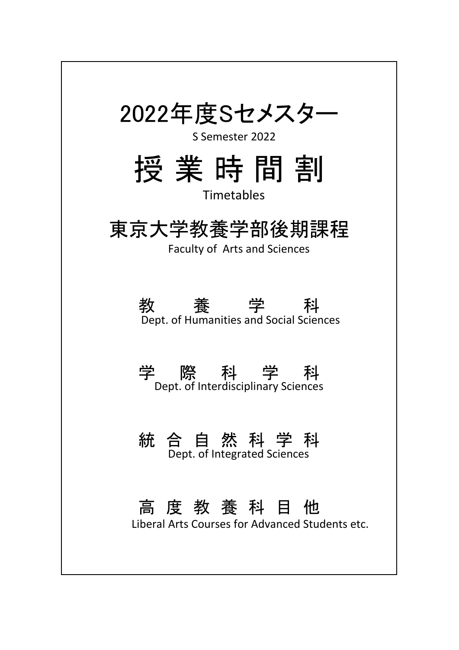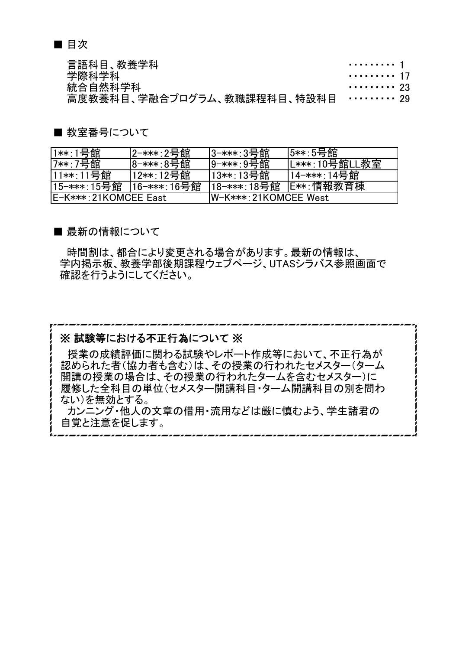■ 目次

言語科目、教養学科 インタイム インタイム しょうしょう しょうしょう こうしょう こうしょう 学際科学科 キャンプ しょうしゃ しゅうしゃ かいしょう かいしゅう かいしょく かいしょく はんしゃ かいしゅう はんしゃ かいしゅう はんしゃ はんしゃ かいしゅう **統合自然科学科 キャラン しょうしょう しょうしょう しょうしょう** カー・・・・・・・・・ 23 高度教養科目、学融合プログラム、教職課程科目、特設科目 ・・・・・・・・・ 29

■ 教室番号について

| │1∗∗∶1号館              | 2-***:2号館   | 3-***:3号館              | l5**:5号館      |
|-----------------------|-------------|------------------------|---------------|
| '7**∶7号館∶             | 8-***:8号館   | 9-***:9号館              | L***:10号館LL教室 |
| 11**∶11号館↓            | 12**:12号館   | 13**:13号館              | 14-***∶14号館   |
| 15-***∶15号館           | 16-***:16号館 | 18-***:18号館            | │E∗∗∶情報教育棟    |
| IE-K***:21KOMCEE East |             | IW-K***: 21KOMCEE West |               |

■ 最新の情報について

 時間割は、都合により変更される場合があります。最新の情報は、 学内掲示板、教養学部後期課程ウェブページ、UTASシラバス参照画面で 確認を行うようにしてください。

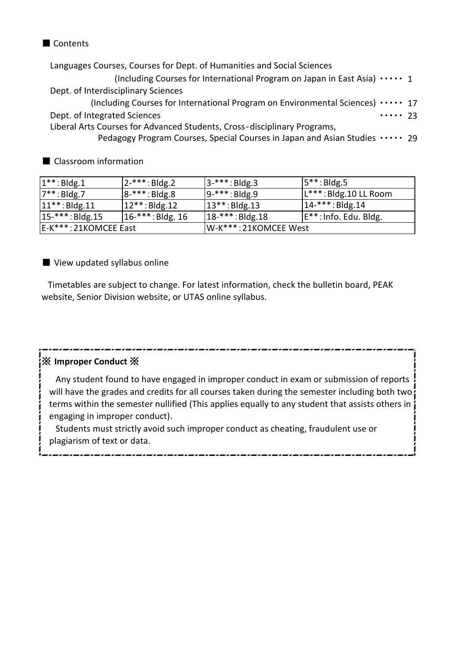#### ■ Contents

Languages Courses, Courses for Dept. of Humanities and Social Sciences

(Including Courses for International Program on Japan in East Asia)  $\cdots$  1 Dept. of Interdisciplinary Sciences

(Including Courses for International Program on Environmental Sciences)  $\cdots$  17 ・・・・・ 23 Dept. of Integrated Sciences

Liberal Arts Courses for Advanced Students, Cross‐disciplinary Programs,

Pedagogy Program Courses, Special Courses in Japan and Asian Studies ····· 29

■ Classroom information

| $1**$ : Bldg.1        | $ 2$ -***: Bldg.2      | $ 3$ -***: Bldg.3     | $ 5**:Bldg.5 $                     |
|-----------------------|------------------------|-----------------------|------------------------------------|
| $7**:Bdg.7$           | $ 8^{-***}:B1_{8}.8$   | $ 9^{-***}:B1_{,}S.9$ | L***: Bldg.10 LL Room              |
| $ 11***:Bldg.11$      | $ 12***:Bldg.12$       | $ 13***:Bldg.13 $     | $ 14^{-***}:B1_{,}14$              |
| $15-***$ : Bldg.15    | $ 16^{-***}:$ Bldg. 16 | $ 18^{-***}:B$ ldg.18 | E <sup>**</sup> : Info. Edu. Bldg. |
| E-K***: 21KOMCEE East |                        | W-K***: 21KOMCEE West |                                    |

#### ■ View updated syllabus online

Timetables are subject to change. For latest information, check the bulletin board, PEAK website, Senior Division website, or UTAS online syllabus.

#### ※ **Improper Conduct** ※

Any student found to have engaged in improper conduct in exam or submission of reports will have the grades and credits for all courses taken during the semester including both two? terms within the semester nullified (This applies equally to any student that assists others in engaging in improper conduct).

,,,,,,,,,,,,,,,,,,,,,,,,,,,,,,,,,,

Students must strictly avoid such improper conduct as cheating, fraudulent use or plagiarism of text or data.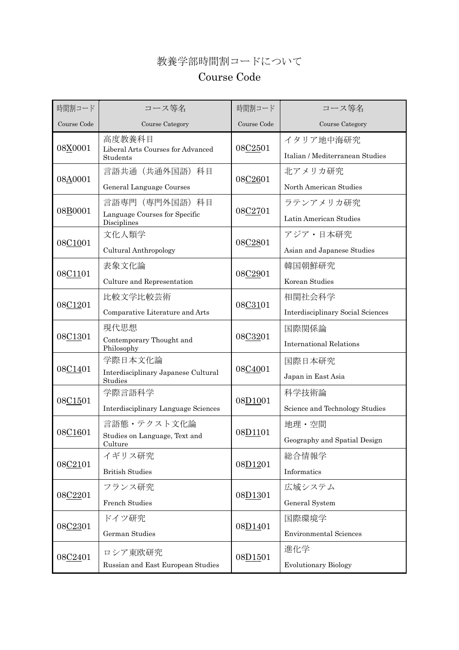#### 教養学部時間割コードについて

#### Course Code

| 時間割コード      | コース等名                                          | 時間割コード                                                                                                                                                                                                                           | コース等名                             |
|-------------|------------------------------------------------|----------------------------------------------------------------------------------------------------------------------------------------------------------------------------------------------------------------------------------|-----------------------------------|
| Course Code | Course Category                                | Course Code                                                                                                                                                                                                                      | Course Category                   |
| 08X0001     | 高度教養科目<br>Liberal Arts Courses for Advanced    |                                                                                                                                                                                                                                  | イタリア地中海研究                         |
|             | Students                                       |                                                                                                                                                                                                                                  | Italian / Mediterranean Studies   |
| 08A0001     | 言語共通(共通外国語)科目                                  |                                                                                                                                                                                                                                  |                                   |
|             | General Language Courses                       |                                                                                                                                                                                                                                  | North American Studies            |
| 08B0001     | 言語専門 (専門外国語) 科目                                |                                                                                                                                                                                                                                  | ラテンアメリカ研究                         |
|             | Language Courses for Specific<br>Disciplines   |                                                                                                                                                                                                                                  | Latin American Studies            |
| 08C1001     | 文化人類学                                          |                                                                                                                                                                                                                                  | アジア・日本研究                          |
|             | Cultural Anthropology                          |                                                                                                                                                                                                                                  | Asian and Japanese Studies        |
|             | 表象文化論                                          |                                                                                                                                                                                                                                  | 韓国朝鮮研究                            |
| 08C1101     | Culture and Representation                     |                                                                                                                                                                                                                                  | Korean Studies                    |
|             | 比較文学比較芸術                                       |                                                                                                                                                                                                                                  | 相関社会科学                            |
| 08C1201     | Comparative Literature and Arts                |                                                                                                                                                                                                                                  | Interdisciplinary Social Sciences |
|             | 現代思想                                           |                                                                                                                                                                                                                                  | 国際関係論                             |
| 08C1301     | Contemporary Thought and<br>Philosophy         |                                                                                                                                                                                                                                  | <b>International Relations</b>    |
|             | 学際日本文化論                                        |                                                                                                                                                                                                                                  | 国際日本研究                            |
| 08C1401     | Interdisciplinary Japanese Cultural<br>Studies |                                                                                                                                                                                                                                  | Japan in East Asia                |
|             | 学際言語科学                                         |                                                                                                                                                                                                                                  | 科学技術論                             |
| 08C1501     | Interdisciplinary Language Sciences            |                                                                                                                                                                                                                                  | Science and Technology Studies    |
|             | 言語態・テクスト文化論                                    |                                                                                                                                                                                                                                  | 地理・空間                             |
| 08C1601     | Studies on Language, Text and<br>Culture       | 08C2501<br>08C2601<br>08C2701<br>08C2801<br>08C2901<br>08C3101<br>08C3201<br>08C4001<br>08D <sub>1001</sub><br>08D1101<br>総合情報学<br>08D1201<br>Informatics<br>広域システム<br>08D1301<br>国際環境学<br>08D <sub>1401</sub><br>進化学<br>08D1501 | Geography and Spatial Design      |
|             | イギリス研究                                         |                                                                                                                                                                                                                                  |                                   |
| 08C2101     | <b>British Studies</b>                         |                                                                                                                                                                                                                                  |                                   |
|             | フランス研究                                         |                                                                                                                                                                                                                                  |                                   |
| 08C2201     | French Studies                                 | 北アメリカ研究<br>General System                                                                                                                                                                                                        |                                   |
|             | ドイツ研究                                          |                                                                                                                                                                                                                                  |                                   |
| 08C2301     | German Studies                                 |                                                                                                                                                                                                                                  | <b>Environmental Sciences</b>     |
|             | ロシア東欧研究                                        |                                                                                                                                                                                                                                  |                                   |
| 08C2401     | Russian and East European Studies              |                                                                                                                                                                                                                                  | <b>Evolutionary Biology</b>       |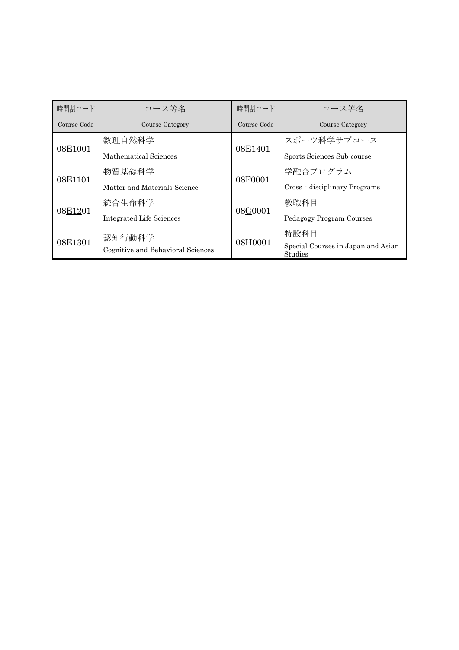| 時間割コード      | コース等名                             | 時間割コード      | コース等名                                         |
|-------------|-----------------------------------|-------------|-----------------------------------------------|
| Course Code | Course Category                   | Course Code | Course Category                               |
| 08E1001     | 数理自然科学                            | 08E1401     | スポーツ科学サブコース                                   |
|             | Mathematical Sciences             |             | Sports Sciences Sub-course                    |
|             | 物質基礎科学                            | 08F0001     | 学融合プログラム                                      |
| 08E1101     | Matter and Materials Science      |             | Cross - disciplinary Programs                 |
|             | 統合生命科学                            |             | 教職科目                                          |
| 08E1201     | <b>Integrated Life Sciences</b>   | 08G0001     | Pedagogy Program Courses                      |
|             | 認知行動科学                            |             | 特設科目                                          |
| 08E1301     | Cognitive and Behavioral Sciences | 08H0001     | Special Courses in Japan and Asian<br>Studies |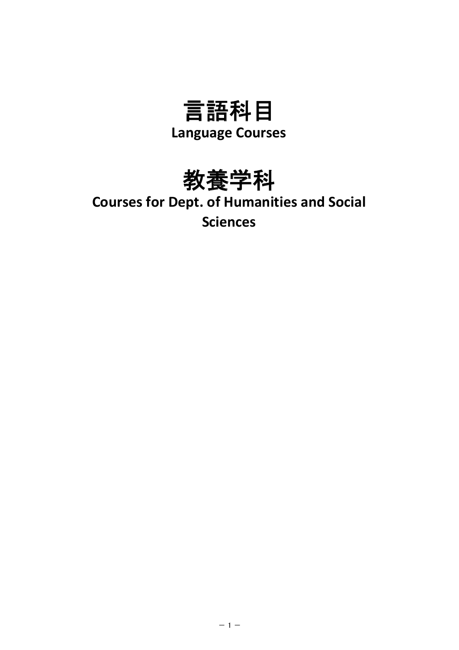



## **Courses for Dept. of Humanities and Social Sciences**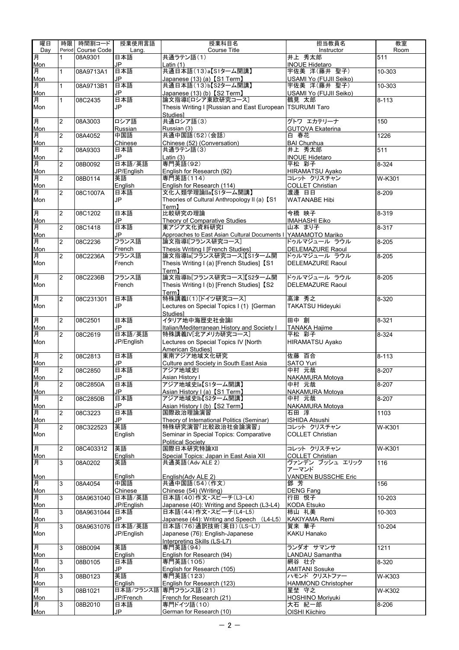| 曜日         | 時限             | 時間割コード             | 授業使用言語            | 授業科目名                                                           | 担当教員名                                  | 教室        |
|------------|----------------|--------------------|-------------------|-----------------------------------------------------------------|----------------------------------------|-----------|
| Dav        |                | Period Course Code | Lang.             | <b>Course Title</b>                                             | Instructor                             | Room      |
| 月          | 1              | 08A9301            | 日本語               | 共通ラテン語(1)                                                       | 井上 秀太郎                                 | 511       |
| Mon        |                |                    | JP                | Latin (1)                                                       | <b>INOUE Hidetaro</b>                  |           |
| 月<br>Mon   | 1              | 08A9713A1          | 日本語<br>JP         | 共通日本語(13)a【S1ターム開講】<br>Japanese (13) (a) 【S1 Term】              | 宇佐美 洋(藤井 聖子)<br>USAMI Yo (FUJII Seiko) | 10-303    |
| 月          | $\mathbf{1}$   | 08A9713B1          | 日本語               | 共通日本語(13)b【S2ターム開講】                                             | 宇佐美 洋(藤井 聖子)                           | 10-303    |
| Mon        |                |                    | JP                | Japanese (13) (b) [S2 Term]                                     | USAMI Yo (FUJII Seiko)                 |           |
| 月          | $\mathbf{1}$   | 08C2435            | 日本語               | 論文指導I[ロシア東欧研究コース]                                               | 鶴見 太郎                                  | $8 - 113$ |
| Mon        |                |                    | JP                | Thesis Writing I [Russian and East European   TSURUMI Taro      |                                        |           |
|            |                |                    |                   | <b>Studies1</b>                                                 |                                        |           |
| 月          | 2              | 08A3003            | ロシア語              | 共通ロシア語(3)                                                       | グトワ エカテリーナ                             | 150       |
| Mon        |                |                    | Russian           | Russian (3)                                                     | <b>GUTOVA Ekaterina</b>                |           |
| 月          | $\overline{2}$ | 08A4052            | 中国語               | 共通中国語(52)(会話)                                                   | 白 春花                                   | 1226      |
| Mon<br>月   | $\overline{2}$ | 08A9303            | Chinese<br>日本語    | Chinese (52) (Conversation)<br>共通ラテン語(3)                        | <b>BAI</b> Chunhua<br>井上 秀太郎           | 511       |
| Mon        |                |                    | JP.               | Latin $(3)$                                                     | <b>INOUE Hidetaro</b>                  |           |
| 月          | $\overline{2}$ | 08B0092            | 日本語/英語            | 専門英語(92)                                                        | 平松 彩子                                  | 8-324     |
| Mon        |                |                    | JP/English        | English for Research (92)                                       | <b>HIRAMATSU Ayako</b>                 |           |
| 月          | $\overline{2}$ | 08B0114            | 英語                | 専門英語(114)                                                       | コレット クリスチャン                            | W-K301    |
| Mon        |                |                    | English           | English for Research (114)                                      | <b>COLLET Christian</b>                |           |
| 月          | $\overline{2}$ | 08C1007A           | 日本語               | 文化人類学理論IIa【S1ターム開講】                                             | 渡邊 日日                                  | 8-209     |
| Mon        |                |                    | JP                | Theories of Cultural Anthropology II (a) [S1                    | <b>WATANABE Hibi</b>                   |           |
| 月          | $\overline{2}$ | 08C1202            | 日本語               | Term1<br>比較研究の理論                                                | 今橋 映子                                  | 8-319     |
| Mon        |                |                    | <b>JP</b>         | Theory of Comparative Studies                                   | <b>IMAHASHI Eiko</b>                   |           |
| 月          | $\overline{2}$ | 08C1418            | 日本語               | 東アジア文化資料研究I                                                     | 山本 まり子                                 | 8-317     |
| Mon        |                |                    | JP                | Approaches to East Asian Cultural Documents I YAMAMOTO Mariko   |                                        |           |
| 月          | $\overline{2}$ | 08C2236            | フランス語             | 論文指導I[フランス研究コース]                                                | ドゥルマジュール ラウル                           | 8-205     |
| Mon        |                |                    | French            | Thesis Writing I [French Studies]                               | <b>DELEMAZURE Raoul</b>                |           |
| 月          | 2              | 08C2236A           | フランス語             | 論文指導Ia[フランス研究コース]【S1ターム開                                        | ドゥルマジュール ラウル                           | 8-205     |
| Mon        |                |                    | French            | Thesis Writing I (a) [French Studies] [S1                       | <b>DELEMAZURE Raoul</b>                |           |
|            |                |                    |                   | Term <b>1</b><br>論文指導Ib[フランス研究コース]【S2ターム開                       |                                        |           |
| 月<br>Mon   | $\overline{2}$ | 08C2236B           | フランス語             |                                                                 | ドゥルマジュール ラウル                           | 8-205     |
|            |                |                    | French            | Thesis Writing I (b) [French Studies] [S2<br>Term <sub>l</sub>  | <b>DELEMAZURE Raoul</b>                |           |
| 月          | $\overline{2}$ | 08C231301          | 日本語               | 特殊講義I(1)[ドイツ研究コース]                                              | 高津 秀之                                  | 8-320     |
| Mon        |                |                    | JP                | Lectures on Special Topics I (1) [German                        | TAKATSU Hideyuki                       |           |
|            |                |                    |                   | <b>Studies1</b>                                                 |                                        |           |
| 月          | $\overline{2}$ | 08C2501            | 日本語               | イタリア地中海歴史社会論                                                    | 田中創                                    | $8 - 321$ |
| Mon        |                |                    | JP                | Italian/Mediterranean History and Society I                     | <b>TANAKA Hajime</b>                   |           |
| 月          | $\overline{2}$ | 08C2619            | 日本語/英語            | 特殊講義IV[北アメリカ研究コース]                                              | 平松 彩子                                  | 8-324     |
| Mon        |                |                    | JP/English        | Lectures on Special Topics IV [North                            | HIRAMATSU Ayako                        |           |
| 月          |                |                    |                   | American Studies]<br>東南アジア地域文化研究                                | 佐藤 百合                                  |           |
| Mon        | $\overline{2}$ | 08C2813            | 日本語<br>JP         | Culture and Society in South East Asia                          | <b>SATO Yuri</b>                       | $8 - 113$ |
| 月          | $\overline{2}$ | 08C2850            | 日本語               | アジア地域史I                                                         | 中村 元哉                                  | 8-207     |
| Mon        |                |                    | JP                | Asian History I                                                 | <b>NAKAMURA Motoya</b>                 |           |
| 耳          | $\overline{a}$ | 08C2850A           | 日本語               | アジア地域史Ia【S1ターム開講】                                               | 中村 元哉                                  | $8 - 207$ |
| Mon        |                |                    | JP                | Asian History I (a) [S1 Term]                                   | NAKAMURA Motoya                        |           |
| 月          | $\overline{2}$ | 08C2850B           | 日本語               | アジア地域史Ib【S2ターム開講】                                               | 中村 元哉                                  | 8-207     |
| Mon        |                |                    | JP                | Asian History I (b) [S2 Term]                                   | <b>NAKAMURA Motoya</b>                 |           |
| 月          | $\overline{2}$ | 08C3223            | 日本語               | 国際政治理論演習                                                        | 石田 淳                                   | 1103      |
| Mon        | $\overline{2}$ |                    | JP<br>英語          | Theory of International Politics (Seminar)<br>特殊研究演習「比較政治社会論演習」 | <b>ISHIDA Atsushi</b><br>コレット クリスチャン   | W-K301    |
| 月<br>Mon   |                | 08C322523          | English           | Seminar in Special Topics: Comparative                          | <b>COLLET Christian</b>                |           |
|            |                |                    |                   | <b>Political Societv</b>                                        |                                        |           |
| 月          | $\overline{2}$ | 08C403312          | 英語                | 国際日本研究特論XII                                                     | コレット クリスチャン                            | W-K301    |
| <b>Mon</b> |                |                    | English           | Special Topics: Japan in East Asia XII                          | <b>COLLET Christian</b>                |           |
| 月          | 3              | 08A0202            | 英語                | 共通英語(Adv ALE 2)                                                 | ヴァンデン ブッシュ エリック                        | 116       |
|            |                |                    |                   |                                                                 | アーマンド                                  |           |
| Mon        |                |                    | English           | English (Adv ALE 2)                                             | <b>VANDEN BUSSCHE Eric</b>             |           |
| 月          | 3              | 08A4054            | 中国語               | 共通中国語(54)(作文)                                                   | 鄧 芳                                    | 156       |
| Mon<br>月   | 3              | 08A9631040         | Chinese<br>日本語/英語 | Chinese (54) (Writing)<br>日本語(40)作文·スピーチ(L3-L4)                 | <b>DENG Fang</b><br>行田 悦子              | 10-203    |
| Mon        |                |                    | JP/English        | Japanese (40): Writing and Speech (L3-L4)                       | <b>KODA Etsuko</b>                     |           |
| 月          | 3              | 08A9631044         | 日本語               | 日本語(44)作文・スピーチ(L4-L5)                                           | 柿山 礼美                                  | 10-303    |
| Mon        |                |                    | JP                | Japanese (44): Writing and Speech (L4-L5)                       | KAKIYAMA Remi                          |           |
| 月          | 3              | 08A9631076         | 日本語/英語            | 日本語(76)通訳技術(英日)(LS-L7)                                          | 賀来 華子                                  | 10-204    |
| Mon        |                |                    | JP/English        | Japanese (76): English-Japanese                                 | KAKU Hanako                            |           |
|            |                |                    |                   | Interpreting Skills (LS-L7)                                     |                                        |           |
| 月          | 3              | 08B0094            | 英語                | 専門英語(94)                                                        | ランダオ サマンサ                              | 1211      |
| Mon        |                |                    | English           | English for Research (94)                                       | <b>LANDAU Samantha</b>                 |           |
| 月          | 3              | 08B0105            | 日本語<br>JP.        | 専門英語(105)                                                       | 網谷 壮介                                  | 8-320     |
| Mon<br>月   | 3              | 08B0123            | 英語                | English for Research (105)<br>専門英語(123)                         | <b>AMITANI Sosuke</b><br>ハモンド クリストファー  | W-K303    |
| Mon        |                |                    | Enalish           | English for Research (123)                                      | <b>HAMMOND Christopher</b>             |           |
| 月          | 3              | 08B1021            | 日本語/フランス語         | 専門フランス語(21)                                                     | 星埜 守之                                  | W-K302    |
| Mon        |                |                    | JP/French         | French for Research (21)                                        | <b>HOSHINO Moriyuki</b>                |           |
| 月          | 3              | 08B2010            | 日本語               | 専門ドイツ語(10)                                                      | 大石 紀一郎                                 | 8-206     |
| Mon        |                |                    | JP                | German for Research (10)                                        | OISHI Kiichiro                         |           |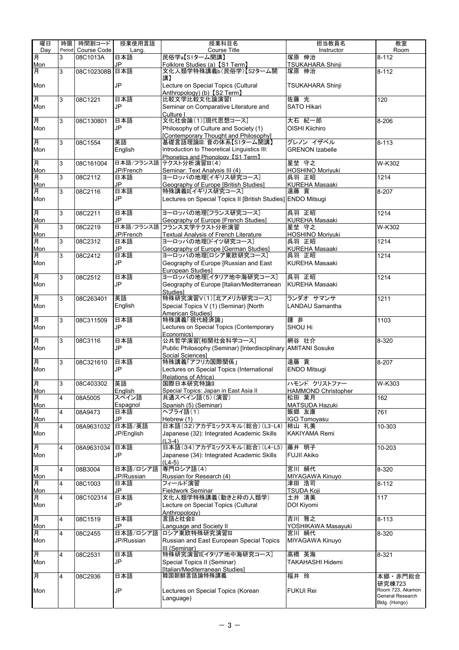| 曜日              | 時限             | 時間割コード      | 授業使用言語     | 授業科目名                                                                             | 担当教員名                        | 教室                                |
|-----------------|----------------|-------------|------------|-----------------------------------------------------------------------------------|------------------------------|-----------------------------------|
| Day             | Period         | Course Code | Lang.      | Course Title                                                                      | Instructor                   | Room                              |
| 月               | 3              | 08C1013A    | 日本語        | 民俗学a【S1ターム開講】                                                                     | 塚原 伸治                        | $8 - 112$                         |
| Mon             |                |             | JP         | Folklore Studies (a) [S1 Term]                                                    | TSUKAHARA Shinji             |                                   |
| 月               | 3              | 08C102308B  | 日本語        | 文化人類学特殊講義b(民俗学)【S2ターム開<br>講】                                                      | 塚原 伸治                        | $8 - 112$                         |
| Mon             |                |             | JP         | Lecture on Special Topics (Cultural                                               | <b>TSUKAHARA Shinji</b>      |                                   |
|                 |                |             |            | Anthropology) (b) [S2 Term]                                                       |                              |                                   |
| 月               | 3              | 08C1221     | 日本語        | 比較文学比較文化論演習I                                                                      | 佐藤 光                         | 120                               |
| Mon             |                |             | JP         | Seminar on Comparative Literature and                                             | <b>SATO Hikari</b>           |                                   |
|                 |                |             |            | Culture I                                                                         |                              |                                   |
| 月               | 3              | 08C130801   | 日本語        | 文化社会論(1)[現代思想コース]                                                                 | 大石 紀一郎                       | 8-206                             |
| Mon             |                |             | JP         | Philosophy of Culture and Society (1)                                             | OISHI Kiichiro               |                                   |
|                 |                |             | 英語         | [Contemporary Thought and Philosophy]<br>基礎言語理論III: 音の体系【S1ターム開講】                 | グレノンイザベル                     | $8 - 113$                         |
| 月<br>Mon        | 3              | 08C1554     | English    | Introduction to Theoretical Linguistics III:                                      | <b>GRENON Izabelle</b>       |                                   |
|                 |                |             |            | Phonetics and Phonology [S1 Term]                                                 |                              |                                   |
| 月               | 3              | 08C161004   |            | 日本語/フランス語 テクスト分析演習III(4)                                                          | 星埜 守之                        | $\overline{W}$ -K302              |
| Mon             |                |             | JP/French  | Seminar: Text Analysis III (4)                                                    | HOSHINO Moriyuki             |                                   |
| 月               | 3              | 08C2112     | 日本語        | ヨーロッパの地理[イギリス研究コース]                                                               | 呉羽 正昭                        | 1214                              |
| Mon             |                |             | JP         | Geography of Europe [British Studies]                                             | <b>KUREHA Masaaki</b>        |                                   |
| 月               | 3              | 08C2116     | 日本語        | 特殊講義II[イギリス研究コース]                                                                 | 遠藤 貢                         | 8-207                             |
| Mon             |                |             | JP         | Lectures on Special Topics II [British Studies] ENDO Mitsugi                      |                              |                                   |
| 月               | 3              | 08C2211     | 日本語        | ヨーロッパの地理[フランス研究コース]                                                               | 呉羽 正昭                        | 1214                              |
| Mon             |                |             | JP         | Geography of Europe [French Studies]                                              | <b>KUREHA Masaaki</b>        |                                   |
| 月               | 3              | 08C2219     | 日本語/フランス語  | フランス文学テクスト分析演習                                                                    | 星埜 守之                        | W-K302                            |
| Mon             |                |             | JP/French  | <b>Textual Analysis of French Literature</b>                                      | <b>HOSHINO Moriyuki</b>      |                                   |
| 月               | 3              | 08C2312     | 日本語        | ヨーロッパの地理[ドイツ研究コース]                                                                | 呉羽 正昭                        | 1214                              |
| Mon             |                |             | JP         | Geography of Europe [German Studies]                                              | <b>KUREHA Masaaki</b>        |                                   |
| 月               | 3              | 08C2412     | 日本語        | ヨーロッパの地理[ロシア東欧研究コース]                                                              | 呉羽 正昭                        | 1214                              |
| Mon             |                |             | JP         | Geography of Europe [Russian and East                                             | <b>KUREHA Masaaki</b>        |                                   |
|                 |                |             |            | European Studies]                                                                 |                              |                                   |
| 月               | 3              | 08C2512     | 日本語<br>JP  | ヨーロッパの地理[イタリア地中海研究コース]                                                            | 呉羽 正昭                        | 1214                              |
| Mon             |                |             |            | Geography of Europe [Italian/Mediterranean<br><b>Studies1</b>                     | <b>KUREHA Masaaki</b>        |                                   |
| 月               | 3              | 08C263401   | 英語         | 特殊研究演習V(1)[北アメリカ研究コース]                                                            | ランダオ サマンサ                    | 1211                              |
| Mon             |                |             | English    | Special Topics V (1) (Seminar) [North                                             | <b>LANDAU Samantha</b>       |                                   |
|                 |                |             |            | American Studies]                                                                 |                              |                                   |
| 月               | 3              | 08C311509   | 日本語        | 特殊講義「現代経済論」                                                                       | 鍾非                           | 1103                              |
| Mon             |                |             | JP         | Lectures on Special Topics (Contemporary                                          | SHOU Hi                      |                                   |
|                 |                |             |            | Economics)                                                                        |                              |                                   |
| 月               | 3              | 08C3116     | 日本語        | 公共哲学演習[相関社会科学コース]                                                                 | 網谷 壮介                        | 8-320                             |
| Mon             |                |             | JP         | Public Philosophy (Seminar) [Interdisciplinary AMITANI Sosuke<br>Social Sciences1 |                              |                                   |
| 月               | 3              | 08C321610   | 日本語        | 特殊講義「アフリカ国際関係」                                                                    | 遠藤 貢                         | 8-207                             |
| Mon             |                |             | JP         | Lectures on Special Topics (International                                         | <b>ENDO Mitsugi</b>          |                                   |
|                 |                |             |            | Relations of Africa)                                                              |                              |                                   |
| 月               | $\mathcal{S}$  | 08C403302   | 英語         | 国際日本研究特論II                                                                        | ハモンド クリストファー                 | W-K303                            |
| <br>Mon         |                |             | English    | Special Topics: Japan in East Asia II                                             | <b>HAMMOND Christopher</b>   |                                   |
| 月               | 4              | 08A5005     | スペイン語      | 共通スペイン語(5)(演習)                                                                    | 松田 葉月                        | 162                               |
| <u>Mon</u><br>月 |                |             | Espagnol   | Spanish (5) (Seminar)                                                             | <b>MATSUDA Hazuki</b>        |                                   |
|                 | 4              | 08A9473     | 日本語<br>JP  | ヘブライ語(1)                                                                          | 飯郷 友康<br><b>IGO Tomovasu</b> | 761                               |
| Mon<br>月        | 4              | 08A9631032  | 日本語/英語     | Hebrew (1)<br>日本語(32)アカデミックスキル(総合)(L3-L4)                                         | 柿山 礼美                        | 10-303                            |
| Mon             |                |             | JP/English | Japanese (32): Integrated Academic Skills                                         | KAKIYAMA Remi                |                                   |
|                 |                |             |            | $(L3-4)$                                                                          |                              |                                   |
| 月               | 4              | 08A9631034  | 日本語        | 日本語(34)アカデミックスキル(総合)(L4-L5)                                                       | 藤井 明子                        | 10-203                            |
| Mon             |                |             | JP         | Japanese (34): Integrated Academic Skills                                         | <b>FUJII Akiko</b>           |                                   |
|                 |                |             |            | $(L4-5)$                                                                          |                              |                                   |
| 月               | $\overline{4}$ | 08B3004     | 日本語/ロシア語   | 専門ロシア語(4)                                                                         | 宮川 絹代                        | 8-320                             |
| Mon             |                |             | JP/Russian | Russian for Research (4)                                                          | MIYAGAWA Kinuyo<br>津田 浩司     |                                   |
| 月<br>Mon        | 4              | 08C1003     | 日本語<br>JP  | フィールド演習<br><b>Fieldwork Seminar</b>                                               | <b>TSUDA Koji</b>            | $8 - 112$                         |
| 月               | 4              | 08C102314   | 日本語        | 文化人類学特殊講義(動きと枠の人類学)                                                               | 土井 清美                        | 117                               |
| Mon             |                |             | JP         | Lecture on Special Topics (Cultural                                               | DOI Kiyomi                   |                                   |
|                 |                |             |            | Anthropology)                                                                     |                              |                                   |
| 月               | $\overline{4}$ | 08C1519     | 日本語        | 言語と社会II                                                                           | 吉川 雅之                        | $8 - 113$                         |
| Mon             |                |             | JP         | <b>Language and Society II</b>                                                    | YOSHIKAWA Masayuki           |                                   |
| 月               | 4              | 08C2455     | 日本語/ロシア語   | ロシア東欧特殊研究演習Ⅲ                                                                      | 宮川 絹代                        | 8-320                             |
| Mon             |                |             | JP/Russian | Russian and East European Special Topics                                          | MIYAGAWA Kinuyo              |                                   |
|                 |                |             |            | III (Seminar)                                                                     |                              |                                   |
| 耳               | 4              | 08C2531     | 日本語<br>JP  | 特殊研究演習II[イタリア地中海研究コース]                                                            | 高橋 英海                        | 8-321                             |
| Mon             |                |             |            | Special Topics II (Seminar)<br>[Italian/Mediterranean Studies]                    | <b>TAKAHASHI Hidemi</b>      |                                   |
| 月               | 4              | 08C2936     | 日本語        | 韓国朝鮮言語論特殊講義                                                                       | 福井 玲                         | 本郷・赤門総合                           |
|                 |                |             |            |                                                                                   |                              | 研究棟723                            |
| Mon             |                |             | JP         | Lectures on Special Topics (Korean                                                | <b>FUKUI Rei</b>             | Room 723, Akamon                  |
|                 |                |             |            | Language)                                                                         |                              | General Research<br>Bldg. (Hongo) |
|                 |                |             |            |                                                                                   |                              |                                   |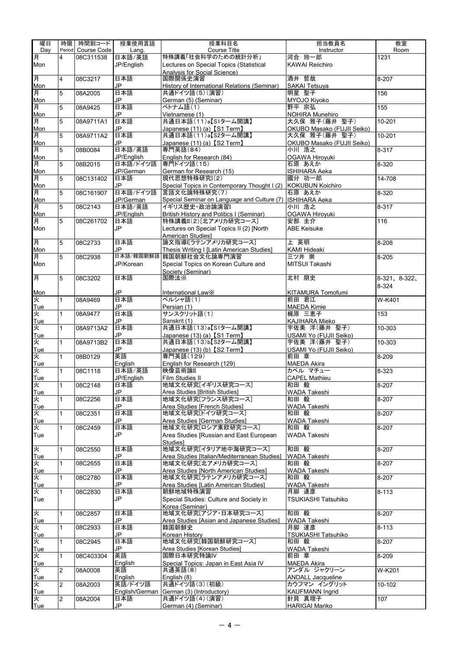| 曜日       | 時限             | 時間割コード             | 授業使用言語                 | 授業科目名                                                         | 担当教員名                               | 教室                    |
|----------|----------------|--------------------|------------------------|---------------------------------------------------------------|-------------------------------------|-----------------------|
| Dav      |                | Period Course Code | Lang.                  | Course Title                                                  | Instructor                          | Room                  |
| 月        | 4              | 08C311538          | 日本語/英語                 | 特殊講義「社会科学のための統計分析」                                            | 河合 玲一郎                              | 1231                  |
| Mon      |                |                    | JP/English             | Lectures on Special Topics (Statistical                       | <b>KAWAI Reijchiro</b>              |                       |
|          |                |                    |                        | <b>Analysis for Social Science)</b>                           |                                     |                       |
| 月        | $\overline{4}$ | 08C3217            | 日本語                    | 国際関係史演習                                                       | 酒井 哲哉                               | 8-207                 |
| Mon      |                |                    | JP                     | History of International Relations (Seminar)                  | SAKAI Tetsuya                       |                       |
| 月        | 5              | 08A2005            | 日本語                    | 共通ドイツ語(5)(演習)                                                 | 明星 聖子                               | 156                   |
| Mon      |                |                    | JP                     | German (5) (Seminar)                                          | MYOJO Kiyoko                        |                       |
| 月        | 5              | 08A9425            | 日本語                    | ベトナム語(1)                                                      | 野平 宗弘                               | 155                   |
| Mon      |                |                    | JP                     | Vietnamese (1)                                                | NOHIRA Munehiro                     |                       |
| 月        | 5              | 08A9711A1          | 日本語                    | 共通日本語(11)a【S1ターム開講】                                           | 大久保 雅子(藤井 聖子)                       | $10 - 201$            |
| Mon      |                |                    | JP                     | Japanese (11) (a) [S1 Term]                                   | OKUBO Masako (FUJII Seiko)          |                       |
| 月        | 5              | 08A9711A2          | 日本語                    | 共通日本語(11)a【S2ターム開講】                                           | 大久保 雅子(藤井 聖子)                       | 10-201                |
|          |                |                    | JP.                    |                                                               |                                     |                       |
| Mon      |                |                    | 日本語/英語                 | Japanese (11) (a) [S2 Term]                                   | OKUBO Masako (FUJII Seiko)<br>小川 浩之 |                       |
| 月        | 5              | 08B0084            |                        | 専門英語(84)                                                      |                                     | 8-317                 |
| Mon<br>月 |                |                    | JP/English<br>日本語/ドイツ語 | English for Research (84)<br>専門ドイツ語(15)                       | OGAWA Hiroyuki<br>石原 あえか            | $8 - 320$             |
|          | 5              | 08B2015            |                        |                                                               |                                     |                       |
| Mon      |                |                    | JP/German              | German for Research (15)                                      | <b>ISHIHARA Aeka</b>                |                       |
| 月        | 5              | 08C131402          | 日本語                    | 現代思想特殊研究I(2)                                                  | 國分 功一郎                              | 14-708                |
| Mon      |                |                    | JP                     | Special Topics in Contemporary Thought I (2) KOKUBUN Koichiro |                                     |                       |
| 月        | 5              | 08C161907          | 日本語/ドイツ語               | 言語文化論特殊研究(7)                                                  | 石原 あえか                              | $8 - 320$             |
| Mon      |                |                    | JP/German              | Special Seminar on Language and Culture (7)   ISHIHARA Aeka   |                                     |                       |
| 月        | 5              | 08C2143            | 日本語/英語                 | イギリス歴史·政治論演習I                                                 | 小川 浩之                               | 8-317                 |
| Mon      |                |                    | JP/English             | British History and Politics I (Seminar)                      | OGAWA Hiroyuki                      |                       |
| 月        | 5              | 08C261702          | 日本語                    | 特殊講義II(2)[北アメリカ研究コース]                                         | 安部 圭介                               | 116                   |
| Mon      |                |                    | JP                     | Lectures on Special Topics II (2) [North                      | <b>ABE Keisuke</b>                  |                       |
|          |                |                    |                        | American Studies]                                             |                                     |                       |
| 月        | 5              | 08C2733            | 日本語                    | 論文指導『ラテンアメリカ研究コース】                                            | 上 英明                                | 8-208                 |
| Mon      |                |                    | JP.                    | Thesis Writing I [Latin American Studies]                     | <b>KAMI Hideaki</b>                 |                       |
| 月        | 5              | 08C2938            |                        | 日本語/韓国朝鮮語 韓国朝鮮社会文化論専門演習                                       | 三ツ井 崇                               | 8-205                 |
| Mon      |                |                    | JP/Korean              | Special Topics on Korean Culture and                          | MITSUI Takashi                      |                       |
|          |                |                    |                        | Society (Seminar)                                             |                                     |                       |
| 耳        | 5              | 08C3202            | 日本語                    | 国際法※                                                          | 北村 朋史                               | $8-321$ , $8-322$ ,   |
|          |                |                    |                        |                                                               |                                     | 8-324                 |
| Mon      |                |                    | <b>JP</b>              | International Law※                                            | KITAMURA Tomofumi                   |                       |
| 火        | 1              | 08A9469            | 日本語                    | ペルシャ語(1)                                                      | 前田 君江                               | W-K401                |
| Tue      |                |                    | JP                     | Persian (1)                                                   | MAEDA Kimie                         |                       |
| 火        | $\mathbf{1}$   | 08A9477            | 日本語                    | <b>サンスクリット語(1)</b>                                            | 梶原 三恵子                              | 153                   |
| Tue      |                |                    | JP                     | Sanskrit (1)                                                  | KAJIHARA Mieko                      |                       |
| 火        | 1              | 08A9713A2          | 日本語                    | 共通日本語(13)a【S1ターム開講】                                           | 宇佐美 洋(藤井 聖子)                        | 10-303                |
| Tue      |                |                    | JP                     | Japanese (13) (a) 【S1 Term】                                   | USAMI Yo (FUJII Seiko)              |                       |
| 火        | $\mathbf{1}$   | 08A9713B2          | 日本語                    | 共通日本語(13)b【S2ターム開講】                                           | 宇佐美 洋(藤井 聖子)                        | $10 - 303$            |
| Tue      |                |                    | JP                     | Japanese (13) (b) 【S2 Term】                                   | USAMI Yo (FUJII Seiko)              |                       |
| 火        | $\mathbf{1}$   | 08B0129            | 英語                     | 専門英語(129)                                                     | 前田 章                                | 8-209                 |
| Tue      |                |                    | Enalish                | English for Research (129)                                    | <b>MAEDA Akira</b>                  |                       |
| 火        | $\mathbf{1}$   | 08C1118            | 日本語/英語                 | 映像芸術論II                                                       | カペル マチュー                            | 8-323                 |
| Tue      |                |                    | JP/English             | Film Studies II                                               | <b>CAPEL Mathieu</b>                |                       |
|          |                |                    |                        | 地域文化研究[イギリス研究コース]                                             | 和田 毅                                | $8 - 207$             |
| 永        |                | 08C2148            | 日本語<br>JP              |                                                               |                                     |                       |
| Tue      |                |                    |                        | Area Studies [British Studies]                                | WADA Takeshi                        |                       |
| 火        | 1              | 08C2256            | 日本語                    | 地域文化研究[フランス研究コース]                                             | 和田 毅                                | 8-207                 |
| Tue      |                |                    | JP                     | Area Studies [French Studies]                                 | <b>WADA Takeshi</b>                 |                       |
| 火        | 1              | 08C2351            | 日本語                    | 地域文化研究「ドイツ研究コース]                                              | 和田 毅                                | 8-207                 |
| Tue      |                |                    | JP                     | Area Studies [German Studies]                                 | WADA Takeshi                        |                       |
| 火        | 1              | 08C2459            | 日本語                    | 地域文化研究[ロシア東欧研究コース]                                            | 和田 毅                                | 8-207                 |
| Tue      |                |                    | <b>JP</b>              | Area Studies [Russian and East European                       | WADA Takeshi                        |                       |
|          |                |                    |                        | <b>Studies1</b>                                               |                                     |                       |
| 火        | 1              | 08C2550            | 日本語                    | 地域文化研究[イタリア地中海研究コース]                                          | 和田 毅                                | 8-207                 |
| Tue      |                |                    | JP                     | Area Studies [Italian/Mediterranean Studies]                  | WADA Takeshi                        |                       |
| 火        | 1              | 08C2655            | 日本語                    | 地域文化研究[北アメリカ研究コース]                                            | 和田 毅                                | $8 - 207$             |
| Tue      |                |                    | JP                     | Area Studies [North American Studies]                         | WADA Takeshi                        |                       |
| 火        | 1              | 08C2780            | 日本語                    | 地域文化研究[ラテンアメリカ研究コース]                                          | 和田 毅                                | 8-207                 |
| Tue      |                |                    | JP                     | Area Studies [Latin American Studies]                         | WADA Takeshi                        |                       |
| 火        | 1              | 08C2830            | 日本語                    | 朝鮮地域特殊演習                                                      | 月脚 達彦                               | $\overline{8} - 113$  |
| Tue      |                |                    | JP                     | Special Studies: Culture and Society in                       | TSUKIASHI Tatsuhiko                 |                       |
|          |                |                    |                        | Korea (Seminar)                                               |                                     |                       |
| 火        | 1              | 08C2857            | 日本語                    | 地域文化研究[アジア・日本研究コース]                                           | 和田 毅                                | $8 - 207$             |
| Tue      |                |                    | JP                     | Area Studies [Asian and Japanese Studies]                     | WADA Takeshi                        |                       |
| 火        | $\mathbf{1}$   | 08C2933            | 日本語                    | 韓国朝鮮史                                                         | 月脚 達彦                               | $8 - 113$             |
| Tue      |                |                    | JP                     | Korean History                                                | TSUKIASHI Tatsuhiko                 |                       |
| 火        | $\mathbf{1}$   | 08C2945            | 日本語                    | 地域文化研究[韓国朝鮮研究コース]                                             | 和田 毅                                | 8-207                 |
| Tue      |                |                    | JP                     | Area Studies [Korean Studies]                                 | WADA Takeshi                        |                       |
| 火        | $\mathbf{1}$   | 08C403304          | 英語                     | 国際日本研究特論IV                                                    | 前田 章                                | 8-209                 |
| Tue      |                |                    | English                | Special Topics: Japan in East Asia IV                         | <b>MAEDA Akira</b>                  |                       |
| ¥        | $\overline{2}$ | 08A0008            | 英語                     | 共通英語(8)                                                       | アンダル ジャクリーン                         | W-K201                |
| Tue      |                |                    | English                | English (8)                                                   | <b>ANDALL Jacqueline</b>            |                       |
| 火        | $\overline{2}$ | 08A2003            | 英語/ドイツ語                | 共通ドイツ語(3)(初級)                                                 | カウフマン イングリット                        | $\overline{10} - 102$ |
| Tue      |                |                    | English/German         | German (3) (Introductory)                                     | <b>KAUFMANN Ingrid</b>              |                       |
| 火        | $\overline{2}$ | 08A2004            | 日本語                    | 共通ドイツ語(4)(演習)                                                 | 針貝 真理子                              | $\overline{1}07$      |
| Tue      |                |                    | JP                     | German (4) (Seminar)                                          | <b>HARIGAI Mariko</b>               |                       |
|          |                |                    |                        |                                                               |                                     |                       |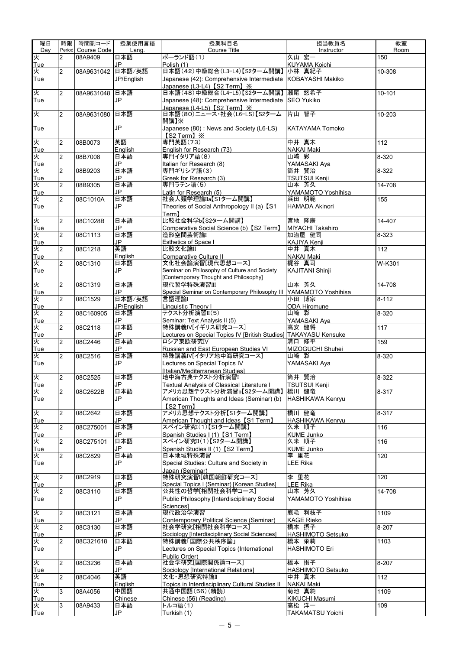| 曜日                   | 時限                      | 時間割コード      | 授業使用言語            | 授業科目名                                                                               | 担当教員名                             | 教室                    |
|----------------------|-------------------------|-------------|-------------------|-------------------------------------------------------------------------------------|-----------------------------------|-----------------------|
| Dav                  | Period                  | Course Code | Lang.             | <b>Course Title</b>                                                                 | Instructor                        | Room                  |
| 火<br>Tue             | $\overline{2}$          | 08A9409     | 日本語<br>JP         | ポーランド語(1)<br>Polish (1)                                                             | 久山宏一<br>KUYAMA Koichi             | 150                   |
| 火                    | $\overline{2}$          | 08A9631042  | 日本語/英語            | 日本語(42)中級総合(L3-L4)【S2ターム開講】小林 真紀子                                                   |                                   | 10-308                |
| Tue                  |                         |             | JP/English        | Japanese (42): Comprehensive Intermediate KOBAYASHI Makiko                          |                                   |                       |
|                      |                         |             |                   | Japanese (L3-L4) 【S2 Term】※                                                         |                                   |                       |
| 火                    | $\overline{2}$          | 08A9631048  | 日本語               | 日本語(48)中級総合(L4-L5)【S2ターム開講】                                                         | 瀬尾 悠希子                            | 10-101                |
| Tue                  |                         |             | JP                | Japanese (48): Comprehensive Intermediate SEO Yukiko<br>Japanese (L4-L5) 【S2 Term】※ |                                   |                       |
| 火                    | $\overline{2}$          | 08A9631080  | 日本語               | 日本語(80)ニュース·社会(L6-LS)【S2ターム                                                         | 片山 智子                             | $\overline{10} - 203$ |
|                      |                         |             |                   | 開講】※                                                                                |                                   |                       |
| Tue                  |                         |             | JP                | Japanese (80): News and Society (L6-LS)                                             | <b>KATAYAMA Tomoko</b>            |                       |
| 火                    | $\overline{2}$          | 08B0073     | 英語                | [S2 Term] $\times$<br>専門英語(73)                                                      | 中井 真木                             | 112                   |
| Tue                  |                         |             | Enalish           | English for Research (73)                                                           | <b>NAKAI Maki</b>                 |                       |
| 夾                    | $\overline{2}$          | 08B7008     | 日本語               | 専門イタリア語(8)                                                                          | 山崎 彩                              | $8 - 320$             |
| Tue                  |                         |             | JP                | Italian for Research (8)                                                            | YAMASAKI Aya                      |                       |
| 火                    | $\overline{2}$          | 08B9203     | 日本語               | 専門ギリシア語(3)                                                                          | 筒井 賢治                             | 8-322                 |
| Tue<br>火             | $\overline{2}$          | 08B9305     | JP<br>日本語         | Greek for Research (3)<br>専門ラテン語(5)                                                 | <b>TSUTSUI Kenji</b><br>山本 芳久     | $\overline{14} - 708$ |
| Tue                  |                         |             | JP                | Latin for Research (5)                                                              | YAMAMOTO Yoshihisa                |                       |
| 火                    | $\overline{2}$          | 08C1010A    | 日本語               | 社会人類学理論IIa【S1ターム開講】                                                                 | 浜田 明範                             | 155                   |
| Tue                  |                         |             | JP                | Theories of Social Anthropology II (a) 【S1                                          | <b>HAMADA Akinori</b>             |                       |
|                      |                         |             |                   | Term <sub>1</sub>                                                                   | 宮地 隆廣                             |                       |
| 火<br>Tue             | $\overline{2}$          | 08C1028B    | 日本語<br>JP         | 比較社会科学b【S2ターム開講】<br>Comparative Social Science (b) [S2 Term]                        | <b>MIYACHI Takahiro</b>           | 14-407                |
| 火                    | $\overline{2}$          | 08C1113     | 日本語               | 造形空間芸術論                                                                             | 加治屋 健司                            | $8 - 323$             |
| Tue                  |                         |             | JP                | Esthetics of Space I                                                                | KAJIYA Kenji                      |                       |
| 火                    | $\overline{c}$          | 08C1218     | 英語                | 比較文化論II                                                                             | 中井 真木                             | 112                   |
| Tue                  |                         |             | English           | Comparative Culture II                                                              | <b>NAKAI Maki</b>                 |                       |
| 火<br>Tue             | $\overline{2}$          | 08C1310     | 日本語<br>JP         | Seminar on Philosophy of Culture and Society                                        | 梶谷 真司<br><b>KAJITANI Shinji</b>   | W-K301                |
|                      |                         |             |                   | [Contemporary Thought and Philosophy]                                               |                                   |                       |
| 火                    | 2                       | 08C1319     | 日本語               | 現代哲学特殊演習Ⅲ                                                                           | 山本 芳久                             | 14-708                |
| Tue                  |                         |             | JP                | Special Seminar on Contemporary Philosophy III                                      | YAMAMOTO Yoshihisa                |                       |
| 灭                    | 2                       | 08C1529     | 日本語/英語            | 言語理論I                                                                               | 小田 博宗                             | $8 - 112$             |
| Tue<br>火             | $\overline{2}$          | 08C160905   | JP/English<br>日本語 | Linguistic Theory I<br>テクスト分析演習II(5)                                                | ODA Hiromune<br>山﨑 彩              | 8-320                 |
| Tue                  |                         |             | JP                | Seminar: Text Analysis II (5)                                                       | YAMASAKI Aya                      |                       |
| 火                    | $\overline{c}$          | 08C2118     | 日本語               | 特殊講義IV[イギリス研究コース]                                                                   | 高安 健将                             | 117                   |
| Tue                  |                         |             | JP                | Lectures on Special Topics IV [British Studies] TAKAYASU Kensuke                    |                                   |                       |
| 火                    | $\overline{2}$          | 08C2446     | 日本語               | ロシア東欧研究IV                                                                           | 溝口 修平                             | 159                   |
| Tue                  | $\overline{2}$          |             | JP<br>日本語         | Russian and East European Studies VI<br>特殊講義IV[イタリア地中海研究コース]                        | MIZOGUCHI Shuhei<br>山崎 彩          |                       |
| 火<br>Tue             |                         | 08C2516     | JP                | Lectures on Special Topics IV                                                       | YAMASAKI Aya                      | 8-320                 |
|                      |                         |             |                   | [Italian/Mediterranean Studies]                                                     |                                   |                       |
| 火<br><u>Tue</u><br>火 | 2                       | 08C2525     | 日本語               | 地中海古典テクスト分析演習I                                                                      | 筒井 賢治                             | 8-322                 |
|                      |                         |             | JP                | <b>Textual Analysis of Classical Literature I</b>                                   | TSUTSUI Kenji                     |                       |
| Tue                  | $\overline{c}$          | 08C2622B    | 日本語<br>JP         | アメリカ思想テクスト分析演習b【S2ターム開講】 橋川 健竜                                                      |                                   | 8-317                 |
|                      |                         |             |                   | American Thoughts and Ideas (Seminar) (b)<br>[S2 Term]                              | HASHIKAWA Kenryu                  |                       |
| 火                    | $\overline{2}$          | 08C2642     | 日本語               | アメリカ思想テクスト分析【S1ターム開講】                                                               | 橋川 健竜                             | $8 - 317$             |
| Tue                  |                         |             | JP                | American Thought and Ideas [S1 Term]                                                | <b>HASHIKAWA Kenryu</b>           |                       |
| 灭                    | 2                       | 08C275001   | 日本語               | スペイン研究I(1)【S1ターム開講】                                                                 | 久米 順子                             | 116                   |
| Tue                  |                         |             | JP                | Spanish Studies I (1) [S1 Term]                                                     | <b>KUME Junko</b>                 |                       |
| 火<br>Tue             | $\overline{2}$          | 08C275101   | 日本語<br>JP         | スペイン研究II(1)【S2ターム開講】<br>Spanish Studies II (1) 【S2 Term】                            | 久米 順子<br><b>KUME Junko</b>        | $\frac{116}{116}$     |
| 火                    | 2                       | 08C2829     | 日本語               | 日本地域特殊演習                                                                            | 李 里花                              | 120                   |
| Tue                  |                         |             | JP                | Special Studies: Culture and Society in                                             | <b>LEE Rika</b>                   |                       |
|                      |                         |             |                   | Japan (Seminar)                                                                     |                                   |                       |
| 火                    | 2                       | 08C2919     | 日本語               | 特殊研究演習[韓国朝鮮研究コース]                                                                   | 李 里花                              | 120                   |
| Tue<br>火             | $\overline{2}$          | 08C3110     | JP<br>日本語         | Special Topics I (Seminar) [Korean Studies]<br>公共性の哲学[相関社会科学コース]                    | <b>LEE Rika</b><br>山本 芳久          | 14-708                |
| Tue                  |                         |             | JP                | Public Philosophy [Interdisciplinary Social                                         | YAMAMOTO Yoshihisa                |                       |
|                      |                         |             |                   | Sciencesl                                                                           |                                   |                       |
| 火                    | $\overline{2}$          | 08C3121     | 日本語               | 現代政治学演習                                                                             | 鹿毛 利枝子                            | 1109                  |
| Tue                  |                         |             | JP                | Contemporary Political Science (Seminar)                                            | <b>KAGE Rieko</b>                 |                       |
| 火<br>Tue             | $\overline{2}$          | 08C3130     | 日本語<br>JP         | 社会学研究[相関社会科学コース]<br>Sociology [Interdisciplinary Social Sciences]                   | 橋本 摂子<br><b>HASHIMOTO Setsuko</b> | 8-207                 |
| 义                    | 2                       | 08C321618   | 日本語               | 特殊講義「国際公共秩序論」                                                                       | 橋本 栄莉                             | 1103                  |
| Tue                  |                         |             | JP                | Lectures on Special Topics (International                                           | <b>HASHIMOTO Eri</b>              |                       |
|                      |                         |             |                   | Public Order)                                                                       |                                   |                       |
| 火                    | $\overline{\mathbf{c}}$ | 08C3236     | 日本語               | 社会学研究[国際関係論コース]                                                                     | 橋本 摂子                             | $8 - 207$             |
| Tue<br>火             | 2                       | 08C4046     | JP<br>英語          | Sociology [International Relations]<br>文化·思想研究特論II                                  | HASHIMOTO Setsuko<br>中井 真木        | 112                   |
| Tue                  |                         |             | English           | Topics in Interdisciplinary Cultural Studies II                                     | <b>NAKAI Maki</b>                 |                       |
| 火                    | 3                       | 08A4056     | 中国語               | 共通中国語(56)(精読)                                                                       | 菊池 真純                             | 1109                  |
| Tue                  |                         |             | Chinese           | Chinese (56) (Reading)                                                              | KIKUCHI Masumi                    |                       |
| 火                    | 3                       | 08A9433     | 日本語               | トルコ語(1)                                                                             | 高松 洋一                             | $\overline{109}$      |
| Tue                  |                         |             | JP                | Turkish (1)                                                                         | <b>TAKAMATSU Yoichi</b>           |                       |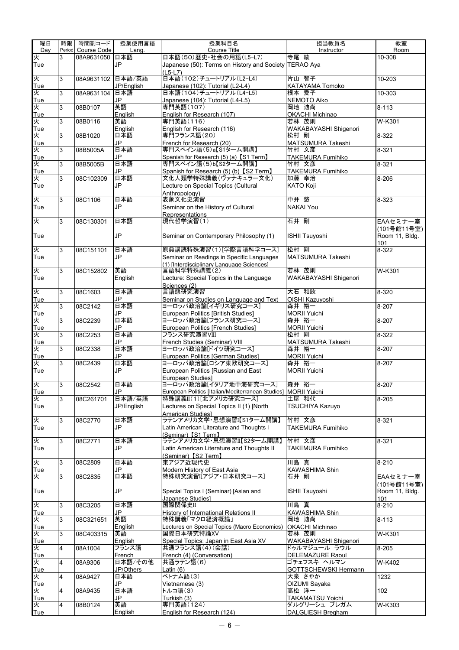| 曜日       | 時限     | 時間割コード      | 授業使用言語           | 授業科目名                                                            | 担当教員名                         | 教室                    |
|----------|--------|-------------|------------------|------------------------------------------------------------------|-------------------------------|-----------------------|
| Day      | Period | Course Code | Lang.            | Course Title                                                     | Instructor                    | Room                  |
| 火        | 3      | 08A9631050  | 日本語              | 日本語(50)歴史·社会の用語(L5-L7)                                           | 寺尾 綾                          | 10-308                |
| Tue      |        |             | JP               | Japanese (50): Terms on History and Society TERAO Aya            |                               |                       |
| 火        | 3      | 08A9631102  | 日本語/英語           | (L5-L7)<br>日本語(102)チュートリアル(L2-L4)                                | 片山 智子                         | $\overline{10} - 203$ |
| Tue      |        |             | JP/English       | Japanese (102): Tutorial (L2-L4)                                 | KATAYAMA Tomoko               |                       |
| 火        | 3      | 08A9631104  | 日本語              | 日本語(104)チュートリアル(L4-L5)                                           | 根本 愛子                         | 10-303                |
| Tue      |        |             | <b>JP</b>        | Japanese (104): Tutorial (L4-L5)                                 | NEMOTO Aiko                   |                       |
| 火        | 3      | 08B0107     | 英語               | 専門英語(107)                                                        | 岡地 迪尚                         | $8 - 113$             |
| Tue      |        |             | English          | English for Research (107)                                       | OKACHI Michinao               |                       |
| 火        | 3      | 08B0116     | 英語               | 専門英語(116)                                                        | 若林 茂則                         | W-K301                |
| Tue<br>火 | 3      | 08B1020     | English<br>日本語   | English for Research (116)<br>専門フランス語(20)                        | WAKABAYASHI Shigenori<br>松村 剛 | 8-322                 |
| Tue      |        |             | <b>JP</b>        | French for Research (20)                                         | MATSUMURA Takeshi             |                       |
| 火        | 3      | 08B5005A    | 日本語              | 専門スペイン語(5)a【S1ターム開講】                                             | 竹村 文彦                         | 8-321                 |
| Tue      |        |             | <b>JP</b>        | Spanish for Research (5) (a) [S1 Term]                           | <b>TAKEMURA Fumihiko</b>      |                       |
| 火        | 3      | 08B5005B    | 日本語              | 専門スペイン語(5)b【S2ターム開講】                                             | 竹村 文彦                         | $8 - 321$             |
| Tue      |        |             | JP               | Spanish for Research (5) (b) 【S2 Term】                           | <b>TAKEMURA Fumihiko</b>      |                       |
| 火        | 3      | 08C102309   | 日本語              | 文化人類学特殊講義(ヴァナキュラー文化)                                             | 加藤 幸治                         | 8-206                 |
| Tue      |        |             | JP               | Lecture on Special Topics (Cultural<br>Anthropology)             | <b>KATO Koji</b>              |                       |
| 火        | 3      | 08C1106     | 日本語              | 表象文化史演習                                                          | 中井 悠                          | 8-323                 |
| Tue      |        |             | JP               | Seminar on the History of Cultural                               | <b>NAKAI You</b>              |                       |
|          |        |             |                  | Representations                                                  |                               |                       |
| 火        | 3      | 08C130301   | 日本語              | 現代哲学演習(1)                                                        | 石井 剛                          | EAAセミナー室              |
|          |        |             |                  |                                                                  |                               | (101号館11号室)           |
| Tue      |        |             | <b>JP</b>        | Seminar on Contemporary Philosophy (1)                           | <b>ISHII Tsuyoshi</b>         | Room 11, Bldg.        |
| 火        | 3      |             | 日本語              | 原典講読特殊演習(1)[学際言語科学コース]                                           | 松村 剛                          | 101                   |
| Tue      |        | 08C151101   | JP               | Seminar on Readings in Specific Languages                        | MATSUMURA Takeshi             | 8-322                 |
|          |        |             |                  | (1) [Interdisciplinary Language Sciences]                        |                               |                       |
| 火        | 3      | 08C152802   | 英語               | 言語科学特殊講義(2)                                                      | 若林 茂則                         | W-K301                |
| Tue      |        |             | English          | Lecture: Special Topics in the Language                          | WAKABAYASHI Shigenori         |                       |
|          |        |             |                  | Sciences (2)                                                     |                               |                       |
| 火        | 3      | 08C1603     | 日本語              | 言語態研究演習                                                          | 大石 和欣                         | $8 - 320$             |
| Tue<br>火 | 3      | 08C2142     | <b>JP</b><br>日本語 | Seminar on Studies on Language and Text<br>ヨーロッパ政治論[イギリス研究コース]   | OISHI Kazuyoshi<br>森井 裕一      | 8-207                 |
| Tue      |        |             | JP               | European Politics [British Studies]                              | <b>MORII Yuichi</b>           |                       |
| 火        | 3      | 08C2239     | 日本語              | ヨーロッパ政治論[フランス研究コース]                                              | 森井 裕一                         | 8-207                 |
| Tue      |        |             | JP               | European Politics [French Studies]                               | <b>MORII Yuichi</b>           |                       |
| 火        | 3      | 08C2253     | 日本語              | フランス研究演習VIII                                                     | 松村 剛                          | $8 - 322$             |
| Tue      |        |             | <b>JP</b>        | French Studies (Seminar) VIII                                    | MATSUMURA Takeshi             |                       |
| 火        | 3      | 08C2338     | 日本語              | ヨーロッパ政治論[ドイツ研究コース]                                               | 森井 裕一                         | 8-207                 |
| Tue<br>火 | 3      | 08C2439     | JP<br>日本語        | European Politics [German Studies]<br>ヨーロッパ政治論[ロシア東欧研究コース]       | <b>MORII Yuichi</b><br>森井 裕一  | 8-207                 |
| Tue      |        |             | JP               | European Politics [Russian and East                              | <b>MORII Yuichi</b>           |                       |
|          |        |             |                  | European Studies]                                                |                               |                       |
| 火        | ပ      | 08C2542     | 日本語              |                                                                  | 森井 裕                          | $8 - 207$             |
| Tue      |        |             | JP               | European Politics [Italian/Mediterranean Studies]   MORII Yuichi |                               |                       |
| 火        | 3      | 08C261701   | 日本語/英語           | 特殊講義II(1)[北アメリカ研究コース]                                            | 土屋 和代                         | 8-205                 |
| Tue      |        |             | JP/English       | Lectures on Special Topics II (1) [North                         | <b>TSUCHIYA Kazuyo</b>        |                       |
| 火        | 3      | 08C2770     | 日本語              | American Studies]<br>ラテンアメリカ文学・思想演習I【S1ターム開講】                    | 竹村 文彦                         | 8-321                 |
| Tue      |        |             | JP               | Latin American Literature and Thoughts I                         | <b>TAKEMURA Fumihiko</b>      |                       |
|          |        |             |                  | (Seminar)【S1 Term】                                               |                               |                       |
| 火        | 3      | 08C2771     | 日本語              | ラテンアメリカ文学・思想演習II【S2ターム開講】                                        | 竹村 文彦                         | 8-321                 |
| Tue      |        |             | <b>JP</b>        | Latin American Literature and Thoughts II                        | <b>TAKEMURA Fumihiko</b>      |                       |
|          |        |             |                  | (Seminar) 【S2 Term】                                              |                               |                       |
| 火<br>Tue | 3      | 08C2809     | 日本語<br>JP        | 東アジア近現代史<br>Modern History of East Asia                          | 川島真<br>KAWASHIMA Shin         | $8 - 210$             |
| 火        | 3      | 08C2835     | 日本語              | 特殊研究演習I[アジア・日本研究コース]                                             | 石井 剛                          | EAAセミナー室              |
|          |        |             |                  |                                                                  |                               | (101号館11号室)           |
| Tue      |        |             | <b>JP</b>        | Special Topics I (Seminar) [Asian and                            | <b>ISHII Tsuyoshi</b>         | Room 11, Bldg.        |
|          |        |             |                  | Japanese Studies]                                                |                               | 101                   |
| 火        | 3      | 08C3205     | 日本語              | 国際関係史II                                                          | 川島真                           | $8 - 210$             |
| Tue      |        |             | JP               | History of International Relations II                            | KAWASHIMA Shin                |                       |
| 火<br>Tue | 3      | 08C321651   | 英語<br>English    | 特殊講義「マクロ経済概論」<br>Lectures on Special Topics (Macro Economics)    | 岡地 迪尚<br>OKACHI Michinao      | $8 - 113$             |
| 火        | 3      | 08C403315   | 英語               | 国際日本研究特論XV                                                       | 若林 茂則                         | W-K301                |
| Tue      |        |             | English          | Special Topics: Japan in East Asia XV                            | WAKABAYASHI Shigenori         |                       |
| 火        | 4      | 08A1004     | フランス語            | 共通フランス語(4)(会話)                                                   | ドゥルマジュール ラウル                  | 8-205                 |
| Tue      |        |             | French           | French (4) (Conversation)                                        | DELEMAZURE Raoul              |                       |
| 火        | 4      | 08A9306     | 日本語/その他          | 共通ラテン語(6)                                                        | ゴチェフスキ ヘルマン                   | W-K402                |
| Tue      |        |             | JP/Others        | Latin (6)                                                        | GOTTSCHEWSKI Hermann          |                       |
| 火        | 4      | 08A9427     | 日本語<br><b>JP</b> | ベトナム語(3)                                                         | 大泉 さやか                        | 1232                  |
| Tue<br>火 | 4      | 08A9435     | 日本語              | Vietnamese (3)<br>トルコ語(3)                                        | OIZUMI Sayaka<br>高松 洋一        | 102                   |
| Tue      |        |             | JP               | Turkish (3)                                                      | TAKAMATSU Yoichi              |                       |
| 火        | 4      | 08B0124     | 英語               | 専門英語(124)                                                        | ダルグリーシュ ブレガム                  | W-K303                |
| Tue      |        |             | English          | English for Research (124)                                       | <b>DALGLIESH Bregham</b>      |                       |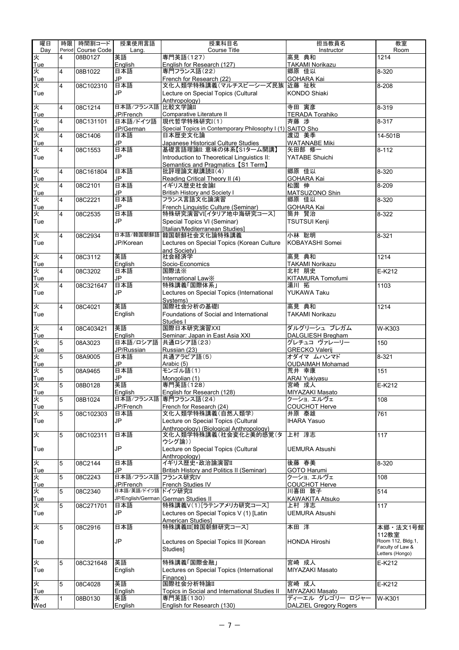| 曜日       | 時限              | 時間割コード             | 授業使用言語            | 授業科目名                                                            | 担当教員名                           | 教室                                    |
|----------|-----------------|--------------------|-------------------|------------------------------------------------------------------|---------------------------------|---------------------------------------|
| Day      |                 | Period Course Code | Lang.             | Course Title                                                     | Instructor                      | Room                                  |
| 火        | 4               | 08B0127            | 英語                | 専門英語(127)                                                        | 高見 典和                           | 1214                                  |
| Tue      |                 |                    | English           | English for Research (127)                                       | <b>TAKAMI Norikazu</b>          |                                       |
| 火        | 4               | 08B1022            | 日本語               | 専門フランス語(22)                                                      | 郷原 佳以                           | 8-320                                 |
| Tue      |                 |                    | JP                | French for Research (22)                                         | GOHARA Kai                      |                                       |
| 火        | 4               | 08C102310          | 日本語               | 文化人類学特殊講義(マルチスピーシーズ民族 近藤 祉秋                                      |                                 | $8 - 208$                             |
| Tue      |                 |                    | JP                | Lecture on Special Topics (Cultural                              | <b>KONDO Shiaki</b>             |                                       |
|          |                 |                    |                   | Anthropology)                                                    |                                 |                                       |
| 火        | $\overline{4}$  | 08C1214            | 日本語/フランス語 比較文学論II |                                                                  | 寺田 寅彦                           | 8-319                                 |
| Tue      |                 |                    | JP/French         | Comparative Literature II                                        | <b>TERADA Torahiko</b>          |                                       |
| 火        | 4               | 08C131101          | 日本語/ドイツ語          | 現代哲学特殊研究I(1)                                                     | 斉藤 渉                            | 8-317                                 |
| Tue      |                 |                    | JP/German         | Special Topics in Contemporary Philosophy I (1) SAITO Sho        |                                 |                                       |
| 火        | 4               | 08C1406            | 日本語               | 日本歴史文化論                                                          | 渡辺 美季                           | $14 - 501B$                           |
| Tue      |                 |                    | <b>JP</b>         | Japanese Historical Culture Studies                              | <b>WATANABE Miki</b>            |                                       |
| 火        | 4               | 08C1553            | 日本語               | 基礎言語理論II: 意味の体系【S1ターム開講】                                         | 矢田部 修一                          | $8 - 112$                             |
| Tue      |                 |                    | JP                | Introduction to Theoretical Linguistics II:                      | YATABE Shuichi                  |                                       |
|          |                 |                    |                   | Semantics and Pragmatics [S1 Term]                               |                                 |                                       |
| 火        | $\overline{4}$  | 08C161804          | 日本語               | 批評理論文献講読II(4)                                                    | 郷原 佳以                           | $8 - 320$                             |
| Tue      |                 |                    | <b>JP</b>         | Reading Critical Theory II (4)                                   | <b>GOHARA Kai</b>               |                                       |
| 火        | $\overline{4}$  | 08C2101            | 日本語               | イギリス歴史社会論I                                                       | 松園 伸                            | 8-209                                 |
| Tue      |                 |                    | JP                | <b>British History and Society I</b>                             | MATSUZONO Shin                  |                                       |
| 火        | 4               | 08C2221            | 日本語               | フランス言語文化論演習                                                      | 郷原 佳以                           | $8 - 320$                             |
| Tue      |                 |                    | JP                | French Linguistic Culture (Seminar)                              | <b>GOHARA Kai</b>               |                                       |
| 火        | 4               | 08C2535            | 日本語               | 特殊研究演習VI[イタリア地中海研究コース]                                           | 筒井 賢治                           | $8 - 322$                             |
| Tue      |                 |                    | JP                | Special Topics VI (Seminar)                                      | TSUTSUI Kenji                   |                                       |
|          |                 |                    |                   | [Italian/Mediterranean Studies]                                  |                                 |                                       |
| 火        | $\overline{4}$  | 08C2934            |                   | 日本語/韓国朝鮮語 韓国朝鮮社会文化論特殊講義                                          | 小林 聡明                           | 8-321                                 |
| Tue      |                 |                    | JP/Korean         | Lectures on Special Topics (Korean Culture                       | KOBAYASHI Somei                 |                                       |
|          |                 |                    |                   | and Society)                                                     |                                 |                                       |
| 火        | $\overline{4}$  | 08C3112            | 英語                | 社会経済学                                                            | 高見 典和                           | 1214                                  |
| Tue<br>火 | 4               | 08C3202            | English<br>日本語    | Socio-Economics<br>国際法※                                          | <b>TAKAMI Norikazu</b><br>北村 朋史 | $E-K212$                              |
| Tue      |                 |                    | <b>JP</b>         | International Law <sup>X</sup>                                   | KITAMURA Tomofumi               |                                       |
| 火        | 4               | 08C321647          | 日本語               | 特殊講義「国際体系」                                                       | 湯川 拓                            | 1103                                  |
| Tue      |                 |                    | JP                | Lectures on Special Topics (International                        | YUKAWA Taku                     |                                       |
|          |                 |                    |                   | Systems)                                                         |                                 |                                       |
| 火        | $\overline{4}$  | 08C4021            | 英語                | 国際社会分析の基礎I                                                       | 高見 典和                           | 1214                                  |
| Tue      |                 |                    | English           | Foundations of Social and International                          | <b>TAKAMI Norikazu</b>          |                                       |
|          |                 |                    |                   | Studies I                                                        |                                 |                                       |
| 火        | $\overline{4}$  | 08C403421          | 英語                | 国際日本研究演習XXI                                                      | ダルグリーシュ ブレガム                    | $W-K303$                              |
| Tue      |                 |                    | English           | Seminar: Japan in East Asia XXI                                  | DALGLIESH Bregham               |                                       |
| 火        | 5               | 08A3023            | 日本語/ロシア語          | 共通ロシア語(23)                                                       | グレチュコ ヴァレーリー                    | 150                                   |
| Tue      |                 |                    | JP/Russian        | Russian (23)                                                     | <b>GRECKO Valerij</b>           |                                       |
| 火        | 5               | 08A9005            | 日本語               | 共通アラビア語(5)                                                       | オダイマ ムハンマド                      | 8-321                                 |
| Tue      |                 |                    | JP                | Arabic (5)                                                       | <b>OUDAIMAH Mohamad</b>         |                                       |
| 火        | $5\phantom{.0}$ | 08A9465            | 日本語               | モンゴル語(1)                                                         | 荒井 幸康                           | 151                                   |
| Tue      |                 |                    | JP                | Mongolian (1)                                                    | <b>ARAI Yukiyasu</b>            |                                       |
| λź       | 5               | 08B0128            | 英語                | 専門英語(128)                                                        | 宮崎 成人                           | E-K212                                |
| Tue      |                 |                    | English           | English for Research (128)                                       | MIYAZAKI Masato                 |                                       |
| ¥        | 5               | 08B1024            |                   | 日本語/フランス語 専門フランス語(24)                                            | クーショ. エルヴェ                      | 108                                   |
| Tue      |                 |                    | JP/French         | French for Research (24)                                         | <b>COUCHOT Herve</b>            |                                       |
| 火        | 5               | 08C102303          | 日本語<br>JP         | 文化人類学特殊講義(自然人類学)                                                 | 井原 泰雄<br><b>IHARA Yasuo</b>     | 761                                   |
| Tue      |                 |                    |                   | Lecture on Special Topics (Cultural                              |                                 |                                       |
| 火        | 5               | 08C102311          | 日本語               | Anthropology) (Biological Anthropology)<br>文化人類学特殊講義(社会変化と美的感覚(タ | 上村 淳志                           | 117                                   |
|          |                 |                    |                   | ウシグ論))                                                           |                                 |                                       |
| Tue      |                 |                    | <b>JP</b>         | Lecture on Special Topics (Cultural                              | UEMURA Atsushi                  |                                       |
|          |                 |                    |                   | Anthropology)                                                    |                                 |                                       |
| 火        | 5               | 08C2144            | 日本語               | イギリス歴史·政治論演習II                                                   | 後藤 春美                           | 8-320                                 |
| Tue      |                 |                    | JP                | British History and Politics II (Seminar)                        | <b>GOTO Harumi</b>              |                                       |
| 火        | 5               | 08C2243            | 日本語/フランス語         | フランス研究IV                                                         | クーショ. エルヴェ                      | 108                                   |
| Tue      |                 |                    | JP/French         | <b>French Studies IV</b>                                         | <b>COUCHOT Herve</b>            |                                       |
| 火        | 5               | 08C2340            | 日本語/英語/ドイツ語       | ドイツ研究II                                                          | 川喜田 敦子                          | 514                                   |
| Tue      |                 |                    | JP/English/German | <b>German Studies II</b>                                         | <b>KAWAKITA Atsuko</b>          |                                       |
| 火        | 5               | 08C271701          | 日本語               | 特殊講義V(1)[ラテンアメリカ研究コース]                                           | 上村 淳志                           | 117                                   |
| Tue      |                 |                    | JP                | Lectures on Special Topics V (1) [Latin                          | <b>UEMURA Atsushi</b>           |                                       |
|          |                 |                    |                   | <b>American Studies1</b>                                         |                                 |                                       |
| 火        | 5               | 08C2916            | 日本語               | 特殊講義III[韓国朝鮮研究コース]                                               | 本田 洋                            | 本郷・法文1号館                              |
|          |                 |                    |                   |                                                                  |                                 | 112教室                                 |
| Tue      |                 |                    | <b>JP</b>         | Lectures on Special Topics III [Korean                           | <b>HONDA Hiroshi</b>            | Room 112, Bldg.1,<br>Faculty of Law & |
|          |                 |                    |                   | Studies1                                                         |                                 | Letters (Hongo)                       |
| 火        | 5               | 08C321648          | 英語                | 特殊講義「国際金融」                                                       | 宮崎 成人                           | E-K212                                |
| Tue      |                 |                    | English           | Lectures on Special Topics (International                        | MIYAZAKI Masato                 |                                       |
|          |                 |                    |                   | Finance)                                                         |                                 |                                       |
| 火        | 5               | 08C4028            | 英語                | 国際社会分析特論II                                                       | 宮崎 成人                           | $E-K212$                              |
| Tue      |                 |                    | English           | Topics in Social and International Studies II                    | MIYAZAKI Masato                 |                                       |
| 水        | 1               | 08B0130            | 英語                | 専門英語(130)                                                        | ディーエル グレゴリー ロジャー                | W-K301                                |
| Wed      |                 |                    | English           | English for Research (130)                                       | <b>DALZIEL Gregory Rogers</b>   |                                       |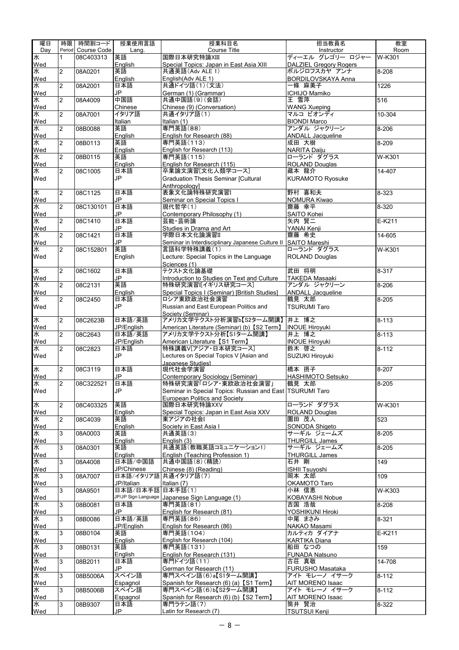| 曜日       | 時限             | 時間割コード      | 授業使用言語               | 授業科目名                                                                              | 担当教員名                                     | 教室                    |
|----------|----------------|-------------|----------------------|------------------------------------------------------------------------------------|-------------------------------------------|-----------------------|
| Day      | Period         | Course Code | Lang.                | <b>Course Title</b>                                                                | Instructor                                | Room                  |
| 水        | 1              | 08C403313   | 英語                   | 国際日本研究特論XIII                                                                       | ディーエル グレゴリー ロジャー                          | W-K301                |
| Wed      |                |             | English              | Special Topics: Japan in East Asia XIII                                            | DALZIEL Gregory Rogers                    |                       |
| 水<br>Wed | 2              | 08A0201     | 英語<br>English        | 共通英語(Adv ALE 1)<br>English(Adv ALE 1)                                              | ボルジロフスカヤ アンナ<br><b>BORDILOVSKAYA Anna</b> | 8-208                 |
| 水        | $\overline{2}$ | 08A2001     | 日本語                  | 共通ドイツ語(1)(文法)                                                                      | 一條 麻美子                                    | 1226                  |
| Wed      |                |             | <b>JP</b>            | German (1) (Grammar)                                                               | ICHIJO Mamiko                             |                       |
| 水        | $\overline{2}$ | 08A4009     | 中国語                  | 共通中国語(9)(会話)                                                                       | 王雪萍                                       | $\overline{516}$      |
| Wed      |                |             | Chinese              | Chinese (9) (Conversation)                                                         | <b>WANG Xueping</b>                       |                       |
| 水        | $\overline{2}$ | 08A7001     | イタリア語                | 共通イタリア語(1)                                                                         | マルコ ビオンディ                                 | 10-304                |
| Wed      |                |             | Italian              | Italian (1)                                                                        | <b>BIONDI Marco</b>                       |                       |
| ¥        | $\overline{2}$ | 08B0088     | 英語                   | 専門英語(88)                                                                           | アンダル ジャクリーン                               | 8-206                 |
| Wed<br>¥ | $\overline{2}$ | 08B0113     | English<br>英語        | English for Research (88)<br>専門英語(113)                                             | <b>ANDALL Jacqueline</b><br>成田 大樹         | 8-209                 |
| Wed      |                |             | Enalish              | English for Research (113)                                                         | NARITA Daiju                              |                       |
| ¥        | $\overline{2}$ | 08B0115     | 英語                   | 専門英語(115)                                                                          | ローランド ダグラス                                | $\overline{W}$ -K301  |
| Wed      |                |             | English              | English for Research (115)                                                         | ROLAND Douglas                            |                       |
| 水        | $\overline{2}$ | 08C1005     | 日本語                  | 卒業論文演習[文化人類学コース]                                                                   | 藏本 龍介                                     | $\overline{14-407}$   |
| Wed      |                |             | JP                   | <b>Graduation Thesis Seminar [Cultural</b>                                         | <b>KURAMOTO Ryosuke</b>                   |                       |
|          |                |             |                      | Anthropoloavl                                                                      |                                           |                       |
| ¥        | $\overline{2}$ | 08C1125     | 日本語                  | 表象文化論特殊研究演習I                                                                       | 野村 喜和夫                                    | $\sqrt{8} - 323$      |
| Wed<br>¥ | $\overline{2}$ | 08C130101   | JP<br>日本語            | Seminar on Special Topics I<br>現代哲学(1)                                             | NOMURA Kiwao<br>齋藤 幸平                     | 8-320                 |
| Wed      |                |             | JP                   | Contemporary Philosophy (1)                                                        | SAITO Kohei                               |                       |
| ¥        | $\overline{2}$ | 08C1410     | 日本語                  | 芸能·芸術論                                                                             | 矢内 賢二                                     | $E-K211$              |
| Wed      |                |             | JP                   | Studies in Drama and Art                                                           | YANAI Kenji                               |                       |
| 水        | $\overline{2}$ | 08C1421     | 日本語                  | 学際日本文化論演習Ⅱ                                                                         | 齋藤 希史                                     | $\overline{14} - 605$ |
| Wed      |                |             | JP.                  | Seminar in Interdisciplinary Japanese Culture II                                   | <b>SAITO Mareshi</b>                      |                       |
| 水        | $\overline{2}$ | 08C152801   | 英語                   | 言語科学特殊講義(1)                                                                        | ローランド ダグラス                                | $\overline{W}$ -K301  |
| Wed      |                |             | English              | Lecture: Special Topics in the Language                                            | <b>ROLAND Douglas</b>                     |                       |
|          |                |             |                      | Sciences (1)                                                                       |                                           |                       |
| ¥<br>Wed | $\overline{2}$ | 08C1602     | 日本語<br>JP            | テクスト文化論基礎<br>Introduction to Studies on Text and Culture                           | 武田 将明<br><b>TAKEDA Masaaki</b>            | 8-317                 |
| 水        | $\overline{2}$ | 08C2131     | 英語                   | 特殊研究演習I[イギリス研究コース]                                                                 | アンダル ジャクリーン                               | $8 - 206$             |
| Wed      |                |             | English              | Special Topics I (Seminar) [British Studies]                                       | <b>ANDALL Jacqueline</b>                  |                       |
| ¥        | $\overline{2}$ | 08C2450     | 日本語                  | ロシア東欧政治社会演習                                                                        | 鶴見 太郎                                     | 8-205                 |
| Wed      |                |             | JP                   | Russian and East European Politics and                                             | <b>TSURUMI Taro</b>                       |                       |
|          |                |             |                      | Society (Seminar)                                                                  |                                           |                       |
| ¥        | $\overline{2}$ | 08C2623B    | 日本語/英語               | アメリカ文学テクスト分析演習b【S2ターム開講】                                                           | 井上 博之                                     | $8 - 113$             |
| Wed<br>水 | $\overline{2}$ | 08C2643     | JP/English<br>日本語/英語 | American Literature (Seminar) (b) [S2 Term]<br>アメリカ文学テクスト分析【S1ターム開講】               | <b>INOUE Hiroyuki</b><br>井上 博之            | $8 - 113$             |
| Wed      |                |             | JP/English           | American Literature 【S1 Term】                                                      | <b>INOUE Hiroyuki</b>                     |                       |
| 水        | $\overline{2}$ | 08C2823     | 日本語                  | 特殊講義V「アジア·日本研究コース」                                                                 | 鈴木 啓之                                     | $\overline{8} - 112$  |
| Wed      |                |             | JP                   | Lectures on Special Topics V [Asian and                                            | SUZUKI Hiroyuki                           |                       |
|          |                |             |                      | Japanese Studiesl                                                                  |                                           |                       |
| 水        | 2              | 08C3119     | 日本語                  | 現代社会学演習                                                                            | 橋本 摂子                                     | 8-207                 |
| Wed      |                |             | JP                   | Contemporary Sociology (Seminar)                                                   | HASHIMOTO Setsuko<br>鶴見 太郎                |                       |
| 水<br>Wed | 2              | 08C322521   | 日本語<br>JP            | 特殊研究演習「ロシア・東欧政治社会演習」<br>Seminar in Special Topics: Russian and East   TSURUMI Taro |                                           | $8 - 205$             |
|          |                |             |                      | European Politics and Society                                                      |                                           |                       |
| 水        | $\overline{2}$ | 08C403325   | 英語                   | 国際日本研究特論XXV                                                                        | ローランド ダグラス                                | W-K301                |
| Wed      |                |             | English              | Special Topics: Japan in East Asia XXV                                             | <b>ROLAND Douglas</b>                     |                       |
| 水        | $\overline{2}$ | 08C4039     | 英語                   | 東アジアの社会I                                                                           | 園田 茂人                                     | 523                   |
| Wed      |                |             | English              | Society in East Asia I                                                             | SONODA Shigeto                            |                       |
| 水        | 3              | 08A0003     | 英語                   | 共通英語(3)                                                                            | サーギル ジェームズ                                | 8-205                 |
| Wed<br>水 | 3              | 08A0301     | English<br>英語        | English (3)<br>共通英語(教職英語コミュニケーション1)                                                | <b>THURGILL James</b><br>サーギル ジェームズ       | 8-205                 |
| Wed      |                |             | English              | English (Teaching Profession 1)                                                    | <b>THURGILL James</b>                     |                       |
| 水        | 3              | 08A4008     | 日本語/中国語              | 共通中国語(8)(精読)                                                                       | 石井 剛                                      | 149                   |
| Wed      |                |             | JP/Chinese           | Chinese (8) (Reading)                                                              | <b>ISHII Tsuyoshi</b>                     |                       |
| 水        | 3              | 08A7007     |                      | 日本語/イタリア語 共通イタリア語(7)                                                               | 岡本 太郎                                     | 109                   |
| Wed      |                |             | JP/Italian           | Italian (7)                                                                        | OKAMOTO Taro                              |                       |
| 水        | 3              | 08A9501     | 日本語/日本手話 日本手話(1)     |                                                                                    | 小林 信恵                                     | $\overline{W}$ -K303  |
| Wed      |                |             |                      | JP/JP Sign Language Japanese Sign Language (1)                                     | KOBAYASHI Nobue                           |                       |
| 水<br>Wed | 3              | 08B0081     | 日本語<br>JP            | 専門英語(81)                                                                           | 吉国 浩哉<br>YOSHIKUNI Hiroki                 | 8-208                 |
| 水        | 3              | 08B0086     | 日本語/英語               | English for Research (81)<br>専門英語(86)                                              | 中尾 まさみ                                    | 8-321                 |
| Wed      |                |             | JP/English           | English for Research (86)                                                          | NAKAO Masami                              |                       |
| 水        | 3              | 08B0104     | 英語                   | 専門英語(104)                                                                          | カルティカ ダイアナ                                | E-K211                |
| Wed      |                |             | English              | English for Research (104)                                                         | <b>KARTIKA Diana</b>                      |                       |
| 水        | 3              | 08B0131     | 英語                   | 専門英語(131)                                                                          | 船田 なつの                                    | 159                   |
| Wed      |                |             | English              | English for Research (131)                                                         | FUNADA Natsuno                            |                       |
| 水        | 3              | 08B2011     | 日本語                  | 専門ドイツ語(11)                                                                         | 古荘 真敬                                     | $\overline{14-708}$   |
| Wed<br>水 | 3              | 08B5006A    | JP<br>スペイン語          | German for Research (11)<br>専門スペイン語(6)a【S1ターム開講】                                   | FURUSHO Masataka<br>アイト モレーノ イサーク         | $8 - 112$             |
| Wed      |                |             | Espagnol             | Spanish for Research (6) (a) [S1 Term]                                             | AIT MORENO Isaac                          |                       |
| 水        | 3              | 08B5006B    | スペイン語                | 専門スペイン語(6)b【S2ターム開講】                                                               | アイト モレーノ イサーク                             | $\overline{8} - 112$  |
| Wed      |                |             | Espagnol             | Spanish for Research (6) (b) 【S2 Term】                                             | AIT MORENO Isaac                          |                       |
| 水        | 3              | 08B9307     | 日本語                  | 専門ラテン語(7)                                                                          | 筒井 賢治                                     | $8 - 322$             |
| Wed      |                |             | JP                   | Latin for Research (7)                                                             | TSUTSUI Kenji                             |                       |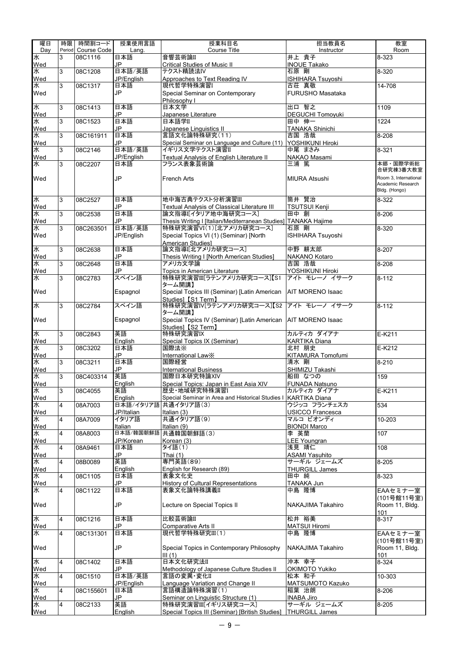| 曜日       | 時限             | 時間割コード                 | 授業使用言語               | 授業科目名                                                                            | 担当教員名                                | 教室                                         |
|----------|----------------|------------------------|----------------------|----------------------------------------------------------------------------------|--------------------------------------|--------------------------------------------|
| Day<br>水 | Period<br>3    | Course Code<br>08C1116 | Lang.<br>日本語         | <b>Course Title</b><br>音響芸術論II                                                   | Instructor<br>井上 貴子                  | Room<br>8-323                              |
| Wed      |                |                        | JP                   | Critical Studies of Music II                                                     | <b>INOUE Takako</b>                  |                                            |
| 水        | 3              | 08C1208                | 日本語/英語               | テクスト精読法IV                                                                        | 石原 剛                                 | $8 - 320$                                  |
| Wed      |                |                        | JP/English           | Approaches to Text Reading IV                                                    | <b>ISHIHARA Tsuyoshi</b>             |                                            |
| 水        | 3              | 08C1317                | 日本語                  | 現代哲学特殊演習I                                                                        | 古荘 真敬                                | $\overline{14} - 708$                      |
| Wed      |                |                        | JP                   | Special Seminar on Contemporary                                                  | <b>FURUSHO Masataka</b>              |                                            |
| 水        | 3              | 08C1413                | 日本語                  | Philosophy I<br>日本文学                                                             | 出口 智之                                | 1109                                       |
| Wed      |                |                        | JP                   | Japanese Literature                                                              | <b>DEGUCHI Tomoyuki</b>              |                                            |
| 水        | 3              | 08C1523                | 日本語                  | 日本語学II                                                                           | 田中 伸一                                | 1224                                       |
| Wed      |                |                        | JP                   | Japanese Linguistics II                                                          | <b>TANAKA Shinichi</b>               |                                            |
| 水        | 3              | 08C161911              | 日本語                  | 言語文化論特殊研究(11)                                                                    | 吉国 浩哉                                | 8-208                                      |
| Wed<br>水 | 3              | 08C2146                | JP<br>日本語/英語         | Special Seminar on Language and Culture (11)   YOSHIKUNI Hiroki<br>イギリス文学テクスト演習Ⅱ | 中尾 まさみ                               | $8 - 321$                                  |
| Wed      |                |                        | JP/English           | Textual Analysis of English Literature II                                        | NAKAO Masami                         |                                            |
| 水        | 3              | 08C2207                | 日本語                  | フランス表象芸術論                                                                        | 三浦 篤                                 | 本郷・国際学術総                                   |
|          |                |                        |                      |                                                                                  |                                      | 合研究棟3番大教室                                  |
| Wed      |                |                        | JP                   | <b>French Arts</b>                                                               | <b>MIURA Atsushi</b>                 | Room 3, International<br>Academic Research |
|          |                |                        |                      |                                                                                  |                                      | Bldg. (Hongo)                              |
| 水        | 3              | 08C2527                | 日本語                  | 地中海古典テクスト分析演習Ⅲ                                                                   | 筒井 賢治                                | $8 - 322$                                  |
| Wed      |                |                        | JP                   | Textual Analysis of Classical Literature III                                     | <b>TSUTSUI Kenji</b>                 |                                            |
| 水        | 3              | 08C2538                | 日本語                  | 論文指導I[イタリア地中海研究コース]                                                              | 田中 創                                 | 8-206                                      |
| Wed      |                |                        | JP                   | Thesis Writing I [Italian/Mediterranean Studies] TANAKA Hajime                   |                                      |                                            |
| 水        | 3              | 08C263501              | 日本語/英語               | 特殊研究演習VI(1)[北アメリカ研究コース]                                                          | 石原 剛                                 | 8-320                                      |
| Wed      |                |                        | JP/English           | Special Topics VI (1) (Seminar) [North                                           | <b>ISHIHARA Tsuvoshi</b>             |                                            |
|          |                |                        |                      | American Studies1                                                                |                                      |                                            |
| 水        | 3              | 08C2638                | 日本語<br>JP            | 論文指導I【北アメリカ研究コース】                                                                | 中野 耕太郎                               | 8-207                                      |
| Wed<br>水 | 3              | 08C2648                | 日本語                  | Thesis Writing I [North American Studies]<br>アメリカ文学論                             | NAKANO Kotaro<br>吉国 浩哉               | 8-208                                      |
| Wed      |                |                        | JP                   | Topics in American Literature                                                    | YOSHIKUNI Hiroki                     |                                            |
| 水        | 3              | 08C2783                | スペイン語                | 特殊研究演習III[ラテンアメリカ研究コース]【S1                                                       | アイト モレーノ イサーク                        | $8 - 112$                                  |
|          |                |                        |                      | ターム開講】                                                                           |                                      |                                            |
| Wed      |                |                        | Espagnol             | Special Topics III (Seminar) [Latin American   AIT MORENO Isaac                  |                                      |                                            |
| 水        | 3              | 08C2784                | スペイン語                | Studies] [S1 Term]<br>特殊研究演習IV[ラテンアメリカ研究コース]【S2                                  | アイト モレーノ イサーク                        | $8 - 112$                                  |
|          |                |                        |                      | ターム開講】                                                                           |                                      |                                            |
| Wed      |                |                        | Espagnol             | Special Topics IV (Seminar) [Latin American   AIT MORENO Isaac                   |                                      |                                            |
|          |                |                        |                      | Studies] [S2 Term]                                                               |                                      |                                            |
| 水        | 3              | 08C2843                | 英語                   | 特殊研究演習IX                                                                         | カルティカダイアナ                            | $E-K211$                                   |
| Wed<br>水 | 3              | 08C3202                | English<br>日本語       | Special Topics IX (Seminar)<br>国際法※                                              | <b>KARTIKA Diana</b><br>北村 朋史        | $E-K212$                                   |
| Wed      |                |                        | JP                   | International Law <sup>X</sup>                                                   | KITAMURA Tomofumi                    |                                            |
| 水        | 3              | 08C3211                | 日本語                  | 国際経営                                                                             | 清水 剛                                 | $8 - 210$                                  |
| Wed      |                |                        | JP                   | <b>International Business</b>                                                    | SHIMIZU Takashi                      |                                            |
| 水        | 3              | 08C403314              | 英語                   | 国際日本研究特論XIV                                                                      | 船田 なつの                               | 159                                        |
| Wed<br>水 |                |                        | English              | Special Topics: Japan in East Asia XIV                                           | <b>FUNADA Natsuno</b>                |                                            |
|          | ن              | 08C4055                | 英語                   | 歴史·地域研究特殊演習I                                                                     | カルティカ ダイアナ                           | $E-K211$                                   |
| Wed<br>水 |                |                        | English<br>日本語/イタリア語 | Special Seminar in Area and Historical Studies I                                 | <b>KARTIKA Diana</b><br>ウジッコ フランチェスカ |                                            |
|          | 4              | 08A7003                | JP/Italian           | 共通イタリア語(3)<br>Italian (3)                                                        | <b>USICCO Francesca</b>              | 534                                        |
| Wed<br>水 | 4              | 08A7009                | イタリア語                | 共通イタリア語(9)                                                                       | マルコ ビオンディ                            | 10-203                                     |
| Wed      |                |                        | Italian              | Italian (9)                                                                      | <b>BIONDI Marco</b>                  |                                            |
| 水        | 4              | 08A8003                | 日本語/韓国朝鮮語            | 共通韓国朝鮮語(3)                                                                       | 李 英蘭                                 | 107                                        |
| Wed      |                |                        | JP/Korean            | Korean (3)                                                                       | <b>LEE Youngran</b>                  |                                            |
| 水        | 4              | 08A9461                | 日本語                  | タイ語(1)                                                                           | 浅見 靖仁                                | 108                                        |
| Wed      |                |                        | JP                   | Thai $(1)$                                                                       | <b>ASAMI Yasuhito</b>                |                                            |
| 水<br>Wed | $\overline{4}$ | 08B0089                | 英語                   | 専門英語(89)<br>English for Research (89)                                            | サーギル ジェームズ                           | 8-205                                      |
| 水        | 4              | 08C1105                | English<br>日本語       | 表象文化史                                                                            | <b>THURGILL James</b><br>田中 純        | 8-323                                      |
| Wed      |                |                        | JP                   | History of Cultural Representations                                              | TANAKA Jun                           |                                            |
| 水        | 4              | 08C1122                | 日本語                  | 表象文化論特殊講義II                                                                      | 中島 隆博                                | EAAセミナー室                                   |
|          |                |                        |                      |                                                                                  |                                      | (101号館11号室)                                |
| Wed      |                |                        | JP                   | Lecture on Special Topics II                                                     | NAKAJIMA Takahiro                    | Room 11, Bldg.                             |
|          |                |                        |                      |                                                                                  |                                      | 101                                        |
| 水        | $\overline{4}$ | 08C1216                | 日本語                  | 比較芸術論II                                                                          | 松井 裕美                                | 8-317                                      |
| Wed<br>水 | 4              | 08C131301              | JP<br>日本語            | Comparative Arts II<br>現代哲学特殊研究III(1)                                            | <b>MATSUI Hiromi</b><br>中島 隆博        | EAAセミナー室                                   |
|          |                |                        |                      |                                                                                  |                                      | (101号館11号室)                                |
| Wed      |                |                        | JP                   | Special Topics in Contemporary Philosophy                                        | NAKAJIMA Takahiro                    | Room 11, Bldg.                             |
|          |                |                        |                      | III(1)                                                                           |                                      | 101                                        |
| 水        | $\overline{4}$ | 08C1402                | 日本語                  | 日本文化研究法II                                                                        | 沖本 幸子                                | 8-324                                      |
| Wed      |                |                        | JP                   | Methodology of Japanese Culture Studies II                                       | OKIMOTO Yukiko                       |                                            |
| 水        | $\overline{4}$ | 08C1510                | 日本語/英語               | 言語の変異·変化II                                                                       | 松本 和子                                | 10-303                                     |
| Wed<br>求 | 4              | 08C155601              | JP/English<br>日本語    | Language Variation and Change II<br>言語構造論特殊演習(1)                                 | MATSUMOTO Kazuko<br>稲葉 治朗            | 8-206                                      |
|          |                |                        | JP                   | Seminar on Linguistic Structure (1)                                              | <b>INABA Jiro</b>                    |                                            |
| Wed<br>水 | 4              | 08C2133                | 英語                   | 特殊研究演習III[イギリス研究コース]                                                             | サーギル ジェームズ                           | $8 - 205$                                  |
| Wed      |                |                        | English              | Special Topics III (Seminar) [British Studies]   THURGILL James                  |                                      |                                            |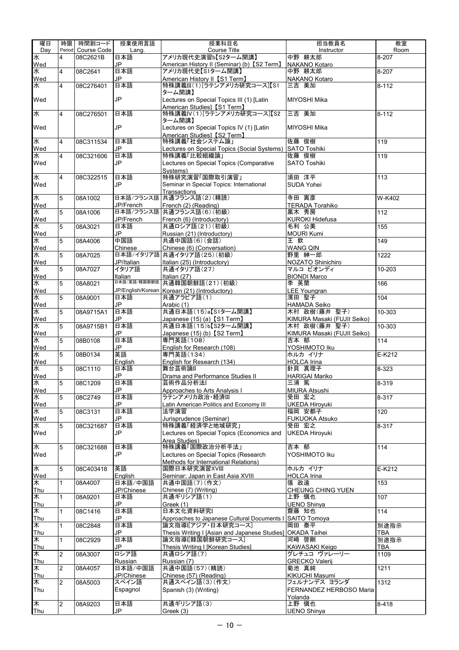| 曜日        | 時限             | 時間割コード      | 授業使用言語                 | 授業科目名                                                    | 担当教員名                                       | 教室         |
|-----------|----------------|-------------|------------------------|----------------------------------------------------------|---------------------------------------------|------------|
| Day       | Period         | Course Code | Lang.                  | Course Title                                             | Instructor                                  | Room       |
| 水         | 4              | 08C2621B    | 日本語                    | アメリカ現代史演習b【S2ターム開講】                                      | 中野 耕太郎                                      | 8-207      |
| Wed<br>水  |                |             | JP                     | American History II (Seminar) (b) 【S2 Term】              | <b>NAKANO Kotaro</b>                        |            |
| Wed       | 4              | 08C2641     | 日本語<br>JP              | アメリカ現代史【S1ターム開講】<br>American History II 【S1 Term】        | 中野 耕太郎<br><b>NAKANO Kotaro</b>              | 8-207      |
| 氶         | 4              | 08C276401   | 日本語                    | 特殊講義III(1)[ラテンアメリカ研究コース]【S1                              | 三吉 美加                                       | $8 - 112$  |
|           |                |             |                        | ターム開講】                                                   |                                             |            |
| Wed       |                |             | JP                     | Lectures on Special Topics III (1) [Latin                | MIYOSHI Mika                                |            |
|           |                |             |                        | American Studies] [S1 Term]                              |                                             |            |
| 水         | 4              | 08C276501   | 日本語                    | 特殊講義IV(1)[ラテンアメリカ研究コース]【S2                               | 三吉 美加                                       | $8 - 112$  |
| Wed       |                |             | JP                     | ターム開講】<br>Lectures on Special Topics IV (1) [Latin       | <b>MIYOSHI Mika</b>                         |            |
|           |                |             |                        | American Studies] [S2 Term]                              |                                             |            |
| 水         | 4              | 08C311534   | 日本語                    | 特殊講義「社会システム論」                                            | 佐藤 俊樹                                       | 119        |
| Wed       |                |             | JP                     | Lectures on Special Topics (Social Systems) SATO Toshiki |                                             |            |
| 水         | 4              | 08C321606   | 日本語                    | 特殊講義「比較組織論」                                              | 佐藤 俊樹                                       | 119        |
| Wed       |                |             | JP                     | Lectures on Special Topics (Comparative                  | <b>SATO Toshiki</b>                         |            |
| 水         | $\overline{4}$ | 08C322515   | 日本語                    | Systems)<br>特殊研究演習「国際取引演習」                               | 須田 洋平                                       | 113        |
| Wed       |                |             | JP                     | Seminar in Special Topics: International                 | <b>SUDA Yohei</b>                           |            |
|           |                |             |                        | Transactions                                             |                                             |            |
| 水         | $\overline{5}$ | 08A1002     |                        | 日本語/フランス語 共通フランス語(2)(精読)                                 | 寺田 寅彦                                       | W-K402     |
| Wed       |                |             | JP/French              | French (2) (Reading)                                     | <b>TERADA Torahiko</b>                      |            |
| 水         | 5              | 08A1006     | 日本語/フランス語<br>JP/French | 共通フランス語(6)(初級)                                           | 黒木 秀房                                       | 112        |
| Wed<br>水  | 5              | 08A3021     | 日本語                    | French (6) (Introductory)<br>共通ロシア語(21)(初級)              | <b>KUROKI Hidefusa</b><br>毛利 公美             | 155        |
|           |                |             | JP                     | Russian (21) (Introductory)                              | <b>MOURI Kumi</b>                           |            |
| Wed<br>水  | 5              | 08A4006     | 中国語                    | 共通中国語(6)(会話)                                             | 王欽                                          | 149        |
| Wed       |                |             | Chinese                | Chinese (6) (Conversation)                               | <b>WANG QIN</b>                             |            |
| 水         | 5              | 08A7025     |                        | 日本語/イタリア語 共通イタリア語(25)(初級)                                | 野里 紳一郎                                      | 1222       |
| Wed       |                |             | JP/Italian             | Italian (25) (Introductory)                              | NOZATO Shinichiro                           |            |
| 水<br>Wed  | 5              | 08A7027     | イタリア語<br>Italian       | 共通イタリア語(27)<br>Italian (27)                              | マルコ ビオンディ<br><b>BIONDI Marco</b>            | 10-203     |
| 水         | 5              | 08A8021     | 日本語/英語/韓国朝鮮語           | 共通韓国朝鮮語(21)(初級)                                          | 李 英蘭                                        | 166        |
| Wed       |                |             |                        | JP/English/Korean Korean (21) (Introductory)             | LEE Youngran                                |            |
| 水         | 5              | 08A9001     | 日本語                    | 共通アラビア語(1)                                               | 濱田 聖子                                       | 104        |
| Wed       |                |             | JP                     | Arabic (1)                                               | HAMADA Seiko                                |            |
| 水         | 5              | 08A9715A1   | 日本語                    | 共通日本語(15)a【S1ターム開講】                                      | 木村 政樹(藤井 聖子)                                | 10-303     |
| Wed<br>水  | 5              | 08A9715B1   | JP<br>日本語              | Japanese (15) (a) [S1 Term]<br>共通日本語(15)b【S2ターム開講】       | KIMURA Masaki (FUJII Seiko)<br>木村 政樹(藤井 聖子) | 10-303     |
| Wed       |                |             | JP                     | Japanese (15) (b) [S2 Term]                              | KIMURA Masaki (FUJII Seiko)                 |            |
| 水         | 5              | 08B0108     | 日本語                    | 専門英語(108)                                                | 吉本 郁                                        | 114        |
| Wed       |                |             | JP                     | English for Research (108)                               | YOSHIMOTO Iku                               |            |
| 水         | 5              | 08B0134     | 英語                     | 専門英語(134)                                                | ホルカイリナ                                      | $E-K212$   |
| Wed       |                |             | English                | English for Research (134)<br>舞台芸術論II                    | <b>HOLCA</b> Irina                          |            |
| 水<br>Wed  | 5              | 08C1110     | 日本語<br>JP              | Drama and Performance Studies II                         | 針貝 真理子<br>HARIGAI Mariko                    | $8 - 323$  |
| 水         | 5              | 08C1209     | 日本語                    | 芸術作品分析法                                                  | 三浦 篤                                        | 8-319      |
| Wed       |                |             | JP                     | Approaches to Arts Analysis I                            | <b>MIURA Atsushi</b>                        |            |
| 水         | 5              | 08C2749     | 日本語                    | ラテンアメリカ政治·経済III                                          | 受田 宏之                                       | 8-317      |
| Wed       |                |             | JP                     | Latin American Politics and Economy III                  | UKEDA Hiroyuki                              |            |
| 水<br>Wed  | 5              | 08C3131     | 日本語                    | 法学演習                                                     | 福岡 安都子                                      | 120        |
| 水         | 5              | 08C321687   | JP<br>日本語              | Jurisprudence (Seminar)<br>特殊講義「経済学と地域研究」                | FUKUOKA Atsuko<br>受田 宏之                     | 8-317      |
| Wed       |                |             | JP                     | Lectures on Special Topics (Economics and                | <b>UKEDA Hiroyuki</b>                       |            |
|           |                |             |                        | Area Studies)                                            |                                             |            |
| 水         | 5              | 08C321688   | 日本語                    | 特殊講義「国際政治分析手法」                                           | 吉本 郁                                        | 114        |
| Wed       |                |             | JP                     | Lectures on Special Topics (Research                     | YOSHIMOTO Iku                               |            |
| 水         | 5              | 08C403418   | 英語                     | Methods for International Relations)<br>国際日本研究演習XVIII    | ホルカイリナ                                      | E-K212     |
| Wed       |                |             | English                | Seminar: Japan in East Asia XVIII                        | <b>HOLCA Irina</b>                          |            |
| 床         | 1              | 08A4007     | 日本語/中国語                | 共通中国語(7)(作文)                                             | 張 政遠                                        | 153        |
| Thu       |                |             | JP/Chinese             | Chinese (7) (Writing)                                    | CHEUNG CHING YUEN                           |            |
| ҟ         | 1              | 08A9201     | 日本語                    | 共通ギリシア語(1)                                               | 上野 愼也                                       | 107        |
| Thu       |                |             | JP                     | Greek (1)                                                | <b>UENO Shinya</b>                          |            |
| ℻<br>Thu  | 1              | 08C1416     | 日本語<br>JP              | 日本文化資料研究I<br>Approaches to Japanese Cultural Documents I | 齋藤 知也<br>SAITO Tomoya                       | 114        |
| ౹⋇        | 1              | 08C2848     | 日本語                    | 論文指導I[アジア・日本研究コース]                                       | 岡田 泰平                                       | 別途指示       |
| Thu       |                |             | JP                     | Thesis Writing I [Asian and Japanese Studies]            | OKADA Taihei                                | TBA        |
| $\ast$    | 1              | 08C2929     | 日本語                    | 論文指導[[韓国朝鮮研究コース]                                         | 河崎 啓剛                                       | 別途指示       |
| Thu       |                |             | JP                     | Thesis Writing I [Korean Studies]                        | KAWASAKI Keigo                              | <b>TBA</b> |
| 末         | $\overline{2}$ | 08A3007     | ロシア語                   | 共通ロシア語(7)                                                | グレチュコ ヴァレーリー                                | 1109       |
| Thu<br>⊺* | $\overline{2}$ | 08A4057     | Russian<br>日本語/中国語     | Russian (7)<br>共通中国語(57)(精読)                             | <b>GRECKO Valerij</b><br>菊池 真純              | 1211       |
| Thu       |                |             | JP/Chinese             | Chinese (57) (Reading)                                   | KIKUCHI Masumi                              |            |
| ҟ         | 2              | 08A5003     | スペイン語                  | 共通スペイン語(3)(作文)                                           | フェルナンデス ヨランダ                                | 1312       |
| Thu       |                |             | Espagnol               | Spanish (3) (Writing)                                    | FERNANDEZ HERBOSO Maria                     |            |
|           |                |             |                        |                                                          | Yolanda                                     |            |
| ౹⋇        | $\overline{2}$ | 08A9203     | 日本語                    | 共通ギリシア語(3)                                               | 上野 慎也                                       | 8-418      |
| Thu       |                |             | JP                     | Greek (3)                                                | <b>UENO Shinya</b>                          |            |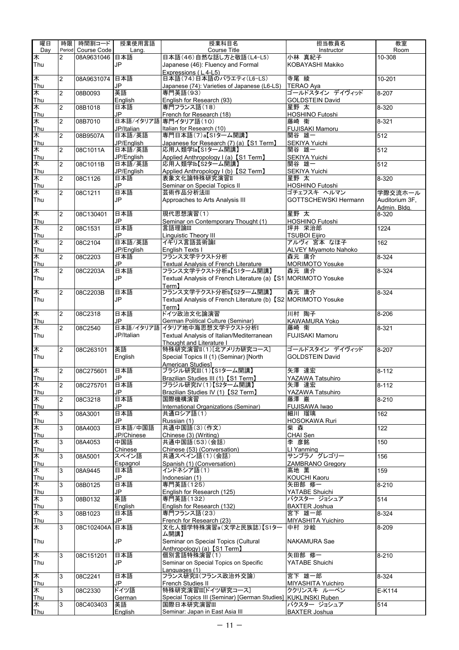| 曜日            | 時限             | 時間割コード         | 授業使用言語                                                                  | 授業科目名                                                                                       | 担当教員名                                     | 教室                    |
|---------------|----------------|----------------|-------------------------------------------------------------------------|---------------------------------------------------------------------------------------------|-------------------------------------------|-----------------------|
| Day           | Period         | Course Code    | Lang.                                                                   | Course Title                                                                                | Instructor                                | Room                  |
| ≸             | 2              | 08A9631046     | 日本語                                                                     | 日本語(46)自然な話し方と敬語(L4-L5)                                                                     | 小林 真紀子                                    | 10-308                |
| Thu           |                |                | JP                                                                      | Japanese (46): Fluency and Formal                                                           | KOBAYASHI Makiko                          |                       |
| ★             |                |                | 日本語                                                                     | Expressions (L4-L5)<br>日本語(74)日本語のバラエティ(L6-LS)                                              | 寺尾 綾                                      |                       |
| Thu           | 2              | 08A9631074     | <b>JP</b>                                                               | Japanese (74): Varieties of Japanese (L6-LS)                                                | <b>TERAO Aya</b>                          | $10 - 201$            |
| 木             | $\overline{2}$ | 08B0093        | 英語                                                                      | 専門英語(93)                                                                                    | ゴールドスタイン デイヴィッド                           | $8 - 207$             |
| Thu           |                |                | English                                                                 | English for Research (93)                                                                   | <b>GOLDSTEIN David</b>                    |                       |
| $\ast$        | $\overline{2}$ | 08B1018        | 日本語                                                                     | 専門フランス語(18)                                                                                 | 星野 太                                      | 8-320                 |
| Thu           |                |                | JP                                                                      | French for Research (18)                                                                    | <b>HOSHINO Futoshi</b>                    |                       |
| 木             | 2              | 08B7010        |                                                                         | 日本語/イタリア語 専門イタリア語(10)                                                                       | 藤崎 衛                                      | 8-321                 |
| Thu           |                |                | JP/Italian                                                              | Italian for Research (10)<br>専門日本語(7)a【S1ターム開講】                                             | <b>FUJISAKI Mamoru</b>                    |                       |
| 木<br>Thu      | $\overline{2}$ | 08B9507A       | 日本語/英語<br>JP/English                                                    |                                                                                             | 関谷 雄一<br><b>SEKIYA Yuichi</b>             | 512                   |
| ₭             | $\overline{2}$ | 08C1011A       | 日本語/英語                                                                  | Japanese for Research (7) (a) 【S1 Term】<br>応用人類学Ia【S1ターム開講】                                 | 関谷 雄一                                     | 512                   |
| Thu           |                |                | JP/English                                                              | Applied Anthropology I (a) [S1 Term]                                                        | SEKIYA Yuichi                             |                       |
| ★             | $\overline{2}$ | 08C1011B       | 日本語/英語                                                                  | 応用人類学Ib【S2ターム開講】                                                                            | 関谷 雄一                                     | 512                   |
| Thu           |                |                | JP/English                                                              | Applied Anthropology I (b) 【S2 Term】                                                        | SEKIYA Yuichi                             |                       |
| $\ast$        | $\overline{2}$ | 08C1126        | 日本語                                                                     | 表象文化論特殊研究演習Ⅱ                                                                                | 星野 太                                      | 8-320                 |
| Thu           |                |                | <b>JP</b>                                                               | Seminar on Special Topics II                                                                | HOSHINO Futoshi                           |                       |
| 木             | $\overline{2}$ | 08C1211        | 日本語                                                                     | 芸術作品分析法III                                                                                  | ゴチェフスキ ヘルマン                               | 学際交流ホール               |
| Thu           |                |                | JP                                                                      | Approaches to Arts Analysis III                                                             | <b>GOTTSCHEWSKI Hermann</b>               | Auditorium 3F.        |
| 木             | $\overline{2}$ | 08C130401      | 日本語                                                                     | 現代思想演習(1)                                                                                   | 星野 太                                      | Admin. Bldg.<br>8-320 |
| Thu           |                |                | JP                                                                      | Seminar on Contemporary Thought (1)                                                         | <b>HOSHINO Futoshi</b>                    |                       |
| 木             | $\overline{2}$ | 08C1531        | 日本語                                                                     | 言語理論Ⅲ                                                                                       | 坪井 栄治郎                                    | 1224                  |
| Thu           |                |                | JP                                                                      | <b>Linguistic Theory III</b>                                                                | <b>TSUBOI Eijiro</b>                      |                       |
| ₭             | $\overline{2}$ | 08C2104        | 日本語/英語                                                                  | イギリス言語芸術論I                                                                                  | アルヴィ 宮本 なほ子                               | 162                   |
| Thu           |                |                | JP/Enalish                                                              | English Texts I                                                                             | <b>ALVEY Miyamoto Nahoko</b>              |                       |
| 木             | $\overline{2}$ | 08C2203        | 日本語                                                                     | フランス文学テクスト分析                                                                                | 森元 庸介                                     | 8-324                 |
| Thu           |                |                | <b>JP</b>                                                               | Textual Analysis of French Literature                                                       | <b>MORIMOTO Yosuke</b>                    |                       |
| $\ast$        | $\overline{2}$ | 08C2203A       | 日本語<br><b>JP</b>                                                        | フランス文学テクスト分析a【S1ターム開講】                                                                      | 森元 庸介                                     | 8-324                 |
| Thu           |                |                |                                                                         | Textual Analysis of French Literature (a) 【S1 MORIMOTO Yosuke<br>$\mathsf{Term} \mathbf{1}$ |                                           |                       |
| ₭             | $\overline{2}$ | 08C2203B       | 日本語                                                                     | フランス文学テクスト分析b【S2ターム開講】                                                                      | 森元 庸介                                     | 8-324                 |
| Thu           |                |                | JP.                                                                     | Textual Analysis of French Literature (b) [S2 MORIMOTO Yosuke                               |                                           |                       |
|               |                |                |                                                                         | Term <sub>1</sub>                                                                           |                                           |                       |
| 木             | 2              | 08C2318        | 日本語                                                                     | ドイツ政治文化論演習                                                                                  | 川村 陶子                                     | 8-206                 |
| Thu           |                |                | JP.                                                                     | German Political Culture (Seminar)                                                          | KAWAMURA Yoko                             |                       |
| ★             | $\overline{2}$ | 08C2540        | 日本語/イタリア語                                                               | イタリア地中海思想文学テクスト分析I                                                                          | 藤崎 衛                                      | 8-321                 |
| Thu           |                |                | JP/Italian                                                              | Textual Analysis of Italian/Mediterranean                                                   | <b>FUJISAKI Mamoru</b>                    |                       |
|               |                |                | 英語                                                                      | Thought and Literature I                                                                    |                                           |                       |
| $\ast$<br>Thu | $\overline{2}$ | 08C263101      | English                                                                 | 特殊研究演習II(1)[北アメリカ研究コース]<br>Special Topics II (1) (Seminar) [North                           | ゴールドスタイン デイヴィッド<br><b>GOLDSTEIN David</b> | 8-207                 |
|               |                |                |                                                                         | American Studies]                                                                           |                                           |                       |
| ₭             | $\overline{2}$ | 08C275601      | 日本語                                                                     | ブラジル研究III(1)【S1ターム開講】                                                                       | 矢澤 達宏                                     | $8 - 112$             |
| Thu           |                |                | $\mathsf{JP}% (\mathcal{M}_{0})\rightarrow\mathsf{SP}(\mathcal{M}_{0})$ | Brazilian Studies III (1) 【S1 Term】                                                         | YAZAWA Tatsuhiro                          |                       |
| ∧             | $\overline{2}$ | 08C275701      | 日本語                                                                     | ブラジル研究IV(1)【S2ターム開講】                                                                        | 大涬 達厷                                     | $8 - 112$             |
| Thu           |                |                | JP                                                                      | Brazilian Studies IV (1) [S2 Term]                                                          | YAZAWA Tatsuhiro                          |                       |
| ₭             | $\overline{2}$ | 08C3218        | 日本語                                                                     | 国際機構演習                                                                                      | 藤澤 巌                                      | $8 - 210$             |
| Thu           |                |                | JP                                                                      | International Organizations (Seminar)                                                       | FUJISAWA Iwao                             |                       |
| 木             | 3              | 08A3001        | 日本語                                                                     | 共通ロシア語(1)                                                                                   | 細川 瑠璃                                     | 162                   |
| Thu           |                |                | JP                                                                      | Russian (1)<br>共通中国語(3)(作文)                                                                 | HOSOKAWA Ruri                             |                       |
| ₭<br>Thu      | 3              | 08A4003        | 日本語/中国語<br>JP/Chinese                                                   | Chinese (3) (Writing)                                                                       | 柴森<br>CHAI Sen                            | 122                   |
| ≸             | 3              | 08A4053        | 中国語                                                                     | 共通中国語(53)(会話)                                                                               | 李 彦銘                                      | 150                   |
| Thu           |                |                | Chinese                                                                 | Chinese (53) (Conversation)                                                                 | LI Yanming                                |                       |
| ≸             | 3              | 08A5001        | スペイン語                                                                   | 共通スペイン語(1)(会話)                                                                              | サンブラノ グレゴリー                               | 156                   |
| Thu           |                |                | Espagnol                                                                | Spanish (1) (Conversation)                                                                  | <b>ZAMBRANO Gregory</b>                   |                       |
| ₭             | 3              | 08A9445        | 日本語                                                                     | インドネシア語(1)                                                                                  | 高地 薫                                      | 159                   |
| Thu           |                |                | JP                                                                      | Indonesian (1)                                                                              | KOUCHI Kaoru                              |                       |
| $\ast$        | 3              | 08B0125        | 日本語<br>JP                                                               | 専門英語(125)                                                                                   | 矢田部 修一                                    | $8 - 210$             |
| Thu<br>木      | 3              | 08B0132        | 英語                                                                      | English for Research (125)<br>専門英語(132)                                                     | YATABE Shuichi<br>バクスター ジョシュア             | 514                   |
| Thu           |                |                | English                                                                 | English for Research (132)                                                                  | <b>BAXTER Joshua</b>                      |                       |
| ★             | 3              | 08B1023        | 日本語                                                                     | 専門フランス語(23)                                                                                 | 宮下 雄一郎                                    | 8-324                 |
| Thu           |                |                | JP                                                                      | French for Research (23)                                                                    | MIYASHITA Yuichiro                        |                       |
| 木             | 3              | 08C102404A 日本語 |                                                                         | 文化人類学特殊演習a(文学と民族誌)【S1ター                                                                     | 中村 沙絵                                     | 8-209                 |
|               |                |                |                                                                         | ム開講】                                                                                        |                                           |                       |
| Thu           |                |                | JP                                                                      | Seminar on Special Topics (Cultural                                                         | NAKAMURA Sae                              |                       |
|               |                |                |                                                                         | Anthropology) (a) [S1 Term]                                                                 |                                           |                       |
| ★             | 3              | 08C151201      | 日本語                                                                     | 個別言語特殊演習(1)                                                                                 | 矢田部 修一                                    | $8 - 210$             |
| Thu           |                |                | JP                                                                      | Seminar on Special Topics on Specific<br>Languages (1)                                      | YATABE Shuichi                            |                       |
| ₭             | 3              | 08C2241        | 日本語                                                                     | フランス研究II(フランス政治外交論)                                                                         | 宮下 雄一郎                                    | 8-324                 |
| Thu           |                |                | JP.                                                                     | French Studies II                                                                           | MIYASHITA Yuichiro                        |                       |
| ★             | 3              | 08C2330        | ドイツ語                                                                    | 特殊研究演習III[ドイツ研究コース]                                                                         | ククリンスキ ルーベン                               | $E-K114$              |
| Thu           |                |                | German                                                                  | Special Topics III (Seminar) [German Studies] KUKLINSKI Ruben                               |                                           |                       |
| 木             | 3              | 08C403403      | 英語                                                                      | 国際日本研究演習Ⅲ                                                                                   | バクスター ジョシュア                               | 514                   |
| Thu           |                |                | English                                                                 | Seminar: Japan in East Asia III                                                             | <b>BAXTER Joshua</b>                      |                       |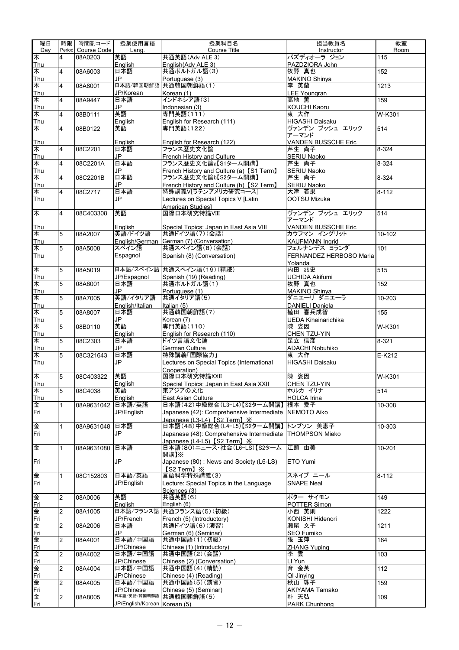| 曜日             | 時限                      | 時間割コード             | 授業使用言語                       | 授業科目名                                                               | 担当教員名                      | 教室                    |
|----------------|-------------------------|--------------------|------------------------------|---------------------------------------------------------------------|----------------------------|-----------------------|
| Day            |                         | Period Course Code | Lang.                        | <b>Course Title</b>                                                 | Instructor                 | Room                  |
| ¥              | 4                       | 08A0203            | 英語                           | 共通英語(Adv ALE 3)                                                     | パズディオーラ ジョン                | 115                   |
| Thu            |                         |                    | English                      | English(Adv ALE 3)                                                  | PAZDZIORA John             |                       |
| 木              | 4                       | 08A6003            | 日本語                          | 共通ポルトガル語(3)                                                         | 牧野 真也                      | 152                   |
| Thu            |                         |                    | JP.                          | Portuguese (3)                                                      | <b>MAKINO Shinya</b>       |                       |
| ¥              | $\overline{4}$          | 08A8001            |                              | 日本語/韓国朝鮮語 共通韓国朝鮮語(1)                                                | 李 英蘭                       | 1213                  |
| Thu            |                         |                    | JP/Korean                    | Korean (1)                                                          | <b>LEE Youngran</b>        |                       |
| ¥              | 4                       | 08A9447            | 日本語                          | インドネシア語(3)                                                          | 高地 薫                       | 159                   |
| Thu            |                         |                    | JP                           | Indonesian (3)                                                      | <b>KOUCHI Kaoru</b>        |                       |
| ¥              | 4                       | 08B0111            | 英語                           | 専門英語(111)                                                           | 東 大作                       | $W-K301$              |
| Thu            |                         |                    | English                      | English for Research (111)                                          | HIGASHI Daisaku            |                       |
| 末              | 4                       | 08B0122            | 英語                           | 専門英語(122)                                                           | ヴァンデン ブッシュ エリック            | 514                   |
|                |                         |                    |                              |                                                                     | アーマンド                      |                       |
| Thu            |                         |                    | English                      | English for Research (122)                                          | <b>VANDEN BUSSCHE Eric</b> |                       |
| ¥              | $\overline{4}$          | 08C2201            | 日本語                          | フランス歴史文化論                                                           | 芹生 尚子                      | 8-324                 |
| Thu            |                         |                    | JP                           | French History and Culture                                          | SERIU Naoko                |                       |
| 木              | $\overline{4}$          | 08C2201A           | 日本語<br>JP                    | フランス歴史文化論a【S1ターム開講】                                                 | 芹生 尚子                      | $8 - 324$             |
| Thu<br>末       | $\overline{4}$          | 08C2201B           | 日本語                          | French History and Culture (a) [S1 Term]<br>フランス歴史文化論b【S2ターム開講】     | SERIU Naoko<br>芹生 尚子       | $8 - 324$             |
|                |                         |                    | JP                           |                                                                     |                            |                       |
| Thu<br>≭       | 4                       |                    | 日本語                          | French History and Culture (b) [S2 Term]<br>特殊講義V[ラテンアメリカ研究コース]     | SERIU Naoko<br>大津 若果       | $8 - 112$             |
| Thu            |                         | 08C2717            | JP                           |                                                                     | OOTSU Mizuka               |                       |
|                |                         |                    |                              | Lectures on Special Topics V [Latin                                 |                            |                       |
| 末              | 4                       | 08C403308          | 英語                           | <b>American Studies1</b><br>国際日本研究特論VIII                            | ヴァンデン ブッシュ エリック            | 514                   |
|                |                         |                    |                              |                                                                     | アーマンド                      |                       |
| <b>Thu</b>     |                         |                    | English                      | Special Topics: Japan in East Asia VIII                             | <b>VANDEN BUSSCHE Eric</b> |                       |
| ¥              | 5                       | 08A2007            | 英語/ドイツ語                      | 共通ドイツ語(7)(会話)                                                       | カウフマン イングリット               | 10-102                |
| Thu            |                         |                    |                              | English/German   German (7) (Conversation)                          | <b>KAUFMANN Ingrid</b>     |                       |
| 木              | 5                       | 08A5008            | スペイン語                        | 共通スペイン語(8)(会話)                                                      | フェルナンデス ヨランダ               | 101                   |
| Thu            |                         |                    | Espagnol                     | Spanish (8) (Conversation)                                          | FERNANDEZ HERBOSO Maria    |                       |
|                |                         |                    |                              |                                                                     | Yolanda                    |                       |
| 末              | 5                       | 08A5019            |                              | 日本語/スペイン語 共通スペイン語(19)(精読)                                           | 内田 兆史                      | $\overline{515}$      |
| Thu            |                         |                    | JP/Espagnol                  | Spanish (19) (Reading)                                              | <b>UCHIDA Akifumi</b>      |                       |
| ≭              | 5                       | 08A6001            | 日本語                          | 共通ポルトガル語(1)                                                         | 牧野 真也                      | 152                   |
| Thu            |                         |                    | JP                           | Portuguese (1)                                                      | MAKINO Shinya              |                       |
| $\overline{*}$ | 5                       | 08A7005            | 英語/イタリア語                     | 共通イタリア語(5)                                                          | ダニエーリ ダニエーラ                | $\overline{10} - 203$ |
| Thu            |                         |                    | English/Italian              | Italian (5)                                                         | <b>DANIELI Daniela</b>     |                       |
| ¥              | 5                       | 08A8007            | 日本語                          | 共通韓国朝鮮語(7)                                                          | 植田 喜兵成智                    | 155                   |
| Thu            |                         |                    | JP.                          | Korean (7)                                                          | <b>UEDA Kiheinarichika</b> |                       |
| 木              | 5                       | 08B0110            | 英語                           | 専門英語(110)                                                           | 陳 姿因                       | W-K301                |
| Thu            |                         |                    | English                      | English for Research (110)                                          | CHEN TZU-YIN               |                       |
| 末              | 5                       | 08C2303            | 日本語                          | ドイツ言語文化論                                                            | 足立信彦                       | $8 - 321$             |
| Thu            |                         |                    | JP                           | German Culture                                                      | <b>ADACHI Nobuhiko</b>     |                       |
| 木              | 5                       | 08C321643          | 日本語                          | 特殊講義「国際協力」                                                          | 東 大作                       | $E-K212$              |
| Thu            |                         |                    | JP                           | Lectures on Special Topics (International                           | <b>HIGASHI Daisaku</b>     |                       |
|                |                         |                    |                              | Cooperation)                                                        |                            |                       |
| 末              | 5                       | 08C403322          | 英語                           | 国際日本研究特論XXII                                                        | 陳 姿因                       | $\overline{W}$ -K301  |
| Thu            |                         |                    | English                      | Special Topics: Japan in East Asia XXII                             | CHEN TZU-YIN               |                       |
| 末              | 5                       | 08C4038            | 英語                           | 東アジアの文化                                                             | ホルカ イリナ                    | 514                   |
| Thu            |                         |                    | English                      | East Asian Culture                                                  | <b>HOLCA</b> Irina         |                       |
| 金              | $\mathbf{1}$            | 08A9631042 日本語/英語  |                              | 日本語(42)中級総合(L3-L4)【S2ターム開講】                                         | 根本 愛子                      | 10-308                |
| Fri            |                         |                    | JP/English                   | Japanese (42): Comprehensive Intermediate NEMOTO Aiko               |                            |                       |
|                |                         |                    |                              | Japanese (L3-L4)【S2 Term】※<br>日本語(48)中級総合(L4-L5)【S2ターム開講】 トンプソン 美恵子 |                            |                       |
| 金              | $\mathbf{1}$            | 08A9631048         | 日本語                          |                                                                     | <b>THOMPSON Mieko</b>      | 10-303                |
| Fri            |                         |                    | JP                           | Japanese (48): Comprehensive Intermediate                           |                            |                       |
| 金              | $\mathbf{1}$            | 08A9631080         | 日本語                          | Japanese (L4-L5) 【S2 Term】※<br>日本語(80)ニュース·社会(L6-LS)【S2ターム          | 江頭 由美                      | 10-201                |
|                |                         |                    |                              | 開講】※                                                                |                            |                       |
| Fri            |                         |                    | JP                           | Japanese (80): News and Society (L6-LS)                             | ETO Yumi                   |                       |
|                |                         |                    |                              | <b>IS2 Term 1 X</b>                                                 |                            |                       |
| 金              | $\mathbf{1}$            | 08C152803          | 日本語/英語                       | 言語科学特殊講義(3)                                                         | スネイプニール                    | $8 - 112$             |
| Fri            |                         |                    | JP/English                   | Lecture: Special Topics in the Language                             | <b>SNAPE Neal</b>          |                       |
|                |                         |                    |                              | Sciences (3)                                                        |                            |                       |
| 金              | $\overline{2}$          | 08A0006            | 英語                           | 共通英語(6)                                                             | ポター サイモン                   | 149                   |
| <u>Fri</u>     |                         |                    | English                      | English (6)                                                         | POTTER Simon               |                       |
| 金              | 2                       | 08A1005            |                              | 日本語/フランス語 共通フランス語(5)(初級)                                            | 小西 英則                      | $\overline{1}$ 222    |
| <u>Fri</u>     |                         |                    | JP/French                    | French (5) (Introductory)                                           | KONISHI Hidenori           |                       |
| 金              | $\overline{2}$          | 08A2006            | 日本語                          | 共通ドイツ語(6)(演習)                                                       | 瀬尾 文子                      | 1211                  |
| <u>Fri</u>     |                         |                    | JP                           | German (6) (Seminar)                                                | SEO Fumiko                 |                       |
| 金              | $\overline{\mathbf{c}}$ | 08A4001            | 日本語/中国語                      | 共通中国語(1)(初級)                                                        | 張 玉萍                       | 164                   |
| <u>Fri</u>     |                         |                    | JP/Chinese                   | Chinese (1) (Introductory)                                          | <b>ZHANG Yuping</b>        |                       |
| 金              | 2                       | 08A4002            | 日本語/中国語                      | 共通中国語(2)(会話)                                                        | 李雲                         | 103                   |
| <u>Fri</u>     |                         |                    | JP/Chinese                   | Chinese (2) (Conversation)                                          | LI Yun                     |                       |
| 金              | $\overline{2}$          | 08A4004            | 日本語/中国語                      | 共通中国語(4)(精読)                                                        | 斉 金英                       | $\frac{1}{112}$       |
| Fri            |                         |                    | JP/Chinese                   | Chinese (4) (Reading)                                               | QI Jinying                 |                       |
| 金              | $\overline{2}$          | 08A4005            | 日本語/中国語                      | 共通中国語(5)(演習)                                                        | 秋山 珠子                      | 159                   |
| <u>Fri</u>     |                         |                    | JP/Chinese                   | Chinese (5) (Seminar)                                               | <b>AKIYAMA Tamako</b>      |                       |
| 金              | $\overline{2}$          | 08A8005            | 日本語/英語/韓国朝鮮語                 | 共通韓国朝鮮語(5)                                                          | 朴 天弘                       | 109                   |
| Fri            |                         |                    | JP/English/Korean Korean (5) |                                                                     | PARK Chunhong              |                       |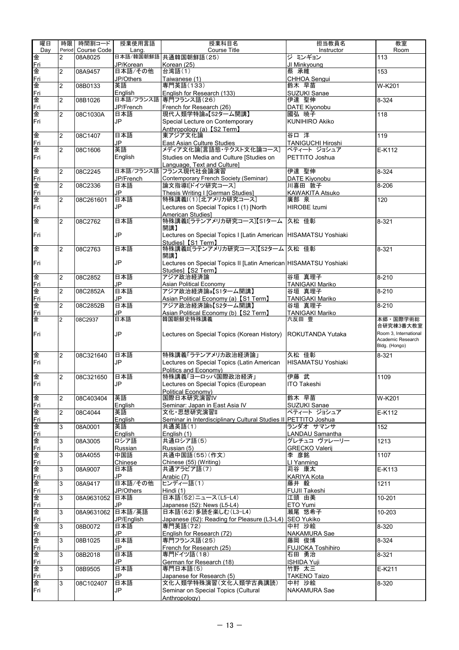| 曜日              | 時限             | 時間割コード             | 授業使用言語           | 授業科目名                                                             | 担当教員名                     | 教室                    |
|-----------------|----------------|--------------------|------------------|-------------------------------------------------------------------|---------------------------|-----------------------|
| Dav             |                | Period Course Code | Lang.            | Course Title                                                      | Instructor                | Room                  |
| 金               | $\overline{2}$ | 08A8025            |                  | 日本語/韓国朝鮮語 共通韓国朝鮮語(25)                                             | ジミンギョン                    | 113                   |
| <u>Fri</u>      |                |                    | JP/Korean        | Korean (25)                                                       | JI Minkyoung              |                       |
| 金               | $\overline{2}$ | 08A9457            | 日本語/その他          | 台湾語(1)                                                            | 蔡 承維                      | 153                   |
| Fri             |                |                    | JP/Others        | Taiwanese (1)                                                     | CHHOA Senqui              |                       |
| 金               | $\overline{c}$ | 08B0133            | 英語               | 専門英語(133)                                                         | 鈴木 早苗                     | W-K201                |
| Fri             |                |                    | English          | English for Research (133)                                        | <b>SUZUKI Sanae</b>       |                       |
| 金               | $\overline{2}$ | 08B1026            | JP/French        | 日本語/フランス語 専門フランス語(26)                                             | 伊達 聖伸                     | 8-324                 |
| <u>Fri</u><br>金 | $\overline{2}$ | 08C1030A           | 日本語              | French for Research (26)<br>現代人類学特論a【S2ターム開講】                     | DATE Kiyonobu<br>國弘 暁子    | 118                   |
| Fri             |                |                    | JP               | Special Lecture on Contemporary                                   | <b>KUNIHIRO Akiko</b>     |                       |
|                 |                |                    |                  | Anthropology (a) [S2 Term]                                        |                           |                       |
| 金               | $\overline{2}$ | 08C1407            | 日本語              | 東アジア文化論                                                           | 谷口 洋                      | 119                   |
| <u>Fri</u>      |                |                    | JP.              | East Asian Culture Studies                                        | <b>TANIGUCHI Hiroshi</b>  |                       |
| 金               | $\overline{2}$ | 08C1606            | 英語               | メディア文化論「言語態・テクスト文化論コース」                                           | ペティート ジョシュア               | $E-K112$              |
| Fri             |                |                    | English          | Studies on Media and Culture [Studies on                          | PETTITO Joshua            |                       |
|                 |                |                    |                  | Language, Text and Culturel                                       |                           |                       |
| 金               | $\overline{2}$ | 08C2245            | 日本語/フランス語        | フランス現代社会論演習                                                       | 伊達 聖伸                     | 8-324                 |
| Fri             |                |                    | JP/French        | Contemporary French Society (Seminar)                             | DATE Kiyonobu             |                       |
| 金               | $\overline{2}$ | 08C2336            | 日本語              | 論文指導Iドイツ研究コース]                                                    | 川喜田 敦子                    | 8-206                 |
| Fri             |                |                    | JP               | Thesis Writing I [German Studies]                                 | <b>KAWAKITA Atsuko</b>    |                       |
| 金               | $\overline{2}$ | 08C261601          | 日本語              | 特殊講義I(1)「北アメリカ研究コース]                                              | 廣部 泉                      | 120                   |
| Fri             |                |                    | JP               | Lectures on Special Topics I (1) [North                           | <b>HIROBE Izumi</b>       |                       |
| 金               | $\overline{2}$ | 08C2762            | 日本語              | American Studies1<br>特殊講義I[ラテンアメリカ研究コース]【S1ターム 久松 佳彰              |                           | 8-321                 |
|                 |                |                    |                  | 開講】                                                               |                           |                       |
| Fri             |                |                    | JP               | Lectures on Special Topics I [Latin American   HISAMATSU Yoshiaki |                           |                       |
|                 |                |                    |                  | Studies] [S1 Term]                                                |                           |                       |
| 金               | $\overline{2}$ | 08C2763            | 日本語              | 特殊講義IIラテンアメリカ研究コース】【S2ターム 久松 佳彰                                   |                           | 8-321                 |
|                 |                |                    |                  | 開講】                                                               |                           |                       |
| Fri             |                |                    | JP               | Lectures on Special Topics II [Latin American HISAMATSU Yoshiaki  |                           |                       |
|                 |                |                    |                  | Studies] [S2 Term]                                                |                           |                       |
| 金               | $\overline{2}$ | 08C2852            | 日本語              | アジア政治経済論                                                          | 谷垣 真理子                    | $8 - 210$             |
| <u>Fri</u>      |                |                    | JP               | <b>Asian Political Economy</b>                                    | <b>TANIGAKI Mariko</b>    |                       |
| 金               | $\overline{2}$ | 08C2852A           | 日本語              | アジア政治経済論a【S1ターム開講】                                                | 谷垣 真理子                    | $8 - 210$             |
| Fri<br>金        |                |                    | JP<br>日本語        | Asian Political Economy (a) [S1 Term]                             | TANIGAKI Mariko<br>谷垣 真理子 |                       |
| Fri             | $\overline{2}$ | 08C2852B           | JP.              | アジア政治経済論b【S2ターム開講】<br>Asian Political Economy (b) [S2 Term]       |                           | $8 - 210$             |
| 金               | $\overline{2}$ | 08C2937            | 日本語              | 韓国朝鮮史特殊講義                                                         | TANIGAKI Mariko<br>六反田 豊  | 本郷・国際学術総              |
|                 |                |                    |                  |                                                                   |                           | 合研究棟3番大教室             |
| Fri             |                |                    | JP               | Lectures on Special Topics (Korean History) ROKUTANDA Yutaka      |                           | Room 3. International |
|                 |                |                    |                  |                                                                   |                           | Academic Research     |
|                 |                |                    |                  |                                                                   |                           | Bldg. (Hongo)         |
| 金               | $\overline{2}$ | 08C321640          | 日本語              | 特殊講義「ラテンアメリカ政治経済論」                                                | 久松 佳彰                     | 8-321                 |
| Fri             |                |                    | JP               | Lectures on Special Topics (Latin American                        | <b>HISAMATSU Yoshiaki</b> |                       |
|                 |                |                    |                  | Politics and Economy)                                             |                           |                       |
| 金               | $\overline{2}$ | 08C321650          | 日本語              | 特殊講義「ヨーロッパ国際政治経済」                                                 | 伊藤 武                      | 1109                  |
| Fri             |                |                    | JP               | Lectures on Special Topics (European                              | <b>ITO Takeshi</b>        |                       |
| 金               |                |                    | 英語               | Political Economy)<br>国際日本研究演習IV                                  | 鈴木 早苗                     |                       |
| <u>Fri</u>      | $\overline{2}$ | 08C403404          | English          | Seminar: Japan in East Asia IV                                    | <b>SUZUKI Sanae</b>       | W-K201                |
| 金               | $\overline{2}$ | 08C4044            | 英語               | 文化·思想研究演習II                                                       | ペティート ジョシュア               | E-K112                |
| <u>Fri</u>      |                |                    | English          | Seminar in Interdisciplinary Cultural Studies II PETTITO Joshua   |                           |                       |
| 金               | 3              | 08A0001            | 英語               | 共通英語(1)                                                           | ランダオ サマンサ                 | 152                   |
| Fri             |                |                    | English          | English (1)                                                       | LANDAU Samantha           |                       |
| 金               | 3              | 08A3005            | ロシア語             | 共通ロシア語(5)                                                         | グレチュコ ヴァレーリー              | 1213                  |
| Fri             |                |                    | Russian          | Russian (5)                                                       | <b>GRECKO Valerii</b>     |                       |
| 金               | 3              | 08A4055            | 中国語              | 共通中国語(55)(作文)                                                     | 李 彦銘                      | 1107                  |
| <u>Fri</u>      |                |                    | Chinese          | Chinese (55) (Writing)                                            | LI Yanming                |                       |
| 金               | 3              | 08A9007            | 日本語              | 共通アラビア語(7)                                                        | 苅谷 康太                     | $E-K113$              |
| <u>Fri</u>      |                |                    | JP               | Arabic (7)                                                        | <b>KARIYA Kota</b>        |                       |
| 金               | 3              | 08A9417            | 日本語/その他          | ヒンディー語(1)                                                         | 藤井 毅                      | 1211                  |
| Fri<br>金        | 3              | 08A9631052         | JP/Others<br>日本語 | Hindi (1)<br>日本語(52)ニュース(L5-L4)                                   | FUJII Takeshi<br>江頭 由美    | $10-201$              |
| <u>Fri</u>      |                |                    | JP.              | Japanese (52): News (L5-L4)                                       | ETO Yumi                  |                       |
| 金               | 3              | 08A9631062         | 日本語/英語           | 日本語(62)多読を楽しむ(L3-L4)                                              | 瀬尾 悠希子                    | $10 - 203$            |
| <u>Fri</u>      |                |                    | JP/English       | Japanese (62): Reading for Pleasure (L3-L4) SEO Yukiko            |                           |                       |
| 金               | 3              | 08B0072            | 日本語              | 専門英語(72)                                                          | 中村 沙絵                     | 8-320                 |
| <u>Fri</u>      |                |                    | JP               | English for Research (72)                                         | <b>NAKAMURA Sae</b>       |                       |
| 金               | 3              | 08B1025            | 日本語              | 専門フランス語(25)                                                       | 藤岡 俊博                     | $8 - 324$             |
| <u>Fri</u>      |                |                    | JP.              | French for Research (25)                                          | <b>FUJIOKA Toshihiro</b>  |                       |
| 金               | 3              | 08B2018            | 日本語              | 専門ドイツ語(18)                                                        | 石田 勇治                     | 8-321                 |
| Fri             |                |                    | JP.              | German for Research (18)                                          | <b>ISHIDA Yuji</b>        |                       |
| 金               | 3              | 08B9505            | 日本語              | 専門日本語(5)                                                          | 竹野 太三                     | E-K211                |
| Fri             |                |                    | JP.              | Japanese for Research (5)                                         | <b>TAKENO Taizo</b>       |                       |
| 金<br>Fri        | 3              | 08C102407          | 日本語<br>JP        | 文化人類学特殊演習(文化人類学古典講読)<br>Seminar on Special Topics (Cultural       | 中村 沙絵<br>NAKAMURA Sae     | 8-320                 |
|                 |                |                    |                  | Anthropology)                                                     |                           |                       |
|                 |                |                    |                  |                                                                   |                           |                       |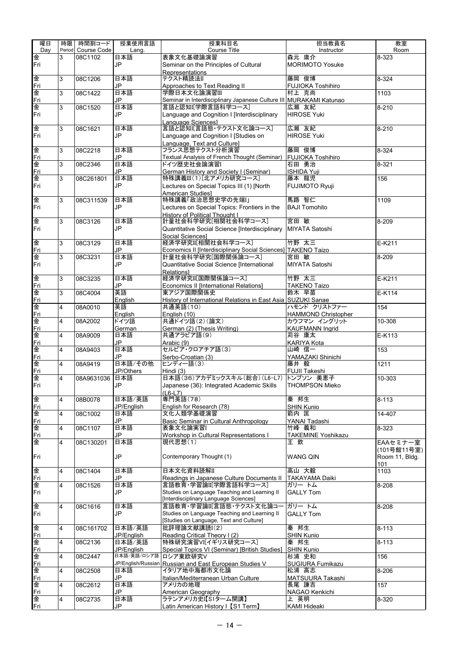| 曜日       | 時限             | 時間割コード             | 授業使用言語             | 授業科目名                                                                                  | 担当教員名                      | 教室                   |
|----------|----------------|--------------------|--------------------|----------------------------------------------------------------------------------------|----------------------------|----------------------|
| Day      |                | Period Course Code | Lang.              | <b>Course Title</b>                                                                    | Instructor                 | Room                 |
| 金        | 3              | 08C1102            | 日本語                | 表象文化基礎論演習                                                                              | 森元 庸介                      | 8-323                |
| Fri      |                |                    | <b>JP</b>          | Seminar on the Principles of Cultural                                                  | <b>MORIMOTO Yosuke</b>     |                      |
|          |                |                    |                    | <b>Representations</b>                                                                 |                            |                      |
| 争        | 3              | 08C1206            | 日本語                | テクスト精読法II                                                                              | 藤岡 俊博                      | 8-324                |
| Fri      |                |                    | JP                 | Approaches to Text Reading II                                                          | <b>FUJIOKA Toshihiro</b>   |                      |
| 俐        | 3              | 08C1422            | 日本語                | 学際日本文化論演習III                                                                           | 村上 克尚                      | 1103                 |
| Fri<br>金 | 3              | 08C1520            | JP<br>日本語          | Seminar in Interdisciplinary Japanese Culture III MURAKAMI Katunao<br>言語と認知[学際言語科学コース] | 広瀬 友紀                      | $8 - 210$            |
| Fri      |                |                    | <b>JP</b>          | Language and Cognition I [Interdisciplinary                                            | <b>HIROSE Yuki</b>         |                      |
|          |                |                    |                    | Language Sciences]                                                                     |                            |                      |
| 钾        | 3              | 08C1621            | 日本語                | 言語と認知I[言語態・テクスト文化論コース]                                                                 | 広瀬 友紀                      | $8 - 210$            |
| Fri      |                |                    | JP                 | Language and Cognition I [Studies on                                                   | <b>HIROSE Yuki</b>         |                      |
|          |                |                    |                    | Language, Text and Culture]                                                            |                            |                      |
| 钾        | 3              | 08C2218            | 日本語                | フランス思想テクスト分析演習                                                                         | 藤岡 俊博                      | 8-324                |
| Fri      |                |                    | JP                 | Textual Analysis of French Thought (Seminar)                                           | FUJIOKA Toshihiro          |                      |
| 钾        | 3              | 08C2346            | 日本語                | ドイツ歴史社会論演習I                                                                            | 石田 勇治                      | 8-321                |
| Fri      |                |                    | JP                 | German History and Society I (Seminar)                                                 | <b>ISHIDA Yuji</b>         |                      |
| 金        | 3              | 08C261801          | 日本語                | 特殊講義III(1)[北アメリカ研究コース]                                                                 | 藤本 龍児                      | 156                  |
| Fri      |                |                    | JP                 | Lectures on Special Topics III (1) [North                                              | <b>FUJIMOTO Ryuji</b>      |                      |
| 钾        | 3              |                    | 日本語                | <b>American Studies]</b><br>特殊講義「政治思想史学の先端I」                                           | 馬路 智仁                      | 1109                 |
| Fri      |                | 08C311539          | <b>JP</b>          | Lectures on Special Topics: Frontiers in the                                           | <b>BAJI Tomohito</b>       |                      |
|          |                |                    |                    | <b>History of Political Thought I</b>                                                  |                            |                      |
| 金        | 3              | 08C3126            | 日本語                | 計量社会科学研究[相関社会科学コース]                                                                    | 宮田 敏                       | 8-209                |
| Fri      |                |                    | JP                 | Quantitative Social Science [Interdisciplinary                                         | <b>MIYATA Satoshi</b>      |                      |
|          |                |                    |                    | Social Sciences1                                                                       |                            |                      |
| 争        | 3              | 08C3129            | 日本語                | 経済学研究Ⅲ相関社会科学コース】                                                                       | 竹野 太三                      | $E-K211$             |
| Fri      |                |                    | <b>JP</b>          | Economics II [Interdisciplinary Social Sciences] TAKENO Taizo                          |                            |                      |
| 钾        | 3              | 08C3231            | 日本語                | 計量社会科学研究[国際関係論コース]                                                                     | 宮田 敏                       | 8-209                |
| Fri      |                |                    | JP                 | Quantitative Social Science [International                                             | MIYATA Satoshi             |                      |
|          |                |                    |                    | Relations1                                                                             |                            |                      |
| 争        | 3              | 08C3235            | 日本語                | 経済学研究II[国際関係論コース]                                                                      | 竹野 太三                      | E-K211               |
| Fri      |                |                    | <b>JP</b>          | Economics II [International Relations]                                                 | <b>TAKENO Taizo</b>        |                      |
| 俊        | 3              | 08C4004            | 英語                 | 東アジア国際関係史                                                                              | 鈴木 早苗                      | $E-K114$             |
| Fri<br>金 | $\overline{4}$ | 08A0010            | English<br>英語      | History of International Relations in East Asia SUZUKI Sanae<br>共通英語(10)               | ハモンド クリストファー               | 154                  |
| Fri      |                |                    | English            | English (10)                                                                           | <b>HAMMOND Christopher</b> |                      |
| 争        | $\overline{4}$ | 08A2002            | ドイツ語               | 共通ドイツ語(2)(論文)                                                                          | カウフマン イングリット               | 10-308               |
| Fri      |                |                    | German             | German (2) (Thesis Writing)                                                            | <b>KAUFMANN Ingrid</b>     |                      |
| 金        | 4              | 08A9009            | 日本語                | 共通アラビア語(9)                                                                             | 苅谷 康太                      | $E-K113$             |
| Fri      |                |                    | <b>JP</b>          | Arabic (9)                                                                             | KARIYA Kota                |                      |
| 金        | 4              | 08A9403            | 日本語                | セルビア・クロアチア語(3)                                                                         | 山崎 信一                      | 153                  |
| Fri      |                |                    | JP                 | Serbo-Croatian (3)                                                                     | YAMAZAKI Shinichi          |                      |
| 金        | 4              | 08A9419            | 日本語/その他            | ヒンディー語(3)                                                                              | 藤井 毅                       | 1211                 |
| Fri      |                |                    | JP/Others          | Hindi (3)                                                                              | FUJII Takeshi              |                      |
| 金        | 4              | 08A9631036 日本語     |                    | 日本語(36)アカデミックスキル(総合)(L6-L7) トンプソン 美恵子                                                  |                            | $10 - 303$           |
| Fri      |                |                    | JP                 | Japanese (36): Integrated Academic Skills                                              | THOMPSON Mieko             |                      |
| 争        | 4              | 08B0078            | 日本語/英語             | (L6-L7)<br>専門英語(78)                                                                    | 秦 邦生                       | $8 - 113$            |
| Fri      |                |                    | JP/English         | English for Research (78)                                                              | SHIN Kunio                 |                      |
| 俐        | $\overline{4}$ | 08C1002            | 日本語                | 文化人類学基礎演習                                                                              | 箭内 匡                       | 14-407               |
| Fri      |                |                    | <b>JP</b>          | Basic Seminar in Cultural Anthropology                                                 | YANAI Tadashi              |                      |
| 金        | 4              | 08C1107            | 日本語                | 表象文化論実習I                                                                               | 竹峰 義和                      | 8-323                |
| Fri      |                |                    | JP                 | Workshop in Cultural Representations I                                                 | <b>TAKEMINE Yoshikazu</b>  |                      |
| 金        | 4              | 08C130201          | 日本語                | 現代思想(1)                                                                                | 王 欽                        | EAAセミナー室             |
|          |                |                    |                    |                                                                                        |                            | (101号館11号室)          |
| Fri      |                |                    | JP                 | Contemporary Thought (1)                                                               | <b>WANG QIN</b>            | Room 11, Bldg.       |
|          |                |                    |                    | 日本文化資料読解II                                                                             |                            | 101                  |
| 俐        | 4              | 08C1404            | 日本語<br><b>JP</b>   | Readings in Japanese Culture Documents II                                              | 高山 大毅                      | 1103                 |
| Fri<br>金 | 4              | 08C1526            | 日本語                | 言語教育・学習論II[学際言語科学コース]                                                                  | TAKAYAMA Daiki<br>ガリー トム   | 8-208                |
| Fri      |                |                    | JP                 | Studies on Language Teaching and Learning II                                           | <b>GALLY Tom</b>           |                      |
|          |                |                    |                    | [Interdisciplinary Language Sciences]                                                  |                            |                      |
| 金        | 4              | 08C1616            | 日本語                | 言語教育・学習論II[言語態・テクスト文化論コー                                                               | ガリー トム                     | 8-208                |
| Fri      |                |                    | <b>JP</b>          | Studies on Language Teaching and Learning II                                           | <b>GALLY Tom</b>           |                      |
|          |                |                    |                    | [Studies on Language, Text and Culture]                                                |                            |                      |
| 争        | 4              | 08C161702          | 日本語/英語             | 批評理論文献講読I(2)                                                                           | 秦 邦生                       | $\overline{8} - 113$ |
| Fri      |                |                    | JP/English         | Reading Critical Theory I (2)                                                          | <b>SHIN Kunio</b>          |                      |
| 金        | 4              | 08C2136            | 日本語/英語             | 特殊研究演習VI[イギリス研究コース]                                                                    | 秦 邦生                       | $8 - 113$            |
| Fri      |                |                    | JP/English         | Special Topics VI (Seminar) [British Studies]                                          | <b>SHIN Kunio</b>          |                      |
| 金        | 4              | 08C2447            | 日本語/英語/ロシア語        | ロシア東欧研究V                                                                               | 杉浦 史和                      | 156                  |
| Fri      |                |                    | JP/English/Russian | Russian and East European Studies V                                                    | SUGIURA Fumikazu           |                      |
| 钾<br>Fri | 4              | 08C2508            | 日本語<br>JP          | イタリア地中海都市文化論<br>Italian/Mediterranean Urban Culture                                    | 松浦 高志<br>MATSUURA Takashi  | 8-206                |
| 金        | 4              | 08C2612            | 日本語                | アメリカの地理                                                                                | 長尾 謙吉                      | 157                  |
| Fri      |                |                    | JP                 | American Geography                                                                     | NAGAO Kenkichi             |                      |
| 金        | 4              | 08C2735            | 日本語                | ラテンアメリカ史I【S1ターム開講】                                                                     | 上 英明                       | 8-320                |
| Fri      |                |                    | JP                 | Latin American History I【S1 Term】                                                      | KAMI Hideaki               |                      |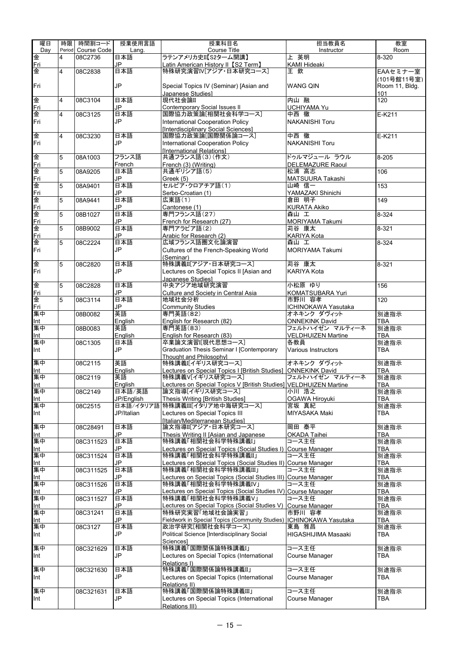| 曜日  | 時限             | 時間割コード             | 授業使用言語     | 授業科目名                                                                 | 担当教員名                     | 教室             |
|-----|----------------|--------------------|------------|-----------------------------------------------------------------------|---------------------------|----------------|
| Dav |                | Period Course Code | Lang.      | Course Title                                                          | Instructor                | Room           |
| 金   | 4              | 08C2736            | 日本語        | ラテンアメリカ史II【S2ターム開講】                                                   | 上 英明                      | 8-320          |
| Fri |                |                    | JP         | Latin American History II【S2 Term】                                    | <b>KAMI Hideaki</b>       |                |
| 金   | 4              | 08C2838            | 日本語        | 特殊研究演習IV[アジア・日本研究コース]                                                 | 王欽                        | EAAセミナー室       |
|     |                |                    |            |                                                                       |                           | (101号館11号室)    |
| Fri |                |                    | <b>JP</b>  | Special Topics IV (Seminar) [Asian and                                | <b>WANG QIN</b>           | Room 11, Bldg. |
|     |                |                    |            | Japanese Studies1                                                     |                           | 101            |
| 金   | $\overline{4}$ | 08C3104            | 日本語        | 現代社会論II                                                               | 内山 融                      | 120            |
| Fri |                |                    | <b>JP</b>  | Contemporary Social Issues II                                         | <b>UCHIYAMA Yu</b>        |                |
| 金   | $\overline{4}$ | 08C3125            | 日本語        | 国際協力政策論[相関社会科学コース]                                                    | 中西徹                       | E-K211         |
| Fri |                |                    | JP         | International Cooperation Policy                                      | <b>NAKANISHI Toru</b>     |                |
|     |                |                    |            | [Interdisciplinary Social Sciences]                                   |                           |                |
| 俐   | $\overline{4}$ | 08C3230            | 日本語        | 国際協力政策論[国際関係論コース]                                                     | 中西 徹                      | $E-K211$       |
| Fri |                |                    | JP         | International Cooperation Policy                                      | <b>NAKANISHI Toru</b>     |                |
|     |                |                    |            | [International Relations]                                             |                           |                |
| 金   | 5              | 08A1003            | フランス語      | 共通フランス語(3)(作文)                                                        | ドゥルマジュール ラウル              | $8 - 205$      |
| Fri |                |                    | French     | French (3) (Writing)                                                  | DELEMAZURE Raoul          |                |
| 俐   | 5              | 08A9205            | 日本語        | 共通ギリシア語(5)                                                            | 松浦 高志                     | 106            |
| Fri |                |                    | JP         | Greek (5)                                                             | MATSUURA Takashi          |                |
| 争   | 5              | 08A9401            | 日本語        | セルビア・クロアチア語(1)                                                        | 山崎 信一                     | 153            |
| Fri |                |                    | <b>JP</b>  | Serbo-Croatian (1)                                                    | YAMAZAKI Shinichi         |                |
| 金   | 5              | 08A9441            | 日本語        | 広東語(1)                                                                | 倉田 明子                     | 149            |
| Fri |                |                    | JP         | Cantonese (1)                                                         | <b>KURATA Akiko</b>       |                |
| 钾   | 5              | 08B1027            | 日本語        | 専門フランス語(27)                                                           | 森山 工                      | $8 - 324$      |
| Fri |                |                    | JP         | French for Research (27)                                              | <b>MORIYAMA Takumi</b>    |                |
| 金   | 5              | 08B9002            | 日本語        | 専門アラビア語(2)                                                            | 苅谷 康太                     | $8 - 321$      |
| Fri |                |                    | JP         | Arabic for Research (2)                                               | KARIYA Kota               |                |
| 金   | 5              | 08C2224            | 日本語        | 広域フランス語圏文化論演習                                                         | 森山 工                      | $8 - 324$      |
| Fri |                |                    | JP         | Cultures of the French-Speaking World                                 | <b>MORIYAMA Takumi</b>    |                |
|     |                |                    |            | (Seminar)                                                             |                           |                |
| 俐   | 5              | 08C2820            | 日本語        | 特殊講義II[アジア・日本研究コース]                                                   | 苅谷 康太                     | $8 - 321$      |
| Fri |                |                    | JP         | Lectures on Special Topics II [Asian and                              | KARIYA Kota               |                |
|     |                |                    |            | Japanese Studies1                                                     |                           |                |
| 争   | 5              | 08C2828            | 日本語        | 中央アジア地域研究演習                                                           | 小松原 ゆり                    | 156            |
| Fri |                |                    | JP         | Culture and Society in Central Asia                                   | KOMATSUBARA Yuri          |                |
| 金   | 5              | 08C3114            | 日本語        | 地域社会分析                                                                | 市野川 容孝                    | 120            |
| Fri |                |                    | JP         | <b>Community Studies</b>                                              | ICHINOKAWA Yasutaka       |                |
| 集中  |                | 08B0082            | 英語         | 専門英語(82)                                                              | オネキンク ダヴィット               | 別途指示           |
| Int |                |                    | English    | English for Research (82)                                             | <b>ONNEKINK David</b>     | TBA            |
| 集中  |                | 08B0083            | 英語         | 専門英語(83)                                                              | フェルトハイゼン マルティーネ           | 別途指示           |
| Int |                |                    | English    | English for Research (83)                                             | <b>VELDHUIZEN Martine</b> | <b>TBA</b>     |
| 集中  |                | 08C1305            | 日本語        | 卒業論文演習[現代思想コース]                                                       | 各教員                       | 別途指示           |
| Int |                |                    | JP         | Graduation Thesis Seminar I [Contemporary                             | Various Instructors       | <b>TBA</b>     |
|     |                |                    |            |                                                                       |                           |                |
| 集中  |                | 08C2115            | 英語         | Thought and Philosophy]<br>特殊講義I[イギリス研究コース]                           | オネキンク ダヴィット               | 別途指示           |
| Int |                |                    | English    | Lectures on Special Topics I [British Studies] ONNEKINK David         |                           | <b>TBA</b>     |
| 集中  |                | 08C2119            | 英語         | 特殊講義V[イギリス研究コース]                                                      | フェルトハイゼン マルティーネ           | 別途指示           |
| Int |                |                    | English    | Lectures on Special Topics V [British Studies] VELDHUIZEN Martine     |                           | TBA            |
| 集中  |                | 08C2149            | 日本語/英語     | 論文指導[イギリス研究コース]                                                       | 小川 浩之                     | 別途指示           |
| Int |                |                    | JP/English | Thesis Writing [British Studies]                                      | OGAWA Hiroyuki            | <b>TBA</b>     |
| 集中  |                | 08C2515            |            | 日本語/イタリア語 特殊講義III[イタリア地中海研究コース]                                       | 宮坂 真紀                     | 別途指示           |
| Int |                |                    | JP/Italian | Lectures on Special Topics III                                        | MIYASAKA Maki             | TBA            |
|     |                |                    |            | [Italian/Mediterranean Studies]                                       |                           |                |
| 集中  |                | 08C28491           | 日本語        | 論文指導II[アジア·日本研究コース]                                                   | 岡田 泰平                     | 別途指示           |
| Int |                |                    | JP         | Thesis Writing II [Asian and Japanese                                 | OKADA Taihei              | <b>TBA</b>     |
| 集中  |                | 08C311523          | 日本語        | 特殊講義「相関社会科学特殊講義I」                                                     | コース主任                     | 別途指示           |
| Int |                |                    | JP         | Lectures on Special Topics (Social Studies I)                         | <b>Course Manager</b>     | TBA            |
| 集中  |                | 08C311524          | 日本語        | 特殊講義「相関社会科学特殊講義II」                                                    | コース主任                     | 別途指示           |
| Int |                |                    | JP         | Lectures on Special Topics (Social Studies II)                        | Course Manager            | TBA            |
| 集中  |                | 08C311525          | 日本語        | 特殊講義「相関社会科学特殊講義III」                                                   | コース主任                     | 別途指示           |
| Int |                |                    | JP         | Lectures on Special Topics (Social Studies III) Course Manager        |                           | TBA            |
| 集中  |                | 08C311526          | 日本語        | 特殊講義「相関社会科学特殊講義IV」                                                    | コースキ仟                     | 別途指示           |
| Int |                |                    | JP         | Lectures on Special Topics (Social Studies IV) Course Manager         |                           | TBA            |
| 集中  |                | 08C311527          | 日本語        | 特殊講義「相関社会科学特殊講義V」                                                     | コース主任                     | 別途指示           |
| Int |                |                    | JP         | Lectures on Special Topics (Social Studies V)                         | Course Manager            | <b>TBA</b>     |
| 集中  |                | 08C31241           | 日本語        | 特殊研究実習「地域社会論実習」                                                       | 市野川 容孝                    | 別途指示           |
| Int |                |                    | JP         | Fieldwork in Special Topics (Community Studies)   ICHINOKAWA Yasutaka |                           | TBA            |
| 集中  |                | 08C3127            | 日本語        | 政治学研究[相関社会科学コース]                                                      | 東島 雅昌                     | 別途指示           |
| Int |                |                    | JP         | Political Science [Interdisciplinary Social                           | HIGASHIJIMA Masaaki       | TBA            |
|     |                |                    |            | Sciencesl                                                             |                           |                |
| 集中  |                | 08C321629          | 日本語        | 特殊講義「国際関係論特殊講義I」                                                      | コース主任                     | 別途指示           |
| Int |                |                    | JP         | Lectures on Special Topics (International                             | Course Manager            | TBA            |
|     |                |                    |            | Relations I)                                                          |                           |                |
| 集中  |                | 08C321630          | 日本語        | 特殊講義「国際関係論特殊講義II」                                                     | コース主任                     | 別途指示           |
| Int |                |                    | JP         | Lectures on Special Topics (International                             | Course Manager            | <b>TBA</b>     |
|     |                |                    |            | Relations II)                                                         |                           |                |
| 集中  |                | 08C321631          | 日本語        | 特殊講義「国際関係論特殊講義III」                                                    | コース主任                     | 別途指示           |
| Int |                |                    | JP         | Lectures on Special Topics (International                             | Course Manager            | TBA            |
|     |                |                    |            | Relations III)                                                        |                           |                |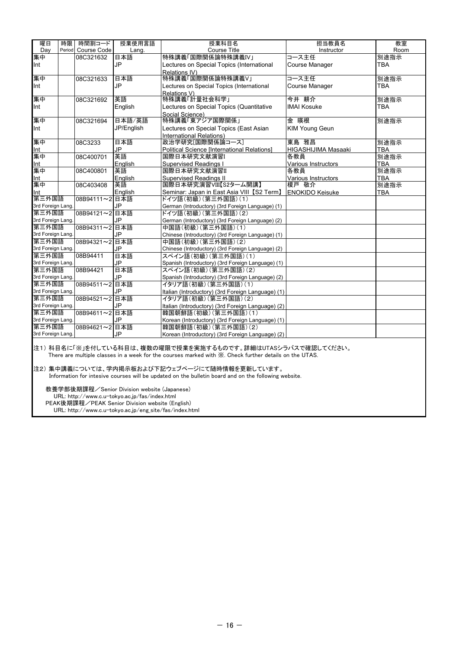| 曜日                | 時限 | 時間割コード             | 授業使用言語     | 授業科目名                                                                                                                                                                 | 担当教員名                  | 教室         |
|-------------------|----|--------------------|------------|-----------------------------------------------------------------------------------------------------------------------------------------------------------------------|------------------------|------------|
| Day               |    | Period Course Code | Lang.      | <b>Course Title</b>                                                                                                                                                   | Instructor             | Room       |
| 集中                |    | 08C321632          | 日本語        | 特殊講義「国際関係論特殊講義IV」                                                                                                                                                     | コース主任                  | 別途指示       |
| Int               |    |                    | <b>JP</b>  | Lectures on Special Topics (International                                                                                                                             | Course Manager         | <b>TBA</b> |
|                   |    |                    |            | Relations IV)                                                                                                                                                         |                        |            |
| 集中                |    | 08C321633          | 日本語        | 特殊講義「国際関係論特殊講義V」                                                                                                                                                      | コース主任                  | 別途指示       |
| Int               |    |                    | <b>JP</b>  | Lectures on Special Topics (International                                                                                                                             | <b>Course Manager</b>  | <b>TBA</b> |
|                   |    |                    |            | Relations V)                                                                                                                                                          |                        |            |
| 集中                |    | 08C321692          | 英語         | 特殊講義「計量社会科学」                                                                                                                                                          | 今井 耕介                  | 別途指示       |
| Int               |    |                    | English    | Lectures on Special Topics (Quantitative                                                                                                                              | <b>IMAI Kosuke</b>     | <b>TBA</b> |
|                   |    |                    |            | Social Science)                                                                                                                                                       |                        |            |
| 集中                |    | 08C321694          | 日本語/英語     | 特殊講義「東アジア国際関係」                                                                                                                                                        | 金 暎根                   | 別途指示       |
| Int               |    |                    | JP/English | Lectures on Special Topics (East Asian                                                                                                                                | <b>KIM Young Geun</b>  |            |
|                   |    |                    |            | International Relations)                                                                                                                                              |                        |            |
| 集中                |    | 08C3233            | 日本語        | 政治学研究[国際関係論コース]                                                                                                                                                       | 東島 雅昌                  | 別途指示       |
| Int               |    |                    | JP         | Political Science [International Relations]                                                                                                                           | HIGASHIJIMA Masaaki    | <b>TBA</b> |
| 集中                |    | 08C400701          | 英語         | 国際日本研究文献演習I                                                                                                                                                           | 各教員                    | 別途指示       |
| Int               |    |                    | English    | <b>Supervised Readings I</b>                                                                                                                                          | Various Instructors    | <b>TBA</b> |
| 集中                |    | 08C400801          | 英語         | 国際日本研究文献演習II                                                                                                                                                          | 各教員                    | 別途指示       |
| Int               |    |                    | English    | <b>Supervised Readings II</b>                                                                                                                                         | Various Instructors    | <b>TBA</b> |
| 集中                |    | 08C403408          | 英語         | 国際日本研究演習VIII【S2ターム開講】                                                                                                                                                 | 榎戸 敬介                  | 別途指示       |
| Int               |    |                    | English    | Seminar: Japan in East Asia VIII【S2 Term】                                                                                                                             | <b>ENOKIDO Keisuke</b> | <b>TBA</b> |
| 第三外国語             |    | 08B94111~2 日本語     |            | ドイツ語(初級)(第三外国語)(1)                                                                                                                                                    |                        |            |
| 3rd Foreign Lang. |    |                    | JP         | German (Introductory) (3rd Foreign Language) (1)                                                                                                                      |                        |            |
| 第三外国語             |    | 08B94121~2 日本語     |            | ドイツ語(初級)(第三外国語)(2)                                                                                                                                                    |                        |            |
| 3rd Foreign Lang. |    |                    | JP         | German (Introductory) (3rd Foreign Language) (2)                                                                                                                      |                        |            |
| 第三外国語             |    | 08B94311~2 日本語     |            | 中国語(初級)(第三外国語)(1)                                                                                                                                                     |                        |            |
| 3rd Foreign Lang. |    |                    | JP         | Chinese (Introductory) (3rd Foreign Language) (1)                                                                                                                     |                        |            |
| 第三外国語             |    | 08B94321~2 日本語     |            | 中国語(初級)(第三外国語)(2)                                                                                                                                                     |                        |            |
| 3rd Foreign Lang. |    |                    | JP         | Chinese (Introductory) (3rd Foreign Language) (2)                                                                                                                     |                        |            |
| 第三外国語             |    | 08B94411           | 日本語        | スペイン語(初級)(第三外国語)(1)                                                                                                                                                   |                        |            |
| 3rd Foreign Lang. |    |                    | JP         | Spanish (Introductory) (3rd Foreign Language) (1)                                                                                                                     |                        |            |
| 第三外国語             |    | 08B94421           | 日本語        | スペイン語(初級)(第三外国語)(2)                                                                                                                                                   |                        |            |
| 3rd Foreign Lang. |    |                    | JP         | Spanish (Introductory) (3rd Foreign Language) (2)                                                                                                                     |                        |            |
| 第三外国語             |    | 08B94511~2 日本語     |            | イタリア語(初級)(第三外国語)(1)                                                                                                                                                   |                        |            |
| 3rd Foreign Lang. |    |                    | JP         | Italian (Introductory) (3rd Foreign Language) (1)                                                                                                                     |                        |            |
| 第三外国語             |    | 08B94521~2 日本語     |            | イタリア語(初級)(第三外国語)(2)                                                                                                                                                   |                        |            |
| 3rd Foreign Lang. |    |                    | JP         | Italian (Introductory) (3rd Foreign Language) (2)                                                                                                                     |                        |            |
| 第三外国語             |    | 08B94611~2 日本語     |            | 韓国朝鮮語(初級)(第三外国語)(1)                                                                                                                                                   |                        |            |
| 3rd Foreign Lang. |    |                    | JP         | Korean (Introductory) (3rd Foreign Language) (1)                                                                                                                      |                        |            |
| 第三外国語             |    | 08B94621~2 日本語     |            | 韓国朝鮮語(初級)(第三外国語)(2)                                                                                                                                                   |                        |            |
| 3rd Foreign Lang. |    |                    | JP         | Korean (Introductory) (3rd Foreign Language) (2)                                                                                                                      |                        |            |
|                   |    |                    |            | 注1)科目名に「※」を付している科目は、複数の曜限で授業を実施するものです。詳細はUTASシラバスで確認してください。<br>There are multiple classes in a week for the courses marked with X. Check further details on the UTAS. |                        |            |

注2) 集中講義については、学内掲示板および下記ウェブページにて随時情報を更新しています。 Information for intesive courses will be updated on the bulletin board and on the following website.

 教養学部後期課程/Senior Division website (Japanese) URL: http://www.c.u-tokyo.ac.jp/fas/index.html PEAK後期課程/PEAK Senior Division website (English) URL: http://www.c.u-tokyo.ac.jp/eng\_site/fas/index.html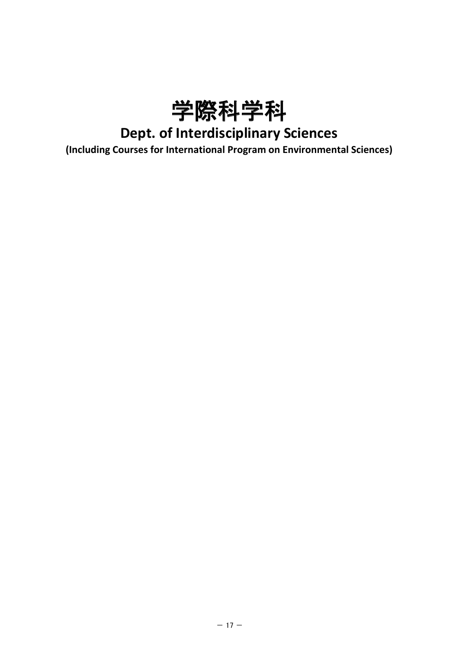

## **Dept. of Interdisciplinary Sciences**

**(Including Courses for International Program on Environmental Sciences)**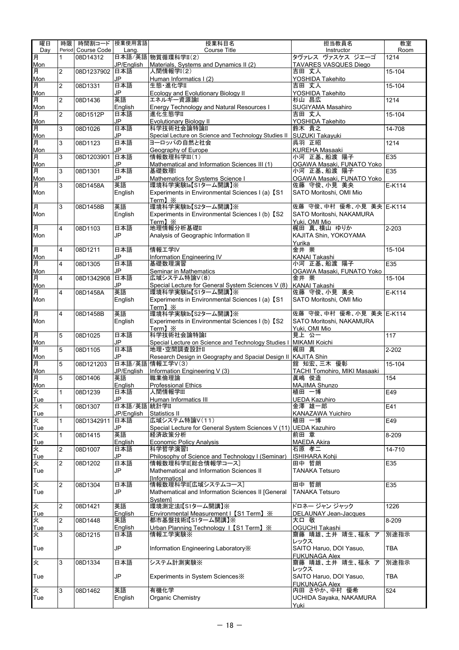| 曜日       | 時限             | 時間割コード 授業使用言語      |                   | 授業科目名                                                                             | 担当教員名                                  | 教室         |
|----------|----------------|--------------------|-------------------|-----------------------------------------------------------------------------------|----------------------------------------|------------|
| Dav      |                | Period Course Code | Lang.             | <b>Course Title</b>                                                               | Instructor                             | Room       |
| 月        | 1              | 08D14312           |                   | 日本語/英語 物質循環科学II(2)                                                                | タヴァレス ヴァスケス ジエーゴ                       | 1214       |
| Mon      |                |                    | JP/English        | Materials, Systems and Dynamics II (2)                                            | TAVARES VASQUES Diego                  |            |
| 月<br>Mon | 2              | 08D1237902 日本語     | JP                | 人間情報学I(2)<br>Human Informatics I (2)                                              | 吉田 丈人<br>YOSHIDA Takehito              | 15-104     |
| 月        | 2              | 08D1331            | 日本語               | 生態·進化学II                                                                          | 吉田 丈人                                  | 15-104     |
| Mon      |                |                    | JP                | <b>Ecology and Evolutionary Biology II</b>                                        | YOSHIDA Takehito                       |            |
| 月        | 2              | 08D1436            | 英語                | エネルギー資源論                                                                          | 杉山 昌広                                  | 1214       |
| Mon      |                |                    | English           | Energy Technology and Natural Resources I                                         | SUGIYAMA Masahiro                      |            |
| 月        | 2              | 08D1512P           | 日本語               | 進化生態学II                                                                           | 吉田 丈人                                  | 15-104     |
| Mon      |                |                    | JP                | Evolutionary Biology II                                                           | YOSHIDA Takehito                       | $14 - 708$ |
| 月<br>Mon | 3              | 08D1026            | 日本語<br>JP         | 科学技術社会論特論II<br>Special Lecture on Science and Technology Studies II               | 鈴木 貴之<br>SUZUKI Takayuki               |            |
| 月        | 3              | 08D1123            | 日本語               | ヨーロッパの自然と社会                                                                       | 呉羽 正昭                                  | 1214       |
| Mon      |                |                    | JP                | Geography of Europe                                                               | KUREHA Masaaki                         |            |
| 月        | 3              | 08D1203901         | 日本語               | 情報数理科学III(1)                                                                      | 小河 正基、船渡 陽子                            | E35        |
| Mon      |                |                    | JP                | Mathematical and Information Sciences III (1)                                     | OGAWA Masaki, FUNATO Yoko              |            |
| 月        | 3              | 08D1301            | 日本語               | 基礎数理I                                                                             | 小河 正基、船渡 陽子                            | E35        |
| Mon      |                |                    | JP<br>英語          | Mathematics for Systems Science I                                                 | OGAWA Masaki, FUNATO Yoko              |            |
| 月<br>Mon | 3              | 08D1458A           | English           | 環境科学実験Ia【S1ターム開講】※<br>Experiments in Environmental Sciences I (a) [S1             | 佐藤 守俊、小見 美央<br>SATO Moritoshi, OMI Mio | E-K114     |
|          |                |                    |                   | Term1 $\mathbb{\times}$                                                           |                                        |            |
| 月        | 3              | 08D1458B           | 英語                | 環境科学実験Ib【S2ターム開講】※                                                                | 佐藤 守俊、中村 優希、小見 美央 E-K114               |            |
| Mon      |                |                    | English           | Experiments in Environmental Sciences I (b) [S2                                   | SATO Moritoshi, NAKAMURA               |            |
|          |                |                    |                   | Term】※                                                                            | Yuki, OMI Mio                          |            |
| 月        | 4              | 08D1103            | 日本語               | 地理情報分析基礎II                                                                        | 梶田 真、横山 ゆりか                            | $2 - 203$  |
| Mon      |                |                    | JP                | Analysis of Geographic Information II                                             | KAJITA Shin, YOKOYAMA                  |            |
| 月        | 4              | 08D1211            | 日本語               | 情報工学IV                                                                            | Yurika<br>金井 崇                         | 15-104     |
| Mon      |                |                    | JP                | Information Engineering IV                                                        | KANAI Takashi                          |            |
| 月        | 4              | 08D1305            | 日本語               | 基礎数理演習                                                                            | 小河 正基、船渡 陽子                            | E35        |
| Mon      |                |                    | JP                | Seminar in Mathematics                                                            | OGAWA Masaki, FUNATO Yoko              |            |
| 月        | 4              | 08D1342908         | 日本語               | 広域システム特論V(8)                                                                      | 金井 崇                                   | 15-104     |
| Mon      |                |                    | JP                | Special Lecture for General System Sciences V (8)   KANAI Takashi                 |                                        |            |
| 月        | 4              | 08D1458A           | 英語                | 環境科学実験Ia【S1ターム開講】※                                                                | 佐藤 守俊、小見 美央                            | E-K114     |
| Mon      |                |                    | English           | Experiments in Environmental Sciences I (a) 【S1                                   | SATO Moritoshi, OMI Mio                |            |
| 月        | 4              | 08D1458B           | 英語                | Term】※<br>環境科学実験Ib【S2ターム開講】※                                                      | 佐藤 守俊、中村 優希、小見 美央 E-K114               |            |
| Mon      |                |                    | English           | Experiments in Environmental Sciences I (b) [S2                                   | SATO Moritoshi, NAKAMURA               |            |
|          |                |                    |                   | Term】※                                                                            | Yuki, OMI Mio                          |            |
| 耳        | 5              | 08D1025            | 日本語               | 科学技術社会論特論I                                                                        | 見上 公一                                  | 117        |
| Mon      |                |                    | JP                | Special Lecture on Science and Technology Studies I MIKAMI Koichi                 |                                        |            |
| 月        | 5              | 08D1105            | 日本語               | 地理·空間調査設計II                                                                       | 梶田 真                                   | $2 - 202$  |
| Mon      | 5              |                    | JP.               | Research Design in Geography and Spacial Design II KAJITA Shin<br>日本語/英語 情報工学V(3) | 舘 知宏、三木 優彰                             | 15-104     |
| 月<br>Mon |                | 08D121203          | JP/English        | Information Engineering V (3)                                                     | TACHI Tomohiro, MIKI Masaaki           |            |
| 月        | 5              | 08D1406            | 英語                | 職業倫理論                                                                             | 眞嶋 俊造                                  | 154        |
| Mon      |                |                    | English           | <b>Professional Ethics</b>                                                        | MAJIMA Shunzo                          |            |
| 火        | $\mathbf{1}$   | 08D1239            | 日本語               | 人間情報学Ⅲ                                                                            | 植田 一博                                  | E49        |
| Tue      |                |                    | JP                | Human Informatics III                                                             | <b>UEDA Kazuhiro</b>                   |            |
| 火        | $\mathbf{1}$   | 08D1307            | 日本語/英語 統計学II      |                                                                                   | 金澤 雄一郎                                 | E41        |
| Tue<br>火 | 1              | 08D1342911         | JP/English<br>日本語 | Statistics II<br>広域システム特論V(11)                                                    | KANAZAWA Yuichiro<br>植田 一博             | E49        |
| Tue      |                |                    | JP                | Special Lecture for General System Sciences V (11) UEDA Kazuhiro                  |                                        |            |
| 火        | $\mathbf{1}$   | 08D1415            | 英語                | 経済政策分析                                                                            | 前田 章                                   | 8-209      |
| Tue      |                |                    | English           | <b>Economic Policy Analysis</b>                                                   | MAEDA Akira                            |            |
| 火        | $\overline{2}$ | 08D1007            | 日本語               | 科学哲学演習I                                                                           | 石原 孝二                                  | 14-710     |
| Tue      |                |                    | JP                | Philosophy of Science and Technology I (Seminar)                                  | <b>ISHIHARA Kohii</b>                  |            |
| 火        | $\overline{2}$ | 08D1202            | 日本語               | 情報数理科学II[総合情報学コース]                                                                | 田中 哲朗                                  | E35        |
| Tue      |                |                    | JP                | Mathematical and Information Sciences II                                          | TANAKA Tetsuro                         |            |
| Ņλ       | $\overline{2}$ | 08D1304            | 日本語               | <b>Informatics1</b><br>情報数理科学II[広域システムコース]                                        | 田中 哲朗                                  | E35        |
| Tue      |                |                    | JP                | Mathematical and Information Sciences II [General                                 | <b>TANAKA Tetsuro</b>                  |            |
|          |                |                    |                   | Systeml                                                                           |                                        |            |
| 火        | 2              | 08D1421            | 英語                | 環境測定法I【S1ターム開講】※                                                                  | ドロネー ジャン ジャック                          | 1226       |
| Tue      |                |                    | English           | Environmental Measurement I [S1 Term] $\%$                                        | DELAUNAY Jean-Jacques                  |            |
| 火        | $\overline{2}$ | 08D1448            | 英語                | 都市基盤技術I【S1ターム開講】※                                                                 | 大口 敬                                   | 8-209      |
| Tue<br>火 | 3              | 08D1215            | English<br>日本語    | Urban Planning Technology   [S1 Term] $\%$<br>情報工学実験※                             | OGUCHI Takashi<br>齋藤 晴雄、土井 靖生、福永 ア     | 別途指示       |
|          |                |                    |                   |                                                                                   | レックス                                   |            |
| Tue      |                |                    | JP                | Information Engineering Laboratory X                                              | SAITO Haruo, DOI Yasuo,                | <b>TBA</b> |
|          |                |                    |                   |                                                                                   | <b>FUKUNAGA Alex</b>                   |            |
| 火        | 3              | 08D1334            | 日本語               | システム計測実験※                                                                         | 齋藤 晴雄、土井 靖生、福永 ア                       | 別途指示       |
|          |                |                    |                   |                                                                                   | レックス                                   |            |
| Tue      |                |                    | JP                | Experiments in System Sciences X                                                  | SAITO Haruo, DOI Yasuo,                | <b>TBA</b> |
| 火        | 3              | 08D1462            | 英語                | 有機化学                                                                              | <b>FUKUNAGA Alex</b><br>内田 さやか、中村 優希   | 524        |
| Tue      |                |                    | English           | <b>Organic Chemistry</b>                                                          | UCHIDA Sayaka, NAKAMURA                |            |
|          |                |                    |                   |                                                                                   | Yuki                                   |            |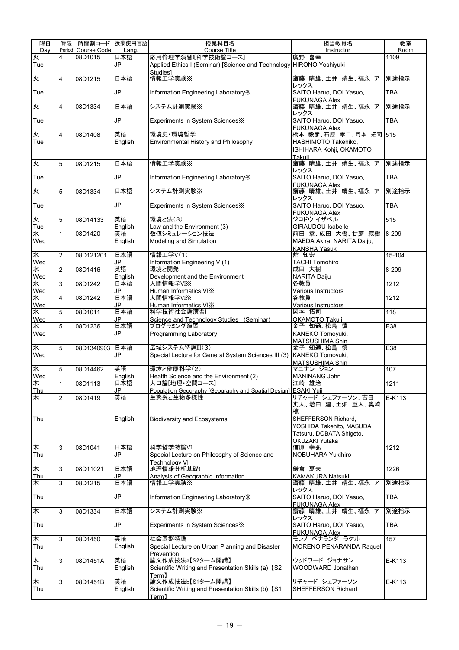| 曜日              | 時限             | 時間割コード 授業使用言語 |               | 授業科目名                                                                                    | 担当教員名                                                | 教室               |
|-----------------|----------------|---------------|---------------|------------------------------------------------------------------------------------------|------------------------------------------------------|------------------|
| Dav             | Period         | Course Code   | Lang.         | Course Title                                                                             | Instructor                                           | Room             |
| 火<br>Tue        | 4              | 08D1015       | 日本語<br>JP     | 応用倫理学演習[科学技術論コース]<br>Applied Ethics I (Seminar) [Science and Technology HIRONO Yoshiyuki | 廣野 喜幸                                                | 1109             |
| 火               | 4              | 08D1215       | 日本語           | <b>Studies1</b><br>情報工学実験※                                                               | 齋藤 晴雄、土井 靖生、福永 ア<br>レックス                             | 別途指示             |
| Tue             |                |               | JP            | Information Engineering Laboratory X                                                     | SAITO Haruo, DOI Yasuo,<br><b>FUKUNAGA Alex</b>      | <b>TBA</b>       |
| 火               | $\overline{4}$ | 08D1334       | 日本語           | システム計測実験※                                                                                | 齋藤 晴雄、土井 靖生、福永 ア<br>レックス                             | 別途指示             |
| Tue             |                |               | JP            | Experiments in System Sciences X                                                         | SAITO Haruo, DOI Yasuo,<br><b>FUKUNAGA Alex</b>      | <b>TBA</b>       |
| 夾               | 4              | 08D1408       | 英語            | 環境史·環境哲学                                                                                 | 橋本 毅彦、石原 孝二、岡本 拓司                                    | 515              |
| Tue             |                |               | English       | Environmental History and Philosophy                                                     | HASHIMOTO Takehiko,                                  |                  |
|                 |                |               |               |                                                                                          | ISHIHARA Kohji, OKAMOTO                              |                  |
| 火               | 5              | 08D1215       | 日本語           | 情報工学実験※                                                                                  | Takuii<br>齋藤 晴雄、土井 靖生、福永 ア                           | 別途指示             |
| Tue             |                |               | JP            | Information Engineering Laboratory X                                                     | レックス<br>SAITO Haruo, DOI Yasuo,                      | <b>TBA</b>       |
| 火               | 5              | 08D1334       | 日本語           | システム計測実験※                                                                                | <b>FUKUNAGA Alex</b><br>齋藤 晴雄、土井 靖生、福永 ア             | 別途指示             |
|                 |                |               |               |                                                                                          | レックス                                                 |                  |
| Tue             |                |               | JP            | Experiments in System Sciences *                                                         | SAITO Haruo, DOI Yasuo,<br><b>FUKUNAGA Alex</b>      | <b>TBA</b>       |
| 火               | 5              | 08D14133      | 英語            | 環境と法(3)                                                                                  | ジロドウ イザベル                                            | 515              |
| Tue             |                |               | English       | Law and the Environment (3)                                                              | <b>GIRAUDOU Isabelle</b>                             |                  |
| 水<br>Wed        | 1              | 08D1420       | 英語<br>English | 数値シミュレーション技法<br>Modeling and Simulation                                                  | 前田 章、成田 大樹、甘蔗 寂樹<br>MAEDA Akira, NARITA Daiju,       | 8-209            |
|                 |                |               |               |                                                                                          | KANSHA Yasuki                                        |                  |
| 水               | $\overline{2}$ | 08D121201     | 日本語           | 情報工学V(1)                                                                                 | 舘 知宏                                                 | 15-104           |
| Wed             |                |               | JP            | Information Engineering V (1)                                                            | <b>TACHI Tomohiro</b>                                |                  |
| 水<br>Wed        | $\overline{2}$ | 08D1416       | 英語<br>English | 環境と開発<br>Development and the Environment                                                 | 成田 大樹<br><b>NARITA Daiju</b>                         | 8-209            |
| 水               | 3              | 08D1242       | 日本語           | 人間情報学VI※                                                                                 | 各教員                                                  | 1212             |
| Wed             |                |               | JP            | Human Informatics VIX                                                                    | Various Instructors                                  |                  |
| 水<br>Wed        | 4              | 08D1242       | 日本語<br>JP     | 人間情報学VI※<br>Human Informatics VIX                                                        | 各教員<br>Various Instructors                           | 1212             |
| 水               | 5              | 08D1011       | 日本語           | 科学技術社会論演習I                                                                               | 岡本 拓司                                                | 118              |
| Wed             |                |               | JP            | Science and Technology Studies I (Seminar)                                               | OKAMOTO Takuji                                       |                  |
| 水<br>Wed        | 5              | 08D1236       | 日本語<br>JP     | プログラミング演習<br>Programming Laboratory                                                      | 金子 知適、松島 慎<br>KANEKO Tomoyuki,<br>MATSUSHIMA Shin    | E38              |
| 水               | 5              | 08D1340903    | 日本語           | 広域システム特論III(3)                                                                           | 金子 知適、松島 慎                                           | E38              |
| Wed             |                |               | JP            | Special Lecture for General System Sciences III (3) KANEKO Tomoyuki,                     | <b>MATSUSHIMA Shin</b>                               |                  |
| 水               | 5              | 08D14462      | 英語            | 環境と健康科学(2)                                                                               | マニナン ジョン                                             | 107              |
| Wed             |                |               | English       | Health Science and the Environment (2)                                                   | MANINANG John                                        |                  |
| 末<br><b>Thu</b> | $\mathbf{1}$   | 08D1113       | 日本語<br>JP     | 人口論「地理・空間コース」<br>Population Geography [Geography and Spatial Design] ESAKI Yuji          | 江崎 雄治                                                | 1211             |
| 木               | $\overline{2}$ | 08D1419       | 英語            | 生態系と生物多様性                                                                                | リチャード シェファーソン、吉田                                     | E-K113           |
|                 |                |               |               |                                                                                          | 丈人、増田 建、土畑 重人、奥崎<br>穰                                |                  |
| Thu             |                |               | English       | <b>Biodiversity and Ecosystems</b>                                                       | SHEFFERSON Richard,                                  |                  |
|                 |                |               |               |                                                                                          | YOSHIDA Takehito, MASUDA<br>Tatsuru, DOBATA Shigeto, |                  |
|                 |                |               |               |                                                                                          | OKUZAKI Yutaka                                       |                  |
| ₭               | 3              | 08D1041       | 日本語           | 科学哲学特論VI                                                                                 | 信原 幸弘                                                | 1212             |
| Thu             |                |               | JP            | Special Lecture on Philosophy of Science and<br><b>Technology VI</b>                     | NOBUHARA Yukihiro                                    |                  |
| $\ast$          | 3              | 08D11021      | 日本語           | 地理情報分析基礎I                                                                                | 鎌倉 夏来                                                | 1226             |
| <b>Thu</b><br>木 | 3              | 08D1215       | JP<br>日本語     | Analysis of Geographic Information I<br>情報工学実験※                                          | KAMAKURA Natsuki<br>齋藤 晴雄、土井 靖生、福永 ア                 | 別途指示             |
| Thu             |                |               | JP            | Information Engineering Laboratory X                                                     | レックス<br>SAITO Haruo, DOI Yasuo,                      | <b>TBA</b>       |
|                 |                |               |               |                                                                                          | <b>FUKUNAGA Alex</b>                                 |                  |
| $\ast$          | 3              | 08D1334       | 日本語           | システム計測実験※                                                                                | 齋藤 晴雄、土井 靖生、福永 ア<br>レックス                             | 別途指示             |
| Thu             |                |               | JP            | Experiments in System Sciences X                                                         | SAITO Haruo, DOI Yasuo,<br><b>FUKUNAGA Alex</b>      | <b>TBA</b>       |
| 木               | 3              | 08D1450       | 英語            | 社会基盤特論                                                                                   | モレノ ペナランダ ラケル                                        | $\overline{157}$ |
| Thu             |                |               | English       | Special Lecture on Urban Planning and Disaster<br>Prevention                             | MORENO PENARANDA Raquel                              |                  |
| 木               | 3              | 08D1451A      | 英語            | 論文作成技法a【S2ターム開講】                                                                         | ウッドワード ジョナサン                                         | E-K113           |
| Thu             |                |               | English       | Scientific Writing and Presentation Skills (a) 【S2<br>$\mathsf{Term}\mathsf{I}$          | WOODWARD Jonathan                                    |                  |
| 木               | 3              | 08D1451B      | 英語            | 論文作成技法b【S1ターム開講】                                                                         | リチャード シェファーソン                                        | E-K113           |
| Thu             |                |               | English       | Scientific Writing and Presentation Skills (b) [S1<br>Term]                              | SHEFFERSON Richard                                   |                  |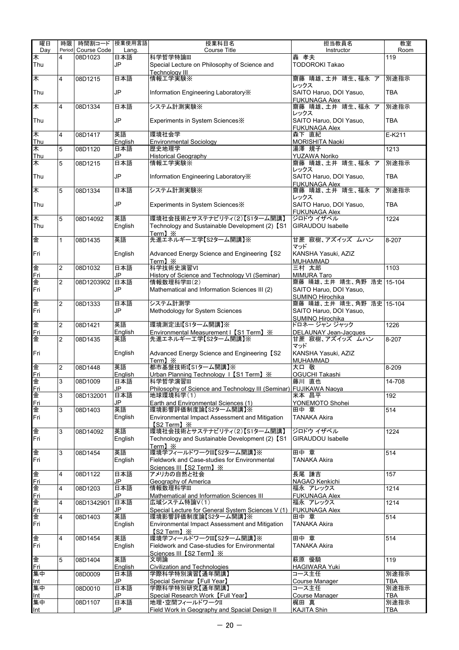| 曜日                | 時限             | 時間割コード   授業使用言語        |              | 授業科目名                                                                          | 担当教員名                                   | 教室          |
|-------------------|----------------|------------------------|--------------|--------------------------------------------------------------------------------|-----------------------------------------|-------------|
| Day<br>¥          | Period<br>4    | Course Code<br>08D1023 | Lang.<br>日本語 | <b>Course Title</b><br>科学哲学特論III                                               | Instructor<br>轟 孝夫                      | Room<br>119 |
| Thu               |                |                        | JP           | Special Lecture on Philosophy of Science and                                   | <b>TODOROKI Takao</b>                   |             |
|                   |                |                        |              | Technoloav III                                                                 |                                         |             |
| 木                 | $\overline{4}$ | 08D1215                | 日本語          | 情報工学実験※                                                                        | 齋藤 晴雄、土井 靖生、福永 ア                        | 別途指示        |
| Thu               |                |                        | JP           | Information Engineering Laboratory X                                           | レックス<br>SAITO Haruo, DOI Yasuo,         | <b>TBA</b>  |
|                   |                |                        |              |                                                                                | <b>FUKUNAGA Alex</b>                    |             |
| 木                 | $\overline{4}$ | 08D1334                | 日本語          | システム計測実験※                                                                      | 齋藤 晴雄、土井 靖生、福永 ア                        | 別途指示        |
|                   |                |                        |              |                                                                                | レックス                                    |             |
| Thu               |                |                        | JP           | Experiments in System Sciences X                                               | SAITO Haruo, DOI Yasuo,                 | <b>TBA</b>  |
| 木                 | $\overline{4}$ | 08D1417                | 英語           | 環境社会学                                                                          | <b>FUKUNAGA Alex</b><br>森下 直紀           | E-K211      |
| Thu               |                |                        | English      | <b>Environmental Sociology</b>                                                 | MORISHITA Naoki                         |             |
| ★                 | 5              | 08D1120                | 日本語          | 歴史地理学                                                                          | 湯澤 規子                                   | 1213        |
| Thu               |                |                        | JP           | <b>Historical Geography</b>                                                    | <b>YUZAWA Noriko</b>                    |             |
| 木                 | 5              | 08D1215                | 日本語          | 情報工学実験※                                                                        | 齋藤 晴雄、土井 靖生、福永 ア<br>レックス                | 別途指示        |
| Thu               |                |                        | <b>JP</b>    | Information Engineering Laboratory X                                           | SAITO Haruo, DOI Yasuo,                 | <b>TBA</b>  |
|                   |                |                        |              |                                                                                | <b>FUKUNAGA Alex</b>                    |             |
| 木                 | 5              | 08D1334                | 日本語          | システム計測実験※                                                                      | 齋藤 晴雄、土井 靖生、福永 ア                        | 別途指示        |
| Thu               |                |                        | JP           | Experiments in System Sciences X                                               | レックス<br>SAITO Haruo, DOI Yasuo,         | <b>TBA</b>  |
|                   |                |                        |              |                                                                                | <b>FUKUNAGA Alex</b>                    |             |
| $\overline{\ast}$ | 5              | 08D14092               | 英語           | 環境社会技術とサステナビリティ(2)【S1ターム開講】                                                    | ジロドウ イザベル                               | 1224        |
| Thu               |                |                        | English      | Technology and Sustainable Development (2) [S1                                 | <b>GIRAUDOU Isabelle</b>                |             |
| 金                 | $\mathbf{1}$   | 08D1435                | 英語           | Term] $\mathbb{\times}$<br>先進エネルギー工学【S2ターム開講】※                                 | 甘蔗 寂樹、アズイッズ ムハン                         | 8-207       |
|                   |                |                        |              |                                                                                | マッド                                     |             |
| Fri               |                |                        | English      | Advanced Energy Science and Engineering 【S2                                    | KANSHA Yasuki, AZIZ                     |             |
|                   |                |                        |              | Term1 $\mathbb{\times}$                                                        | <b>MUHAMMAD</b>                         |             |
| 金                 | $\overline{2}$ | 08D1032                | 日本語<br>JP    | 科学技術史演習VI                                                                      | 三村 太郎                                   | 1103        |
| Fri<br>金          | $\overline{2}$ | 08D1203902             | 日本語          | History of Science and Technology VI (Seminar)<br>情報数理科学III(2)                 | <b>MIMURA Taro</b><br>齋藤 晴雄、土井 靖生、角野 浩史 | 15-104      |
| Fri               |                |                        | JP           | Mathematical and Information Sciences III (2)                                  | SAITO Haruo, DOI Yasuo,                 |             |
|                   |                |                        |              |                                                                                | <b>SUMINO Hirochika</b>                 |             |
| 金                 | $\overline{c}$ | 08D1333                | 日本語          | システム計測学                                                                        | 齋藤 晴雄、土井 靖生、角野 浩史                       | 15-104      |
| Fri               |                |                        | JP           | Methodology for System Sciences                                                | SAITO Haruo, DOI Yasuo,                 |             |
| 金                 | $\overline{c}$ | 08D1421                | 英語           | 環境測定法I【S1ターム開講】※                                                               | SUMINO Hirochika<br>ドロネー ジャン ジャック       | 1226        |
| Fri               |                |                        | English      | Environmental Measurement I [S1 Term] $\%$                                     | DELAUNAY Jean-Jacques                   |             |
| 金                 | $\overline{2}$ | 08D1435                | 英語           | 先進エネルギーエ学【S2ターム開講】※                                                            | 甘蔗 寂樹、アズイッズ ムハン                         | 8-207       |
|                   |                |                        |              |                                                                                | マッド                                     |             |
| Fri               |                |                        | English      | Advanced Energy Science and Engineering [S2<br>Term] $\mathbb{X}$              | KANSHA Yasuki, AZIZ<br><b>MUHAMMAD</b>  |             |
| 金                 | $\overline{2}$ | 08D1448                | 英語           | 都市基盤技術I【S1ターム開講】※                                                              | 大口 敬                                    | 8-209       |
| Fri               |                |                        | English      | Urban Planning Technology   [S1 Term] $\frac{1}{2}$                            | OGUCHI Takashi                          |             |
| 金                 | $\overline{3}$ | 08D1009                | 日本語          | 科学哲学演習III                                                                      | 藤川 直也                                   | 14-708      |
| Fri<br>金          | 3              | 08D132001              | JP<br>日本語    | Philosophy of Science and Technology III (Seminar) FUJIKAWA Naoya<br>地球環境科学(1) | 米本 昌平                                   | 192         |
| Fri               |                |                        | JP           | Earth and Environmental Sciences (1)                                           | YONEMOTO Shohei                         |             |
| 金                 | 3              | 08D1403                | 英語           | 環境影響評価制度論【S2ターム開講】※                                                            | 田中 章                                    | 514         |
| Fri               |                |                        | English      | Environmental Impact Assessment and Mitigation                                 | <b>TANAKA Akira</b>                     |             |
|                   | 3              | 08D14092               | 英語           | 【S2 Term】※<br>環境社会技術とサステナビリティ(2)【S1ターム開講】                                      | ジロドウ イザベル                               | 1224        |
| 金<br>Fri          |                |                        | English      | Technology and Sustainable Development (2) [S1                                 | <b>GIRAUDOU Isabelle</b>                |             |
|                   |                |                        |              | Term $\mathbf{l} \times$                                                       |                                         |             |
| 金                 | 3              | 08D1454                | 英語           | 環境学フィールドワークIII【S2ターム開講】※                                                       | 田中 章                                    | 514         |
| Fri               |                |                        | English      | Fieldwork and Case-studies for Environmental                                   | TANAKA Akira                            |             |
| 俐                 | 4              | 08D1122                | 日本語          | Sciences III [S2 Term] X<br>アメリカの自然と社会                                         | 長尾 謙吉                                   | 157         |
| Fri               |                |                        | JP           | Geography of America                                                           | NAGAO Kenkichi                          |             |
| 金                 | 4              | 08D1203                | 日本語          | 情報数理科学III                                                                      | 福永 アレックス                                | 1214        |
| Fri               |                |                        | JP           | Mathematical and Information Sciences III                                      | <b>FUKUNAGA Alex</b>                    |             |
| 金<br>Fri          | 4              | 08D1342901             | 日本語<br>JP    | 広域システム特論V(1)<br>Special Lecture for General System Sciences V (1)              | 福永 アレックス<br><b>FUKUNAGA Alex</b>        | 1214        |
| 金                 | 4              | 08D1403                | 英語           | 環境影響評価制度論【S2ターム開講】※                                                            | 田中 章                                    | 514         |
| Fri               |                |                        | English      | Environmental Impact Assessment and Mitigation                                 | <b>TANAKA Akira</b>                     |             |
|                   |                |                        |              | $\textsf{[S2 Term]} \times$                                                    |                                         |             |
| 金                 | 4              | 08D1454                | 英語           | 環境学フィールドワークIII【S2ターム開講】※                                                       | 田中章                                     | 514         |
| Fri               |                |                        | English      | Fieldwork and Case-studies for Environmental<br>Sciences III 【S2 Term】※        | TANAKA Akira                            |             |
| 金                 | 5              | 08D1404                | 英語           | 文明論                                                                            | 萩原 優騎                                   | 119         |
| Fri               |                |                        | English      | <b>Civilization and Technologies</b>                                           | <b>HAGIWARA Yuki</b>                    |             |
| 集中                |                | 08D0009                | 日本語          | 学際科学特別演習【通年開講】                                                                 | コース主任                                   | 別途指示        |
| Int<br>集中         |                |                        | JP<br>日本語    | Special Seminar [Full Year]<br>学際科学特別研究【通年開講】                                  | Course Manager<br>コース主任                 | TBA<br>別途指示 |
| Int               |                | 08D0010                | JP           | Special Research Work [Full Year]                                              | <b>Course Manager</b>                   | <b>TBA</b>  |
| 集中                |                | 08D1107                | 日本語          | 地理·空間フィールドワークII                                                                | 梶田 真                                    | 別途指示        |
| Int               |                |                        | JP           | Field Work in Geography and Spacial Design II                                  | <b>KAJITA Shin</b>                      | <b>TBA</b>  |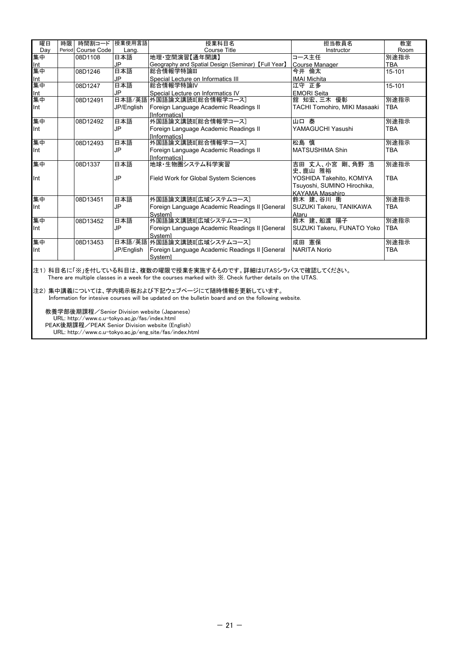| 曜日         | 時限 | 時間割コード             | 授業使用言語     | 授業科目名                                                | 担当教員名                               | 教室         |
|------------|----|--------------------|------------|------------------------------------------------------|-------------------------------------|------------|
| Dav        |    | Period Course Code | Lang.      | <b>Course Title</b>                                  | Instructor                          | Room       |
| 集中         |    | 08D1108            | 日本語        | 地理·空間演習【通年開講】                                        | コース主任                               | 別途指示       |
| Int        |    |                    | JP         | Geography and Spatial Design (Seminar) [Full Year]   | <b>Course Manager</b>               | <b>TBA</b> |
| 集中         |    | 08D1246            | 日本語        | │総合情報学特論Ⅲ                                            | 今井 倫太                               | 15-101     |
| Int        |    |                    | <b>JP</b>  | Special Lecture on Informatics III                   | <b>IMAI Michita</b>                 |            |
| 集中         |    | 08D1247            | 日本語        | 総合情報学特論Ⅳ                                             | 江守 正多                               | 15-101     |
| <b>Int</b> |    |                    | <b>JP</b>  | Special Lecture on Informatics IV                    | <b>EMORI</b> Seita                  |            |
| 集中         |    | 08D12491           |            | 日本語/英語 外国語論文講読II[総合情報学コース]                           | 舘 知宏、三木 優彰                          | 別途指示       |
| Int        |    |                    | JP/English | Foreign Language Academic Readings II                | <b>TACHI Tomohiro, MIKI Masaaki</b> | <b>TBA</b> |
|            |    |                    |            | <b>Informatics1</b>                                  |                                     |            |
| 集中         |    | 08D12492           | 日本語        | 外国語論文講読Ⅲ総合情報学コース                                     | 山口泰                                 | 別途指示       |
| Int        |    |                    | <b>JP</b>  | Foreign Language Academic Readings II                | YAMAGUCHI Yasushi                   | <b>TBA</b> |
|            |    |                    |            | <b>Informatics1</b>                                  |                                     |            |
| 集中         |    | 08D12493           | 日本語        | 外国語論文講読Ⅲ【総合情報学コース】                                   | 松島 慎                                | 別途指示       |
| Int        |    |                    | <b>JP</b>  | Foreign Language Academic Readings II                | <b>IMATSUSHIMA Shin</b>             | <b>TBA</b> |
|            |    |                    |            | <b>Informatics1</b>                                  |                                     |            |
| 集中         |    | 08D1337            | 日本語        | 地球・生物圏システム科学実習                                       | 吉田 丈人、小宮 剛、角野 浩<br>史、鹿山 雅裕          | 別途指示       |
| Int        |    |                    | <b>JP</b>  | Field Work for Global System Sciences                | YOSHIDA Takehito, KOMIYA            | <b>TBA</b> |
|            |    |                    |            |                                                      | Tsuyoshi, SUMINO Hirochika,         |            |
|            |    |                    |            |                                                      | <b>KAYAMA Masahiro</b>              |            |
| 集中         |    | 08D13451           | 日本語        | 外国語論文講読Ⅱ「広域システムコースヿ                                  | 鈴木 建、谷川 衝                           | 別途指示       |
| Int        |    |                    | <b>JP</b>  | Foreign Language Academic Readings II [General       | SUZUKI Takeru, TANIKAWA             | <b>TBA</b> |
|            |    |                    |            | Systeml                                              | Ataru                               |            |
| 集中         |    | 08D13452           | 日本語        | 外国語論文講読II[広域システムコース]                                 | 鈴木 建、船渡 陽子                          | 別途指示       |
| Int        |    |                    | <b>JP</b>  | Foreign Language Academic Readings II [General]      | SUZUKI Takeru, FUNATO Yoko          | <b>TBA</b> |
|            |    |                    |            | Systeml                                              |                                     |            |
| 集中         |    | 08D13453           |            | 日本語/英語 外国語論文講読II[広域システムコース]                          | 成田 憲保                               | 別途指示       |
| Int        |    |                    | JP/English | Foreign Language Academic Readings II [General       | <b>NARITA Norio</b>                 | <b>TBA</b> |
|            |    |                    |            | Systeml                                              |                                     |            |
|            |    |                    |            | 注:\ 封日カに「\'\ :ナは! テぃフ科ロは 指数の明明天短巻ナ中故士フナの天士 詳細は!けい: ニ |                                     |            |

注1) 科目名に「※」を付している科目は、複数の曜限で授業を実施するものです。詳細はUTASシラバスで確認してください。 There are multiple classes in a week for the courses marked with ※. Check further details on the UTAS.

注2) 集中講義については、学内掲示板および下記ウェブページにて随時情報を更新しています。 Information for intesive courses will be updated on the bulletin board and on the following website.

 教養学部後期課程/Senior Division website (Japanese) URL: http://www.c.u-tokyo.ac.jp/fas/index.html PEAK後期課程/PEAK Senior Division website (English) URL: http://www.c.u-tokyo.ac.jp/eng\_site/fas/index.html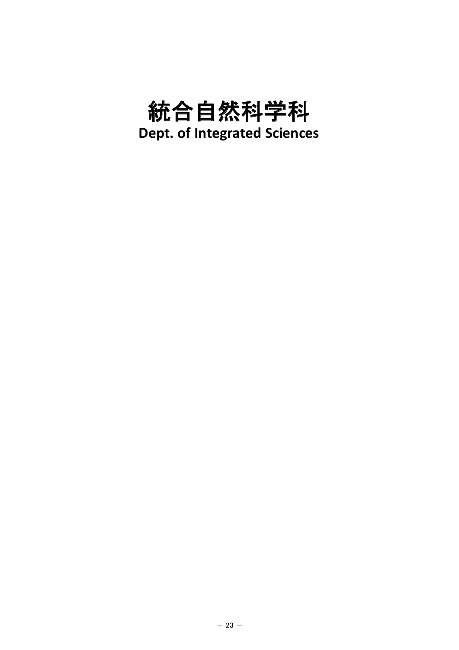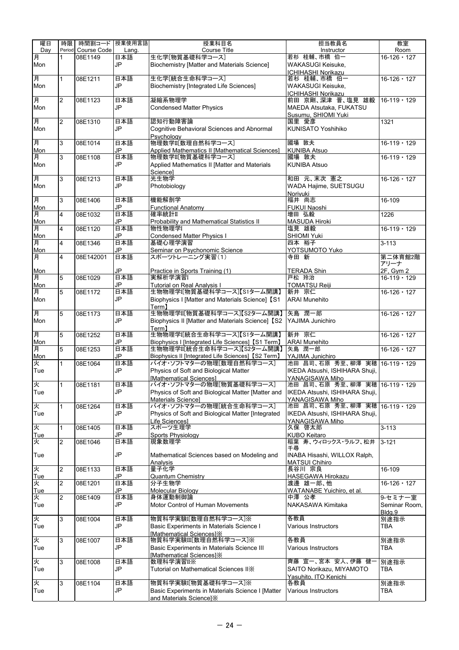| 曜日         | 時限             | 時間割コード 授業使用言語      |       | 授業科目名                                              | 担当教員名                                             | 教室                 |
|------------|----------------|--------------------|-------|----------------------------------------------------|---------------------------------------------------|--------------------|
| Day        |                | Period Course Code | Lang. | Course Title                                       | Instructor                                        | Room               |
| 月          | 1              | 08E1149            | 日本語   | 生化学[物質基礎科学コース]                                     | 若杉 桂輔、市橋 伯一                                       | $16 - 126 - 127$   |
| Mon        |                |                    | JP    | <b>Biochemistry [Matter and Materials Science]</b> | WAKASUGI Keisuke,                                 |                    |
|            |                |                    |       |                                                    | ICHIHASHI Norikazu                                |                    |
| 月          | $\mathbf{1}$   | 08E1211            | 日本語   | 生化学[統合生命科学コース]                                     | 若杉 桂輔、市橋 伯一                                       | $16 - 126 - 127$   |
| Mon        |                |                    | JP    | <b>Biochemistry [Integrated Life Sciences]</b>     | WAKASUGI Keisuke,                                 |                    |
|            |                |                    |       |                                                    | ICHIHASHI Norikazu                                |                    |
| 月          | 2              | 08E1123            | 日本語   | 凝縮系物理学                                             | 前田 京剛、深津 晋、塩見 雄毅                                  | $16-119 \cdot 129$ |
| Mon        |                |                    | JP    | <b>Condensed Matter Physics</b>                    | MAEDA Atsutaka, FUKATSU                           |                    |
|            |                |                    |       |                                                    | Susumu, SHIOMI Yuki                               |                    |
| 月          | $\overline{2}$ | 08E1310            | 日本語   | 認知行動障害論                                            | 国里 愛彦                                             | 1321               |
| Mon        |                |                    | JP    | Cognitive Behavioral Sciences and Abnormal         | <b>KUNISATO Yoshihiko</b>                         |                    |
| 月          | 3              | 08E1014            | 日本語   | Psychology<br>物理数学II[数理自然科学コース]                    | 國場 敦夫                                             | $16 - 119 - 129$   |
| Mon        |                |                    | JP    | Applied Mathematics II [Mathematical Sciences]     | <b>KUNIBA Atsuo</b>                               |                    |
| 月          | 3              | 08E1108            | 日本語   | 物理数学II[物質基礎科学コース]                                  | 國場 敦夫                                             | $16-119 \cdot 129$ |
| Mon        |                |                    | JP    | Applied Mathematics II [Matter and Materials       | <b>KUNIBA Atsuo</b>                               |                    |
|            |                |                    |       | Sciencel                                           |                                                   |                    |
| 月          | 3              | 08E1213            | 日本語   | 光生物学                                               | 和田 元、末次 憲之                                        | $16 - 126 - 127$   |
| Mon        |                |                    | JP    | Photobiology                                       | WADA Hajime, SUETSUGU                             |                    |
|            |                |                    |       |                                                    | Noriyuki                                          |                    |
| 月          | 3              | 08E1406            | 日本語   | 機能解剖学                                              | 福井 尚志                                             | 16-109             |
| Mon        |                |                    | JP    | <b>Functional Anatomy</b>                          | <b>FUKUI Naoshi</b>                               |                    |
| 月          | 4              | 08E1032            | 日本語   | 確率統計II                                             | 増田 弘毅                                             | 1226               |
| Mon        |                |                    | JP    | Probability and Mathematical Statistics II         | <b>MASUDA Hiroki</b>                              |                    |
| 月          | 4              | 08E1120            | 日本語   | 物性物理学I                                             | 塩見 雄毅                                             | $16 - 119 - 129$   |
| Mon        |                |                    | JP    | <b>Condensed Matter Physics I</b>                  | SHIOMI Yuki                                       |                    |
| 月          | 4              | 08E1346            | 日本語   | 基礎心理学演習                                            | 四本 裕子                                             | $3 - 113$          |
| Mon        |                |                    | JP    | Seminar on Psychonomic Science                     | YOTSUMOTO Yuko                                    |                    |
| 月          | 4              | 08E142001          | 日本語   | スポーツトレーニング実習(1)                                    | 寺田 新                                              | 第二体育館2階<br>アリーナ    |
|            |                |                    | JP.   | Practice in Sports Training (1)                    | <b>TERADA Shin</b>                                | 2F, Gym 2          |
| Mon<br>月   | 5              | 08E1029            | 日本語   | 実解析学演習I                                            | 戸松 玲治                                             | $16-119 \cdot 129$ |
| Mon        |                |                    | JP    | Tutorial on Real Analysis I                        | <b>TOMATSU Reiji</b>                              |                    |
| 月          | 5              | 08E1172            | 日本語   | 生物物理学I[物質基礎科学コース]【S1ターム開講】                         | 新井 宗仁                                             | $16 - 126 - 127$   |
| Mon        |                |                    | JP    | Biophysics I [Matter and Materials Science] [S1    | <b>ARAI Munehito</b>                              |                    |
|            |                |                    |       | Term <sub>1</sub>                                  |                                                   |                    |
| 月          | 5              | 08E1173            | 日本語   | 生物物理学II[物質基礎科学コース]【S2ターム開講】                        | 矢島 潤一郎                                            | $16 - 126 - 127$   |
| Mon        |                |                    | JP    | Biophysics II [Matter and Materials Science] [S2   | YAJIMA Junichiro                                  |                    |
|            |                |                    |       | Term <sub>1</sub>                                  |                                                   |                    |
| 月          | 5              | 08E1252            | 日本語   | 生物物理学I[統合生命科学コース]【S1ターム開講】                         | 新井 宗仁                                             | $16 - 126 - 127$   |
| Mon        |                |                    | JP    | Biophysics I [Integrated Life Sciences] [S1 Term]  | <b>ARAI Munehito</b>                              |                    |
| 月          | 5              | 08E1253            | 日本語   | 生物物理学II[統合生命科学コース]【S2ターム開講】                        | 矢島 潤一郎                                            | $16 - 126 - 127$   |
| Mon        |                |                    | JP    | Biophysics II [Integrated Life Sciences] 【S2 Term】 | YAJIMA Junichiro                                  |                    |
| 火          | $\mathbf{1}$   | 08E1064            | 日本語   | バイオ・ソフトマターの物理[数理自然科学コース]                           | 池田 昌司、石原 秀至、柳澤 実穂 16-119 · 129                    |                    |
| Tue        |                |                    | JP    | Physics of Soft and Biological Matter              | IKEDA Atsushi, ISHIHARA Shuji,                    |                    |
|            |                |                    |       | [Mathematical Sciences]                            | YANAGISAWA Miho                                   |                    |
| 火          |                | 1 08E1181          | 日本語   | バイオ・ソフトマターの物理[物質基礎科学コース]                           | 池田 昌司、石原 秀至、柳澤 実穂 16-119・129                      |                    |
| Tue        |                |                    | JP    | Physics of Soft and Biological Matter [Matter and  | IKEDA Atsushi, ISHIHARA Shuji,                    |                    |
| 火          |                | 08E1264            | 日本語   | Materials Sciencel                                 | YANAGISAWA Miho<br>池田 昌司、石原 秀至、柳澤 実穂 16-119 · 129 |                    |
|            | 1              |                    | JP    | Physics of Soft and Biological Matter [Integrated  |                                                   |                    |
| Tue        |                |                    |       | Life Sciences1                                     | IKEDA Atsushi, ISHIHARA Shuji,<br>YANAGISAWA Miho |                    |
| 火          | $\mathbf{1}$   | 08E1405            | 日本語   | スポーツ生理学                                            | 久保 啓太郎                                            | $3 - 113$          |
| <u>Tue</u> |                |                    | JP    | Sports Physiology                                  | <b>KUBO Keitaro</b>                               |                    |
| 火          | $\overline{2}$ | 08E1046            | 日本語   | 現象数理学                                              | 稲葉 寿、ウィロックス・ラルフ、松井                                | $3 - 121$          |
|            |                |                    |       |                                                    | 千尋                                                |                    |
| Tue        |                |                    | JP    | Mathematical Sciences based on Modeling and        | INABA Hisashi, WILLOX Ralph,                      |                    |
|            |                |                    |       | Analvsis                                           | <b>MATSUI Chihiro</b>                             |                    |
| 火          | $\overline{c}$ | 08E1133            | 日本語   | 量子化学                                               | 長谷川 宗良                                            | 16-109             |
| Tue        |                |                    | JP    | <b>Quantum Chemistry</b>                           | HASEGAWA Hirokazu                                 |                    |
| 火          | 2              | 08E1201            | 日本語   | 分子生物学                                              | 渡邊 雄一郎、他                                          | $16 - 126 - 127$   |
| Tue        |                |                    | JP    | Molecular Biology                                  | WATANABE Yuichiro, et al.                         |                    |
| 火          | 2              | 08E1409            | 日本語   | 身体運動制御論                                            | 中澤 公孝                                             | 9-セミナー室            |
| Tue        |                |                    | JP    | Motor Control of Human Movements                   | NAKASAWA Kimitaka                                 | Seminar Room,      |
| 火          | 3              | 08E1004            | 日本語   | 物質科学実験I【数理自然科学コース】※                                | 各教員                                               | Blda.9<br>別途指示     |
| Tue        |                |                    | JP    | Basic Experiments in Materials Science I           | Various Instructors                               | TBA                |
|            |                |                    |       | [Mathematical Sciences] X                          |                                                   |                    |
| 火          | 3              | 08E1007            | 日本語   | 物質科学実験III[数理自然科学コース]※                              | 各教員                                               | 別途指示               |
| Tue        |                |                    | JP    | Basic Experiments in Materials Science III         | Various Instructors                               | TBA                |
|            |                |                    |       | Mathematical Sciences1X                            |                                                   |                    |
| 火          | 3              | 08E1008            | 日本語   | 数理科学演習II※                                          | 齊藤 宣一、宮本 安人、伊藤 健-                                 | 別途指示               |
| Tue        |                |                    | JP    | Tutorial on Mathematical Sciences IIX              | SAITO Norikazu, MIYAMOTO                          | TBA                |
|            |                |                    |       |                                                    | Yasuhito, ITO Kenichi                             |                    |
| 火          | 3              | 08E1104            | 日本語   | 物質科学実験I[物質基礎科学コース]※                                | 各教員                                               | 別途指示               |
| Tue        |                |                    | JP    | Basic Experiments in Materials Science I [Matter   | Various Instructors                               | <b>TBA</b>         |
|            |                |                    |       | and Materials Sciencel X                           |                                                   |                    |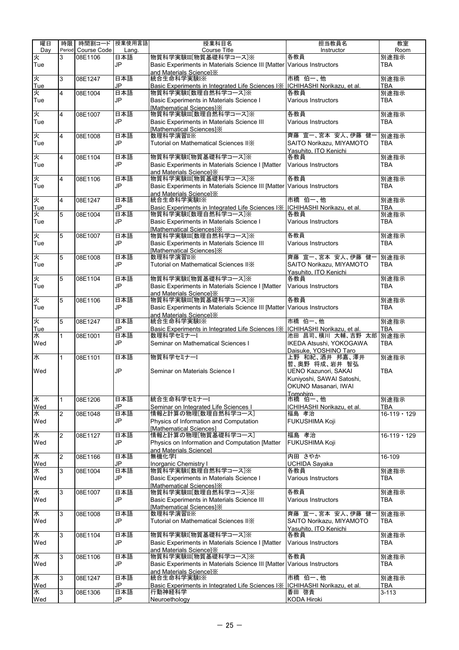| 曜日       | 時限             | 時間割コード 授業使用言語 |           | 授業科目名                                                                                                 | 担当教員名                                        | 教室                 |
|----------|----------------|---------------|-----------|-------------------------------------------------------------------------------------------------------|----------------------------------------------|--------------------|
| Dav      | Period         | Course Code   | Lang.     | Course Title                                                                                          | Instructor                                   | Room               |
| 夾        | 3              | 08E1106       | 日本語       | 物質科学実験III[物質基礎科学コース]※                                                                                 | 各教員                                          | 別途指示               |
| Tue      |                |               | JP        | Basic Experiments in Materials Science III [Matter Various Instructors                                |                                              | TBA                |
| 火        |                |               | 日本語       | and Materials Sciencel X<br>統合生命科学実験I※                                                                | 市橋伯一、他                                       |                    |
| Tue      | 3              | 08E1247       | JP        | Basic Experiments in Integrated Life Sciences I *   ICHIHASHI Norikazu, et al.                        |                                              | 別途指示<br><b>TBA</b> |
| 火        | $\overline{4}$ | 08E1004       | 日本語       | 物質科学実験I「数理自然科学コース」※                                                                                   | 各教員                                          | 別途指示               |
| Tue      |                |               | JP        | Basic Experiments in Materials Science I                                                              | <b>Various Instructors</b>                   | TBA                |
|          |                |               |           | <b>Mathematical Sciences1</b> <sup>%</sup>                                                            |                                              |                    |
| 火        | $\overline{4}$ | 08E1007       | 日本語       | 物質科学実験III[数理自然科学コース]※                                                                                 | 各教員                                          | 別途指示               |
| Tue      |                |               | JP        | Basic Experiments in Materials Science III                                                            | <b>Various Instructors</b>                   | TBA                |
|          |                |               |           | <b>Mathematical Sciences1</b> <sup>%</sup>                                                            |                                              |                    |
| 火        | $\overline{4}$ | 08E1008       | 日本語       | 数理科学演習II※                                                                                             | 齊藤 宣一、宮本 安人、伊藤 健-                            | 別途指示               |
| Tue      |                |               | JP        | Tutorial on Mathematical Sciences IIX                                                                 | SAITO Norikazu, MIYAMOTO                     | TBA                |
| 火        | $\overline{4}$ | 08E1104       | 日本語       | 物質科学実験I[物質基礎科学コース]※                                                                                   | Yasuhito. ITO Kenichi<br>各教員                 | 別途指示               |
| Tue      |                |               | JP        | Basic Experiments in Materials Science I [Matter                                                      | Various Instructors                          | TBA                |
|          |                |               |           | and Materials Sciencel X                                                                              |                                              |                    |
| 火        | 4              | 08E1106       | 日本語       | 物質科学実験III[物質基礎科学コース]※                                                                                 | 各教員                                          | 別途指示               |
| Tue      |                |               | JP        | Basic Experiments in Materials Science III [Matter Various Instructors                                |                                              | <b>TBA</b>         |
|          |                |               |           | and Materials SciencelX                                                                               |                                              |                    |
| 火        | $\overline{4}$ | 08E1247       | 日本語       | 統合生命科学実験IX                                                                                            | 市橋 伯一、他                                      | 別途指示               |
| Tue<br>火 | 5              | 08E1004       | JP<br>日本語 | Basic Experiments in Integrated Life Sciences I K   ICHIHASHI Norikazu, et al.<br>物質科学実験I【数理自然科学コース】※ | 各教員                                          | <b>TBA</b><br>別途指示 |
| Tue      |                |               | JP        | Basic Experiments in Materials Science I                                                              | Various Instructors                          | <b>TBA</b>         |
|          |                |               |           | <b>Mathematical Sciences1</b> <sup>%</sup>                                                            |                                              |                    |
| 火        | 5              | 08E1007       | 日本語       | 物質科学実験III[数理自然科学コース]※                                                                                 | 各教員                                          | 別途指示               |
| Tue      |                |               | JP        | <b>Basic Experiments in Materials Science III</b>                                                     | Various Instructors                          | <b>TBA</b>         |
|          |                |               |           | [Mathematical Sciences] X                                                                             |                                              |                    |
| 火        | 5              | 08E1008       | 日本語       | 数理科学演習IIX                                                                                             | 齊藤 宣一、宮本 安人、伊藤 健-                            | 別途指示               |
| Tue      |                |               | JP        | Tutorial on Mathematical Sciences IIX                                                                 | SAITO Norikazu, MIYAMOTO                     | TBA                |
| 火        | 5              | 08E1104       | 日本語       | 物質科学実験I[物質基礎科学コース]※                                                                                   | Yasuhito, ITO Kenichi<br>各教員                 | 別途指示               |
| Tue      |                |               | JP        | Basic Experiments in Materials Science I [Matter                                                      | Various Instructors                          | TBA                |
|          |                |               |           | and Materials Sciencel X                                                                              |                                              |                    |
| 火        | 5              | 08E1106       | 日本語       | 物質科学実験III[物質基礎科学コース]※                                                                                 | 各教員                                          | 別途指示               |
| Tue      |                |               | JP        | Basic Experiments in Materials Science III [Matter Various Instructors                                |                                              | TBA                |
|          |                |               |           | and Materials Sciencel X                                                                              |                                              |                    |
| 火        | 5              | 08E1247       | 日本語       | 統合生命科学実験I※                                                                                            | 市橋 伯一、他                                      | 別途指示               |
| Tue      |                |               | JP        | Basic Experiments in Integrated Life Sciences IX   ICHIHASHI Norikazu, et al.                         |                                              | <b>TBA</b>         |
| 水<br>Wed | 1              | 08E1001       | 日本語<br>JP | 数理科学セミナーI<br>Seminar on Mathematical Sciences I                                                       | 池田 昌司、横川 大輔、吉野 太郎<br>IKEDA Atsushi, YOKOGAWA | 別途指示<br><b>TBA</b> |
|          |                |               |           |                                                                                                       | Daisuke, YOSHINO Taro                        |                    |
| 水        | $\mathbf{1}$   | 08E1101       | 日本語       | 物質科学セミナーI                                                                                             | 上野 和紀、酒井 邦嘉、澤井                               | 別途指示               |
|          |                |               |           |                                                                                                       | 哲、奥野 将成、岩井 智弘                                |                    |
| Wed      |                |               | JP        | Seminar on Materials Science I                                                                        | <b>UENO Kazunori, SAKAI</b>                  | <b>TBA</b>         |
|          |                |               |           |                                                                                                       | Kuniyoshi, SAWAI Satoshi,                    |                    |
|          |                |               |           |                                                                                                       | OKUNO Masanari, IWAI                         |                    |
| ¥        |                |               | 日本語       | 統合生命科学セミナーI                                                                                           | Tomohiro<br>市橋伯一、他                           |                    |
| Wed      | $\mathbf{1}$   | 08E1206       | JP        | Seminar on Integrated Life Sciences I                                                                 | ICHIHASHI Norikazu, et al.                   | 別途指示<br>TBA        |
| 水        | <sup>2</sup>   | 08E1048       | 日本語       | 情報と計算の物理[数理自然科学コース]                                                                                   | 福島 孝治                                        | $16 - 119 - 129$   |
| Wed      |                |               | JP        | Physics of Information and Computation                                                                | FUKUSHIMA Koji                               |                    |
|          |                |               |           | [Mathematical Sciences]                                                                               |                                              |                    |
| 水        | $\overline{2}$ | 08E1127       | 日本語       | 情報と計算の物理[物質基礎科学コース]                                                                                   | 福島 孝治                                        | $16-119 \cdot 129$ |
| Wed      |                |               | JP        | Physics on Information and Computation [Matter                                                        | <b>FUKUSHIMA Koji</b>                        |                    |
|          |                |               |           | and Materials Sciencel                                                                                |                                              |                    |
| 水<br>Wed | 2              | 08E1166       | 日本語<br>JP | 無機化学I<br><b>Inorganic Chemistry I</b>                                                                 | 内田 さやか<br><b>UCHIDA Sayaka</b>               | 16-109             |
| 水        | 3              | 08E1004       | 日本語       | 物質科学実験[数理自然科学コース]※                                                                                    | 各教員                                          | 別途指示               |
| Wed      |                |               | JP        | Basic Experiments in Materials Science I                                                              | Various Instructors                          | TBA                |
|          |                |               |           | [Mathematical Sciences] X                                                                             |                                              |                    |
| 水        | 3              | 08E1007       | 日本語       | 物質科学実験III[数理自然科学コース]※                                                                                 | 各教員                                          | 別途指示               |
| Wed      |                |               | JP        | <b>Basic Experiments in Materials Science III</b>                                                     | Various Instructors                          | TBA                |
|          |                |               |           | [Mathematical Sciences] X                                                                             |                                              |                    |
| 水        | l3             | 08E1008       | 日本語       | 数理科学演習II※                                                                                             | 齊藤 宣一、宮本 安人、伊藤 健-                            | 別途指示               |
| Wed      |                |               | JP        | Tutorial on Mathematical Sciences IIX                                                                 | SAITO Norikazu, MIYAMOTO                     | TBA                |
| 水        | 3              | 08E1104       | 日本語       | 物質科学実験I[物質基礎科学コース]※                                                                                   | Yasuhito, ITO Kenichi<br>各教員                 | 別途指示               |
| Wed      |                |               | JP        | Basic Experiments in Materials Science I [Matter                                                      | Various Instructors                          | TBA                |
|          |                |               |           | and Materials Sciencel X                                                                              |                                              |                    |
| ¥        | 3              | 08E1106       | 日本語       | 物質科学実験III[物質基礎科学コース]※                                                                                 | 各教員                                          | 別途指示               |
| Wed      |                |               | JP        | Basic Experiments in Materials Science III [Matter Various Instructors                                |                                              | TBA                |
|          |                |               |           | and Materials Sciencel X                                                                              |                                              |                    |
| 水        | l3             | 08E1247       | 日本語       | 統合生命科学実験I※                                                                                            | 市橋 伯一、他                                      | 別途指示               |
| Wed<br>水 | l3             | 08E1306       | JP<br>日本語 | Basic Experiments in Integrated Life Sciences IX<br>行動神経科学                                            | ICHIHASHI Norikazu, et al.<br>香田 啓貴          | TBA<br>$3 - 113$   |
| Wed      |                |               | JP        | Neuroethology                                                                                         | KODA Hiroki                                  |                    |
|          |                |               |           |                                                                                                       |                                              |                    |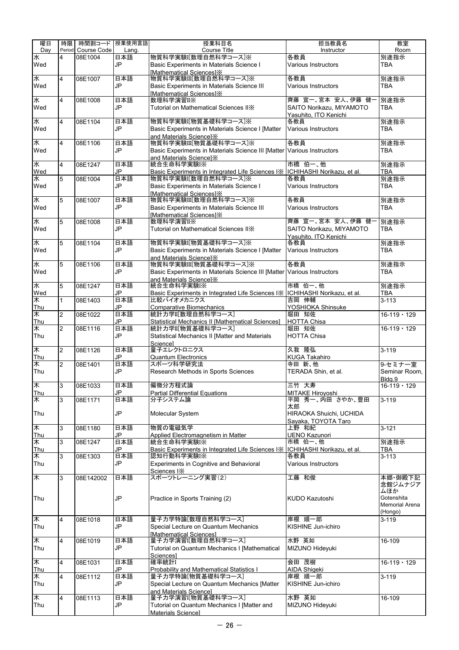| 曜日                    | 時限             | 時間割コード 授業使用言語 |           | 授業科目名                                                                                             | 担当教員名                               | 教室                      |
|-----------------------|----------------|---------------|-----------|---------------------------------------------------------------------------------------------------|-------------------------------------|-------------------------|
| Dav                   | Period         | Course Code   | Lang.     | Course Title                                                                                      | Instructor                          | Room                    |
| 水                     | 4              | 08E1004       | 日本語       | 物質科学実験[数理自然科学コース]※                                                                                | 各教員                                 | 別途指示                    |
| Wed                   |                |               | JP        | Basic Experiments in Materials Science I                                                          | Various Instructors                 | TBA                     |
| 水                     | 4              | 08E1007       | 日本語       | [Mathematical Sciences] X<br>物質科学実験III[数理自然科学コース]※                                                | 各教員                                 | 別途指示                    |
| Wed                   |                |               | JP        | Basic Experiments in Materials Science III                                                        | Various Instructors                 | TBA                     |
|                       |                |               |           | [Mathematical Sciences] X                                                                         |                                     |                         |
| 水                     | 4              | 08E1008       | 日本語       | 数理科学演習II※                                                                                         | 齊藤 宣一、宮本 安人、伊藤 健-                   | 別途指示                    |
| Wed                   |                |               | JP        | Tutorial on Mathematical Sciences IIX                                                             | SAITO Norikazu, MIYAMOTO            | TBA                     |
|                       |                |               |           |                                                                                                   | Yasuhito, ITO Kenichi               |                         |
| 水<br>Wed              | 4              | 08E1104       | 日本語<br>JP | 物質科学実験I[物質基礎科学コース]※                                                                               | 各教員<br><b>Various Instructors</b>   | 別途指示                    |
|                       |                |               |           | Basic Experiments in Materials Science I [Matter<br>and Materials Sciencel X                      |                                     | TBA                     |
| 水                     | 4              | 08E1106       | 日本語       | 物質科学実験III[物質基礎科学コース]※                                                                             | 各教員                                 | 別途指示                    |
| Wed                   |                |               | JP        | Basic Experiments in Materials Science III [Matter Various Instructors                            |                                     | TBA                     |
|                       |                |               |           | and Materials Science] X                                                                          |                                     |                         |
| 水                     | 4              | 08E1247       | 日本語       | 統合生命科学実験I※                                                                                        | 市橋 伯一、他                             | 別途指示                    |
| Wed                   |                |               | JP<br>日本語 | Basic Experiments in Integrated Life Sciences I   CHIHASHI Norikazu, et al.<br>物質科学実験[数理自然科学コース]※ | 各教員                                 | TBA                     |
| 水<br>Wed              | 5              | 08E1004       | JP        | Basic Experiments in Materials Science I                                                          | Various Instructors                 | 別途指示<br><b>TBA</b>      |
|                       |                |               |           | <b>Mathematical Sciences1</b> <sup>%</sup>                                                        |                                     |                         |
| 水                     | 5              | 08E1007       | 日本語       | 物質科学実験III[数理自然科学コース]※                                                                             | 各教員                                 | 別途指示                    |
| Wed                   |                |               | JP        | <b>Basic Experiments in Materials Science III</b>                                                 | Various Instructors                 | <b>TBA</b>              |
|                       |                |               |           | [Mathematical Sciences] X                                                                         |                                     |                         |
| 水                     | 5              | 08E1008       | 日本語       | 数理科学演習II※                                                                                         | 齊藤 宣一、宮本 安人、伊藤 健-                   | 別途指示                    |
| Wed                   |                |               | JP        | Tutorial on Mathematical Sciences IIX                                                             | SAITO Norikazu, MIYAMOTO            | TBA                     |
| 水                     | 5              | 08E1104       | 日本語       | 物質科学実験I[物質基礎科学コース]※                                                                               | Yasuhito. ITO Kenichi<br>各教員        | 別途指示                    |
| Wed                   |                |               | JP        | Basic Experiments in Materials Science I [Matter                                                  | Various Instructors                 | TBA                     |
|                       |                |               |           | and Materials SciencelX                                                                           |                                     |                         |
| 水                     | 5              | 08E1106       | 日本語       | 物質科学実験III[物質基礎科学コース]※                                                                             | 各教員                                 | 別途指示                    |
| Wed                   |                |               | JP        | Basic Experiments in Materials Science III [Matter Various Instructors                            |                                     | <b>TBA</b>              |
|                       |                |               |           | and Materials Sciencel $\times$                                                                   |                                     |                         |
| 水                     | 5              | 08E1247       | 日本語       | 統合生命科学実験IX                                                                                        | 市橋伯一、他                              | 別途指示                    |
| Wed<br>$\overline{*}$ | $\mathbf{1}$   | 08E1403       | JP<br>日本語 | Basic Experiments in Integrated Life Sciences IX   ICHIHASHI Norikazu, et al.<br>比較バイオメカニクス       | 吉岡 伸輔                               | <b>TBA</b><br>$3 - 113$ |
| Thu                   |                |               | JP        | <b>Comparative Biomechanics</b>                                                                   | YOSHIOKA Shinsuke                   |                         |
| $\ast$                | $\overline{2}$ | 08E1022       | 日本語       | 統計力学II[数理自然科学コース]                                                                                 | 堀田 知佐                               | $16 - 119 - 129$        |
| Thu                   |                |               | JP        | Statistical Mechanics II [Mathematical Sciences]                                                  | <b>HOTTA Chisa</b>                  |                         |
| 木                     | $\overline{2}$ | 08E1116       | 日本語       | 統計力学II[物質基礎科学コース]                                                                                 | 堀田 知佐                               | $16-119 \cdot 129$      |
| Thu                   |                |               | JP        | Statistical Mechanics II [Matter and Materials                                                    | <b>HOTTA Chisa</b>                  |                         |
| $\overline{\ast}$     | $\overline{c}$ | 08E1126       | 日本語       | Science]<br>量子エレクトロニクス                                                                            | 久我 隆弘                               | $3 - 119$               |
| Thu                   |                |               | JP        | <b>Quantum Electronics</b>                                                                        | <b>KUGA Takahiro</b>                |                         |
| 木                     | $\overline{2}$ | 08E1401       | 日本語       | スポーツ科学研究法                                                                                         | 寺田 新、他                              | 9-セミナー室                 |
| Thu                   |                |               | JP        | Research Methods in Sports Sciences                                                               | TERADA Shin, et al.                 | Seminar Room,           |
|                       |                |               |           |                                                                                                   |                                     | Bldg.9                  |
| ★                     | $\overline{3}$ | 08E1033       | 日本語       | 偏微分方程式論                                                                                           | 三竹 大寿                               | $16-119 \cdot 129$      |
| Thu<br>木              | 3              | 08E1171       | JP<br>日本語 | <b>Partial Differential Equations</b><br>分子システム論                                                  | MITAKE Hiroyoshi<br>平岡 秀一、内田 さやか、豊田 | $3 - 119$               |
|                       |                |               |           |                                                                                                   | 太郎                                  |                         |
| Thu                   |                |               | JP        | Molecular System                                                                                  | HIRAOKA Shuichi, UCHIDA             |                         |
|                       |                |               |           |                                                                                                   | Sayaka, TOYOTA Taro                 |                         |
| ₭                     | 3              | 08E1180       | 日本語       | 物質の電磁気学                                                                                           | 上野 和紀                               | $3 - 121$               |
| Thu                   |                |               | JP        | Applied Electromagnetism in Matter                                                                | <b>UENO Kazunori</b>                |                         |
| 木                     | 3              | 08E1247       | 日本語<br>JP | 統合生命科学実験I※                                                                                        | 市橋 伯一、他                             | 別途指示                    |
| Thu<br>木              | 3              | 08E1303       | 日本語       | Basic Experiments in Integrated Life Sciences I   CHIHASHI Norikazu, et al.<br>認知行動科学実験IX         | 各教員                                 | TBA<br>$3 - 113$        |
| Thu                   |                |               | JP        | <b>Experiments in Cognitive and Behavioral</b>                                                    | Various Instructors                 |                         |
|                       |                |               |           | Sciences IX                                                                                       |                                     |                         |
| $\overline{\ast}$     | 3              | 08E142002     | 日本語       | スポーツトレーニング実習(2)                                                                                   | 工藤 和俊                               | 本郷·御殿下記                 |
|                       |                |               |           |                                                                                                   |                                     | 念館ジムナジア                 |
| Thu                   |                |               | JP        | Practice in Sports Training (2)                                                                   | <b>KUDO Kazutoshi</b>               | ムほか<br>Gotenshita       |
|                       |                |               |           |                                                                                                   |                                     | <b>Memorial Arena</b>   |
|                       |                |               |           |                                                                                                   |                                     | (Hongo)                 |
| ★                     | 4              | 08E1018       | 日本語       | 量子力学特論[数理自然科学コース]                                                                                 | 岸根 順一郎                              | $3 - 119$               |
| Thu                   |                |               | JP        | Special Lecture on Quantum Mechanics                                                              | KISHINE Jun-ichiro                  |                         |
|                       |                |               |           | <b>Mathematical Sciences1</b>                                                                     |                                     |                         |
| $\ast$                | 4              | 08E1019       | 日本語       | 量子力学演習[【数理自然科学コース]                                                                                | 水野 英如                               | 16-109                  |
| Thu                   |                |               | JP        | Tutorial on Quantum Mechanics I [Mathematical<br>Sciences]                                        | MIZUNO Hideyuki                     |                         |
| $\ast$                | 4              | 08E1031       | 日本語       | 確率統計I                                                                                             | 会田 茂樹                               | $16-119 \cdot 129$      |
| Thu                   |                |               | JP.       | <b>Probability and Mathematical Statistics I</b>                                                  | <b>AIDA Shigeki</b>                 |                         |
| 木                     | 4              | 08E1112       | 日本語       | 量子力学特論[物質基礎科学コース]                                                                                 | 岸根 順一郎                              | $3 - 119$               |
| Thu                   |                |               | JP        | Special Lecture on Quantum Mechanics [Matter                                                      | KISHINE Jun-ichiro                  |                         |
|                       |                |               |           | and Materials Science]                                                                            |                                     |                         |
| 木                     | 4              | 08E1113       | 日本語<br>JP | 量子力学演習 $I$ 物質基礎科学コース]                                                                             | 水野 英如                               | 16-109                  |
| Thu                   |                |               |           | Tutorial on Quantum Mechanics I [Matter and<br>Materials Sciencel                                 | MIZUNO Hideyuki                     |                         |
|                       |                |               |           |                                                                                                   |                                     |                         |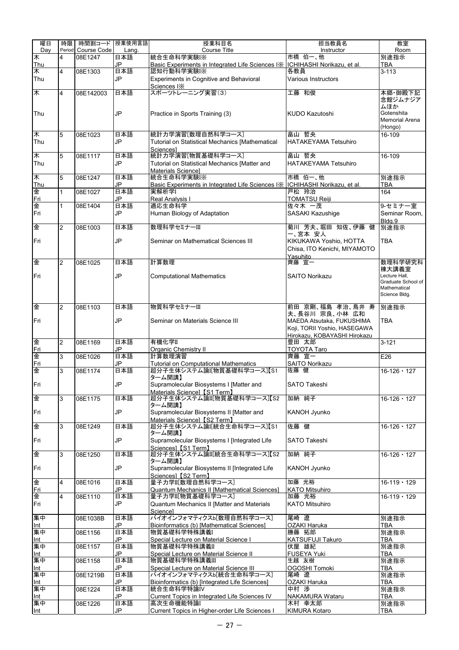| 曜日                   | 時限             | 時間割コード 授業使用言語      |           | 授業科目名                                                                       | 担当教員名                                 | 教室                     |
|----------------------|----------------|--------------------|-----------|-----------------------------------------------------------------------------|---------------------------------------|------------------------|
| Day                  |                | Period Course Code | Lang.     | <b>Course Title</b>                                                         | Instructor                            | Room                   |
| $\ast$<br><b>Thu</b> | 4              | 08E1247            | 日本語<br>JP | 統合生命科学実験I※<br>Basic Experiments in Integrated Life Sciences IX              | 市橋 伯一、他<br>ICHIHASHI Norikazu, et al. | 別途指示<br>TBA            |
| 木                    | 4              | 08E1303            | 日本語       | 認知行動科学実験I※                                                                  | 各教員                                   | $3 - 113$              |
| Thu                  |                |                    | JP        | Experiments in Cognitive and Behavioral                                     | Various Instructors                   |                        |
|                      |                |                    |           | Sciences IX                                                                 |                                       |                        |
| $\ast$               | 4              | 08E142003          | 日本語       | スポーツトレーニング実習(3)                                                             | 工藤 和俊                                 | 本郷·御殿下記                |
|                      |                |                    |           |                                                                             |                                       | 念館ジムナジア<br>ムほか         |
| Thu                  |                |                    | JP        | Practice in Sports Training (3)                                             | KUDO Kazutoshi                        | Gotenshita             |
|                      |                |                    |           |                                                                             |                                       | Memorial Arena         |
|                      |                |                    |           |                                                                             |                                       | (Hongo)                |
| 木<br>Thu             | 5              | 08E1023            | 日本語       | 統計力学演習[数理自然科学コース]<br><b>Tutorial on Statistical Mechanics [Mathematical</b> | 畠山 哲央<br><b>HATAKEYAMA Tetsuhiro</b>  | 16-109                 |
|                      |                |                    | JP        | Sciencesl                                                                   |                                       |                        |
| 木                    | 5              | 08E1117            | 日本語       | 統計力学演習[物質基礎科学コース]                                                           | 畠山 哲央                                 | 16-109                 |
| Thu                  |                |                    | JP        | Tutorial on Statistical Mechanics [Matter and                               | <b>HATAKEYAMA Tetsuhiro</b>           |                        |
|                      |                |                    |           | Materials Science]                                                          |                                       |                        |
| $\ast$               | 5              | 08E1247            | 日本語       | 統合生命科学実験I※                                                                  | 市橋 伯一、他                               | 別途指示                   |
| Thu<br>金             | 1              | 08E1027            | JP<br>日本語 | Basic Experiments in Integrated Life Sciences IX<br>実解析学I                   | ICHIHASHI Norikazu, et al.<br>戸松 玲治   | TBA<br>164             |
| Fri                  |                |                    | JP        | <b>Real Analysis I</b>                                                      | <b>TOMATSU Reiji</b>                  |                        |
| 金                    | $\mathbf{1}$   | 08E1404            | 日本語       | 適応生命科学                                                                      | 佐々木 一茂                                | 9-セミナー室                |
| Fri                  |                |                    | JP        | Human Biology of Adaptation                                                 | SASAKI Kazushige                      | Seminar Room.          |
|                      |                |                    |           |                                                                             |                                       | Bldg.9                 |
| 金                    | $\overline{2}$ | 08E1003            | 日本語       | 数理科学セミナーIII                                                                 | 菊川 芳夫、堀田 知佐、伊藤 健<br>一、宮本 安人           | 別途指示                   |
| Fri                  |                |                    | JP        | Seminar on Mathematical Sciences III                                        | KIKUKAWA Yoshio, HOTTA                | <b>TBA</b>             |
|                      |                |                    |           |                                                                             | Chisa, ITO Kenichi, MIYAMOTO          |                        |
|                      |                |                    |           |                                                                             | Yasuhito                              |                        |
| 金                    | $\overline{2}$ | 08E1025            | 日本語       | 計算数理                                                                        | 齊藤 宣一                                 | 数理科学研究科                |
| Fri                  |                |                    | JP        | <b>Computational Mathematics</b>                                            | <b>SAITO Norikazu</b>                 | 棟大講義室<br>Lecture Hall, |
|                      |                |                    |           |                                                                             |                                       | Graduate School of     |
|                      |                |                    |           |                                                                             |                                       | Mathematical           |
|                      |                |                    |           |                                                                             |                                       | Science Bldg.          |
| 俊                    | $\overline{2}$ | 08E1103            | 日本語       | 物質科学セミナーIII                                                                 | 前田 京剛、福島 孝治、鳥井 寿                      | 別途指示                   |
|                      |                |                    |           |                                                                             | 夫、長谷川 宗良、小林 広和                        |                        |
| Fri                  |                |                    | JP        | Seminar on Materials Science III                                            | MAEDA Atsutaka, FUKUSHIMA             | <b>TBA</b>             |
|                      |                |                    |           |                                                                             | Koji, TORII Yoshio, HASEGAWA          |                        |
| 金                    | $\overline{2}$ | 08E1169            | 日本語       | 有機化学II                                                                      | Hirokazu, KOBAYASHI Hirokazu<br>豊田 太郎 | $3 - 121$              |
| Fri                  |                |                    | JP        | Organic Chemistry II                                                        | <b>TOYOTA Taro</b>                    |                        |
| 金                    | 3              | 08E1026            | 日本語       | 計算数理演習                                                                      | 齊藤 宜一                                 | E26                    |
| Fri                  |                |                    | JP        | <b>Tutorial on Computational Mathematics</b>                                | <b>SAITO Norikazu</b>                 |                        |
| 金                    | 3              | 08E1174            | 日本語       | 超分子生体システム論I[物質基礎科学コース]【S1<br>ターム開講】                                         | 佐藤 健                                  | $16 - 126 - 127$       |
| Fri                  |                |                    | JP        | Supramolecular Biosystems I [Matter and                                     | SATO Takeshi                          |                        |
|                      |                |                    |           | Materials Science] [S1 Term]                                                |                                       |                        |
| 金                    | 3              | 08E1175            | 日本語       | 超分子生体システム論II[物質基礎科学コース]【S2                                                  | 加納 純子                                 | $16 - 126 \cdot 127$   |
|                      |                |                    |           | ターム開講】                                                                      |                                       |                        |
| Fri                  |                |                    | <b>JP</b> | Supramolecular Biosystems II [Matter and<br>Materials Science] [S2 Term]    | KANOH Jyunko                          |                        |
| 金                    | 3              | 08E1249            | 日本語       | 超分子生体システム論I統合生命科学コース】【S1                                                    | 佐藤 健                                  | $16 - 126 \cdot 127$   |
|                      |                |                    |           | ターム開講】                                                                      |                                       |                        |
| Fri                  |                |                    | <b>JP</b> | Supramolecular Biosystems I [Integrated Life                                | SATO Takeshi                          |                        |
|                      |                |                    |           | Sciences] [S1 Term]                                                         |                                       |                        |
| 金                    | 3              | 08E1250            | 日本語       | 超分子生体システム論II[統合生命科学コース]【S2<br>ターム開講】                                        | 加納 純子                                 | $16 - 126 \cdot 127$   |
| Fri                  |                |                    | JP        | Supramolecular Biosystems II [Integrated Life                               | KANOH Jyunko                          |                        |
|                      |                |                    |           | Sciences] [S2 Term]                                                         |                                       |                        |
| 俐                    | $\overline{4}$ | 08E1016            | 日本語       | 量子力学II[数理自然科学コース]                                                           | 加藤 光裕                                 | $16 - 119 \cdot 129$   |
| Fri                  |                |                    | JP        | Quantum Mechanics II [Mathematical Sciences]                                | <b>KATO Mitsuhiro</b>                 |                        |
| 金<br>Fri             | 4              | 08E1110            | 日本語<br>JP | 量子カ学II[物質基礎科学コース]<br>Quantum Mechanics II [Matter and Materials             | 加藤 光裕<br><b>KATO Mitsuhiro</b>        | $16 - 119 - 129$       |
|                      |                |                    |           | Sciencel                                                                    |                                       |                        |
| 集中                   |                | 08E1038B           | 日本語       | バイオインフォマティクスb[数理自然科学コース]                                                    | 尾崎遼                                   | 別途指示                   |
| Int                  |                |                    | JP        | Bioinformatics (b) [Mathematical Sciences]                                  | OZAKI Haruka                          | TBA                    |
| 集中                   |                | 08E1156            | 日本語       | 物質基礎科学特殊講義I                                                                 | 勝藤 拓郎                                 | 別途指示                   |
| Int<br>集中            |                | 08E1157            | JP<br>日本語 | Special Lecture on Material Science I<br>物質基礎科学特殊講義II                       | <b>KATSUFUJI Takuro</b><br>伏屋 雄紀      | <b>TBA</b><br>別途指示     |
| Int                  |                |                    | JP        | Special Lecture on Material Science II                                      | <b>FUSEYA Yuki</b>                    | TBA                    |
| 集中                   |                | 08E1158            | 日本語       | 物質基礎科学特殊講義Ⅲ                                                                 | 生越 友樹                                 | 別途指示                   |
| Int                  |                |                    | JP        | Special Lecture on Material Science III                                     | <b>OGOSHI Tomoki</b>                  | <b>TBA</b>             |
| 集中                   |                | 08E1219B           | 日本語       | バイオインフォマティクスb[統合生命科学コース]                                                    | 尾崎 遼                                  | 別途指示                   |
| Int<br>集中            |                |                    | JP<br>日本語 | Bioinformatics (b) [Integrated Life Sciences]                               | OZAKI Haruka<br>中村 渉                  | <b>TBA</b>             |
| Int                  |                | 08E1224            | JP        | 統合生命科学特論IV<br>Current Topics in Integrated Life Sciences IV                 | NAKAMURA Wataru                       | 別途指示<br><b>TBA</b>     |
| 集中                   |                | 08E1226            | 日本語       | 高次生命機能特論I                                                                   | 木村 幸太郎                                | 別途指示                   |
| Int                  |                |                    | JP        | Current Topics in Higher-order Life Sciences I                              | KIMURA Kotaro                         | <b>TBA</b>             |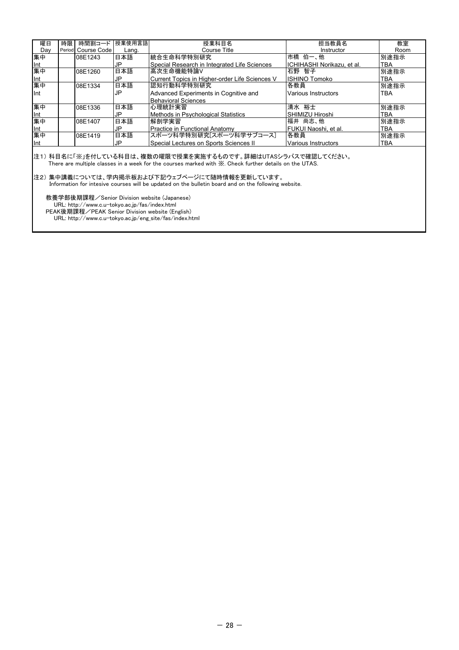| 曜日        | 時限 | 時間割コード             | 授業使用言語 | 授業科目名                                          | 担当教員名                      | 教室         |
|-----------|----|--------------------|--------|------------------------------------------------|----------------------------|------------|
| Dav       |    | Period Course Code | Lang.  | Course Title                                   | Instructor                 | Room       |
| 集中        |    | 08E1243            | 日本語    | 統合生命科学特別研究                                     | 市橋 伯一、他                    | 別途指示       |
|           |    |                    | JP     | Special Research in Integrated Life Sciences   | ICHIHASHI Norikazu, et al. | <b>TBA</b> |
| Int<br>集中 |    | 08E1260            | 日本語    | 高次生命機能特論V                                      | 石野 智子                      | 別途指示       |
|           |    |                    | JP     | Current Topics in Higher-order Life Sciences V | <b>ISHINO Tomoko</b>       | TBA        |
| Int<br>集中 |    | 08E1334            | 日本語    | 認知行動科学特別研究                                     | 各教員                        | 別途指示       |
| llnt      |    |                    | JP     | Advanced Experiments in Cognitive and          | Various Instructors        | <b>TBA</b> |
|           |    |                    |        | <b>Behavioral Sciences</b>                     |                            |            |
| 集中        |    | 08E1336            | 日本語    | 心理統計実習                                         | 清水 裕士                      | 別途指示       |
| Int       |    |                    | JP     | Methods in Psychological Statistics            | SHIMIZU Hiroshi            | <b>TBA</b> |
| 集中        |    | 08E1407            | 日本語    | 解剖学実習                                          | 福井 尚志、他                    | 別途指示       |
|           |    |                    | JP     | <b>Practice in Functional Anatomy</b>          | IFUKUI Naoshi. et al.      | <b>TBA</b> |
| Int<br>集中 |    | 08E1419            | 日本語    | スポーツ科学特別研究[スポーツ科学サブコース]                        | 各教員                        | 別途指示       |
| llnt      |    |                    | JP     | Special Lectures on Sports Sciences II         | Various Instructors        | <b>TBA</b> |
|           |    |                    |        |                                                |                            |            |

注1) 科目名に「※」を付している科目は、複数の曜限で授業を実施するものです。詳細はUTASシラバスで確認してください。 The are multiple classes in a week for the courses marked with  $\frac{1}{N}$ . Check further details on the UTAS.

#### 注2) 集中講義については、学内掲示板および下記ウェブページにて随時情報を更新しています。

Information for intesive courses will be updated on the bulletin board and on the following website.

教養学部後期課程/Senior Division website (Japanese)

URL: http://www.c.u-tokyo.ac.jp/fas/index.html

PEAK後期課程/PEAK Senior Division website (English)

URL: http://www.c.u-tokyo.ac.jp/eng\_site/fas/index.html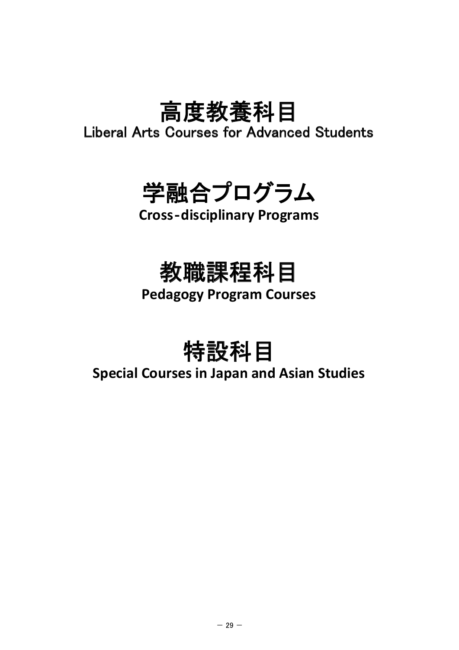# 高度教養科目

Liberal Arts Courses for Advanced Students



## **Cross**‐**disciplinary Programs**

## 教職課程科目

**Pedagogy Program Courses**

特設科目

### **Special Courses in Japan and Asian Studies**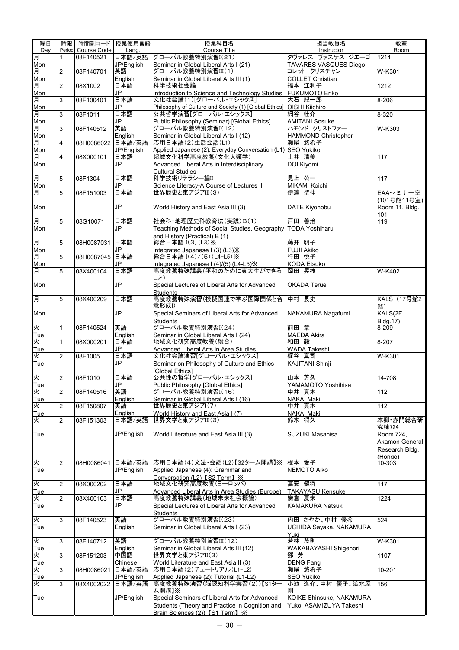| 曜日       | 時限             |             | 時間割コード 授業使用言語 | 授業科目名                                                                | 担当教員名                        | 教室                   |
|----------|----------------|-------------|---------------|----------------------------------------------------------------------|------------------------------|----------------------|
| Day      | Period         | Course Code | Lang.         | Course Title                                                         | Instructor                   | Room                 |
| 月        | 1              | 08F140521   | 日本語/英語        | グローバル教養特別演習I(21)                                                     | タヴァレス ヴァスケス ジエーゴ             | 1214                 |
| Mon      |                |             | JP/English    | Seminar in Global Liberal Arts I (21)                                | <b>TAVARES VASQUES Diego</b> |                      |
| 月        | 2              | 08F140701   | 英語            | グローバル教養特別演習III(1)                                                    | コレット クリスチャン                  | W-K301               |
| Mon      |                |             | English       | Seminar in Global Liberal Arts III (1)                               | <b>COLLET Christian</b>      |                      |
| 月        | $\overline{c}$ | 08X1002     | 日本語           | 科学技術社会論                                                              | 福本 江利子                       | 1212                 |
| Mon      |                |             | JP            | Introduction to Science and Technology Studies                       | <b>FUKUMOTO Eriko</b>        |                      |
| 月        | 3              | 08F100401   | 日本語           | 文化社会論(1)[グローバル・エシックス]                                                | 大石 紀一郎                       | 8-206                |
| Mon      |                |             | JP            | Philosophy of Culture and Society (1) [Global Ethics] OISHI Kiichiro |                              |                      |
| 月        | 3              | 08F1011     | 日本語           | 公共哲学演習[グローバル・エシックス]                                                  | 網谷 壮介                        | 8-320                |
| Mon      |                |             | JP            | Public Philosophy (Seminar) [Global Ethics]                          | <b>AMITANI Sosuke</b>        |                      |
| 月        | 3              | 08F140512   | 英語            | グローバル教養特別演習I(12)                                                     | ハモンド クリストファー                 | $W-K303$             |
| Mon      |                |             | English       | Seminar in Global Liberal Arts I (12)                                | <b>HAMMOND Christopher</b>   |                      |
| 肎        | 4              | 08H0086022  | 日本語/英語        | 応用日本語(2)生活会話(L1)                                                     | 瀬尾 悠希子                       |                      |
| Mon      |                |             | JP/English    | Applied Japanese (2): Everyday Conversation (L1) SEO Yukiko          |                              |                      |
| 月        | $\overline{4}$ | 08X000101   | 日本語           | 超域文化科学高度教養(文化人類学)                                                    | 土井 清美                        | 117                  |
| Mon      |                |             | JP            | Advanced Liberal Arts in Interdisciplinary                           | DOI Kiyomi                   |                      |
|          |                |             |               |                                                                      |                              |                      |
| 月        | 5              | 08F1304     | 日本語           | <b>Cultural Studies</b><br>科学技術リテラシー論II                              | 見上 公一                        | 117                  |
| Mon      |                |             | JP            |                                                                      | MIKAMI Koichi                |                      |
|          | 5              |             |               | Science Literacy-A Course of Lectures II<br>世界歴史と東アジアIII(3)          | 伊達 聖伸                        |                      |
| 月        |                | 08F151003   | 日本語           |                                                                      |                              | EAAセミナー室             |
|          |                |             |               |                                                                      |                              | (101号館11号室)          |
| Mon      |                |             | JP            | World History and East Asia III (3)                                  | DATE Kiyonobu                | Room 11, Bldg.       |
|          |                |             |               |                                                                      |                              | 101                  |
| 月        | 5              | 08G10071    | 日本語           | 社会科·地理歴史科教育法(実践)B(1)                                                 | 戸田 善治                        | 119                  |
| Mon      |                |             | JP            | Teaching Methods of Social Studies, Geography                        | <b>TODA Yoshiharu</b>        |                      |
|          |                |             |               | and History (Practical) B (1)                                        |                              |                      |
| 耳        | 5              | 08H0087031  | 日本語           | 総合日本語 I(3)(L3)※                                                      | 藤井 明子                        |                      |
| Mon      |                |             | JP            | Integrated Japanese I (3) (L3) X                                     | <b>FUJII Akiko</b>           |                      |
| 月        | 5              | 08H0087045  | 日本語           | 総合日本語 I(4)/(5)(L4-L5)※                                               | 行田 悦子                        |                      |
| Mon      |                |             | JP            | Integrated Japanese I (4)/(5) (L4-L5) X                              | <b>KODA Etsuko</b>           |                      |
| 月        | 5              | 08X400104   | 日本語           | 高度教養特殊講義(平和のために東大生ができる                                               | 岡田 晃枝                        | $\overline{W}$ -K402 |
|          |                |             |               | こと)                                                                  |                              |                      |
| Mon      |                |             | JP            | Special Lectures of Liberal Arts for Advanced                        | <b>OKADA Terue</b>           |                      |
|          |                |             |               | <b>Students</b>                                                      |                              |                      |
| 月        | 5              | 08X400209   | 日本語           | 高度教養特殊演習(模擬国連で学ぶ国際関係と合                                               | 中村 長史                        | KALS (17号館2          |
|          |                |             |               | 意形成I)                                                                |                              | 階)                   |
| Mon      |                |             | <b>JP</b>     | Special Seminars of Liberal Arts for Advanced                        | NAKAMURA Nagafumi            | KALS(2F,             |
|          |                |             |               | <b>Students</b>                                                      |                              | Bldg.17)             |
| 火        | $\mathbf{1}$   | 08F140524   | 英語            | グローバル教養特別演習I(24)                                                     | 前田 章                         | 8-209                |
| Tue      |                |             | English       | Seminar in Global Liberal Arts I (24)                                | <b>MAEDA Akira</b>           |                      |
| 火        | 1              | 08X000201   | 日本語           | 地域文化研究高度教養(総合)                                                       | 和田 毅                         | 8-207                |
| Tue      |                |             | JP            | Advanced Liberal Arts in Area Studies                                | WADA Takeshi                 |                      |
| 火        | $\overline{2}$ | 08F1005     | 日本語           | 文化社会論演習[グローバル・エシックス]                                                 | 梶谷 真司                        | W-K301               |
| Tue      |                |             | JP            | Seminar on Philosophy of Culture and Ethics                          | <b>KAJITANI Shinji</b>       |                      |
|          |                |             |               | [Global Ethics]                                                      |                              |                      |
|          | 2              | 08F1010     | 日本語           | 公共性の哲学[グローバル・エシックス]                                                  | 山本 芳久                        | 14-708               |
| 火<br>Tue |                |             | JP            | Public Philosophy [Global Ethics]                                    | YAMAMOTO Yoshihisa           |                      |
| 火        | $\overline{2}$ | 08F140516   | 英語            | グローバル教養特別演習I(16)                                                     | 中井 真木                        | 112                  |
| Tue      |                |             | English       |                                                                      | <b>NAKAI Maki</b>            |                      |
| 火        |                | 08F150807   | 英語            | Seminar in Global Liberal Arts I (16)<br>世界歴史と東アジアI(7)               | 中井 真木                        |                      |
|          | $\overline{2}$ |             |               |                                                                      |                              | 112                  |
| Tue      |                |             | English       | World History and East Asia I (7)                                    | NAKAI Maki                   |                      |
| 火        | 2              | 08F151303   | 日本語/英語        | 世界文学と東アジアIII(3)                                                      | 鈴木 将久                        | 本郷·赤門総合研             |
|          |                |             |               |                                                                      |                              | 究棟724                |
| Tue      |                |             | JP/English    | World Literature and East Asia III (3)                               | <b>SUZUKI Masahisa</b>       | Room 724,            |
|          |                |             |               |                                                                      |                              | Akamon General       |
|          |                |             |               |                                                                      |                              | Research Bldg.       |
|          |                |             |               |                                                                      |                              | (Hongo)              |
| 火        | $\overline{2}$ | 08H0086041  | 日本語/英語        | 応用日本語(4)文法·会話(L2)【S2ターム開講】※                                          | 根本 愛子                        | 10-303               |
| Tue      |                |             | JP/English    | Applied Japanese (4): Grammar and                                    | NEMOTO Aiko                  |                      |
|          |                |             |               | Conversation (L2) [S2 Term] ※                                        |                              |                      |
| 火        | 2              | 08X000202   | 日本語           | 地域文化研究高度教養(ヨーロッパ)                                                    | 高安 健将                        | 117                  |
| Tue      |                |             | JP            | Advanced Liberal Arts in Area Studies (Europe)                       | <b>TAKAYASU Kensuke</b>      |                      |
| 火        | $\overline{c}$ | 08X400103   | 日本語           | 高度教養特殊講義(地域未来社会概論)                                                   | 鎌倉 夏来                        | 1224                 |
| Tue      |                |             | JP            | Special Lectures of Liberal Arts for Advanced                        | KAMAKURA Natsuki             |                      |
|          |                |             |               | <b>Students</b>                                                      |                              |                      |
| 火        | 3              | 08F140523   | 英語            | グローバル教養特別演習I(23)                                                     | 内田 さやか、中村 優希                 | 524                  |
| Tue      |                |             | English       | Seminar in Global Liberal Arts I (23)                                | UCHIDA Sayaka, NAKAMURA      |                      |
|          |                |             |               |                                                                      | Yuki                         |                      |
| 火        | 3              | 08F140712   | 英語            | グローバル教養特別演習III(12)                                                   | 若林 茂則                        | W-K301               |
| Tue      |                |             | English       | Seminar in Global Liberal Arts III (12)                              | WAKABAYASHI Shigenori        |                      |
| 火        | 3              | 08F151203   | 中国語           | 世界文学と東アジアII(3)                                                       | 鄧 芳                          | 1107                 |
| Tue      |                |             | Chinese       | World Literature and East Asia II (3)                                | <b>DENG Fang</b>             |                      |
| 火        | 3              | 08H0086021  | 日本語/英語        | 応用日本語(2)チュートリアル(L1-L2)                                               | 瀬尾 悠希子                       | 10-201               |
| Tue      |                |             | JP/English    | Applied Japanese (2): Tutorial (L1-L2)                               | SEO Yukiko                   |                      |
| 火        | 3              | 08X4002022  | 日本語/英語        | 高度教養特殊演習(脳認知科学実習(2))【S1ター                                            | 小池 進介、中村 優子、浅水屋              | 156                  |
|          |                |             |               | ム開講】※                                                                | 剛                            |                      |
| Tue      |                |             | JP/English    | Special Seminars of Liberal Arts for Advanced                        | KOIKE Shinsuke, NAKAMURA     |                      |
|          |                |             |               | Students (Theory and Practice in Cognition and                       | Yuko, ASAMIZUYA Takeshi      |                      |
|          |                |             |               |                                                                      |                              |                      |
|          |                |             |               | Brain Sciences (2)) [S1 Term] X                                      |                              |                      |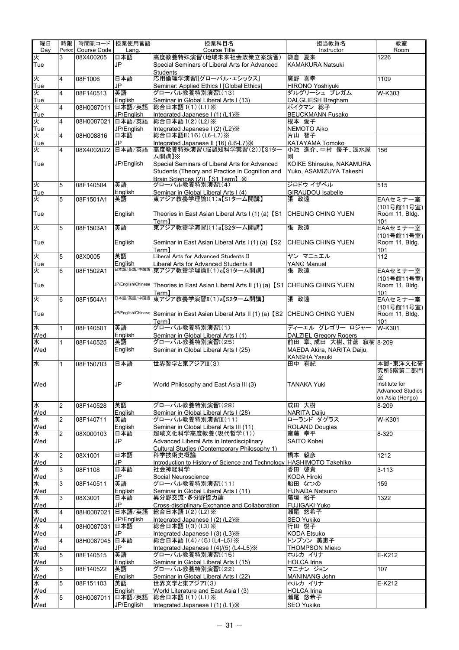| 曜日       | 時限             |                   | 時間割コード   授業使用言語       | 授業科目名                                                                | 担当教員名                                                   | 教室                                       |
|----------|----------------|-------------------|-----------------------|----------------------------------------------------------------------|---------------------------------------------------------|------------------------------------------|
| Dav      | Period         | Course Code       | Lang.                 | Course Title                                                         | Instructor                                              | Room                                     |
| 火        | 3              | 08X400205         | 日本語                   | 高度教養特殊演習(地域未来社会政策立案演習)                                               | 鎌倉 夏来                                                   | 1226                                     |
| Tue      |                |                   | <b>JP</b>             | Special Seminars of Liberal Arts for Advanced                        | <b>KAMAKURA Natsuki</b>                                 |                                          |
| Ř        | $\overline{4}$ |                   | 日本語                   | <b>Students</b><br>応用倫理学演習[グローバル・エシックス]                              | 廣野 喜幸                                                   |                                          |
| Tue      |                | 08F1006           | JP                    | Seminar: Applied Ethics I [Global Ethics]                            | <b>HIRONO Yoshiyuki</b>                                 | 1109                                     |
| 火        | $\overline{4}$ | 08F140513         | 英語                    | グローバル教養特別演習I(13)                                                     | ダルグリーシュ ブレガム                                            | W-K303                                   |
| Tue      |                |                   | English               | Seminar in Global Liberal Arts I (13)                                | DALGLIESH Bregham                                       |                                          |
| 火        | $\overline{4}$ | 08H0087011        | 日本語/英語                | 総合日本語 I(1)(L1)※                                                      | ボイクマン 総子                                                |                                          |
| Tue      |                |                   | JP/English            | Integrated Japanese I (1) (L1) X                                     | <b>BEUCKMANN Fusako</b>                                 |                                          |
| 火        | $\overline{4}$ | 08H0087021        | 日本語/英語                | 総合日本語 I(2)(L2)※                                                      | 根本 愛子                                                   |                                          |
| Tue      |                |                   | JP/English            | Integrated Japanese I (2) (L2) X                                     | NEMOTO Aiko                                             |                                          |
| 火        | 4              | 08H008816         | 日本語<br>JP             | 総合日本語II(16)(L6-L7)※<br>Integrated Japanese II (16) (L6-L7) X         | 片山 智子                                                   |                                          |
| Tue<br>火 | 4              | 08X4002022        | 日本語/英語                | 高度教養特殊演習(脳認知科学実習(2))【S1ター                                            | KATAYAMA Tomoko<br>小池 進介、中村 優子、浅水屋                      | 156                                      |
|          |                |                   |                       | ム開講】※                                                                | 剛                                                       |                                          |
| Tue      |                |                   | JP/English            | Special Seminars of Liberal Arts for Advanced                        | KOIKE Shinsuke, NAKAMURA                                |                                          |
|          |                |                   |                       | Students (Theory and Practice in Cognition and                       | Yuko, ASAMIZUYA Takeshi                                 |                                          |
|          |                |                   |                       | Brain Sciences (2)) [S1 Term] X                                      |                                                         |                                          |
| 火        | 5              | 08F140504         | 英語                    | グローバル教養特別演習I(4)                                                      | ジロドウ イザベル                                               | 515                                      |
| Tue<br>火 | 5              | 08F1501A1         | English<br>英語         | Seminar in Global Liberal Arts I (4)<br>東アジア教養学理論I(1)a【S1ターム開講】      | <b>GIRAUDOU Isabelle</b><br>張 政遠                        | EAAセミナー室                                 |
|          |                |                   |                       |                                                                      |                                                         | (101号館11号室)                              |
| Tue      |                |                   | English               | Theories in East Asian Liberal Arts I (1) (a) [S1 CHEUNG CHING YUEN  |                                                         | Room 11. Blda.                           |
|          |                |                   |                       | Term <sub>1</sub>                                                    |                                                         | 101                                      |
| 火        | 5              | 08F1503A1         | 英語                    | 東アジア教養学演習I(1)a【S2ターム開講】                                              | 張 政遠                                                    | EAAセミナー室                                 |
|          |                |                   |                       |                                                                      |                                                         | (101号館11号室)                              |
| Tue      |                |                   | English               | Seminar in East Asian Liberal Arts I (1) (a) [S2                     | CHEUNG CHING YUEN                                       | Room 11, Bldg.                           |
|          |                |                   |                       | Term1                                                                |                                                         | 101                                      |
| 火        | 5              | 08X0005           | 英語                    | Liberal Arts for Advanced Students II                                | ヤン マニュエル                                                | 112                                      |
| Tue<br>火 |                | 08F1502A1         | English<br>日本語/英語/中国語 | Liberal Arts for Advanced Students II<br>東アジア教養学理論II(1)a【S1ターム開講】    | <b>YANG Manuel</b><br>張 政遠                              |                                          |
|          | 6              |                   |                       |                                                                      |                                                         | EAAセミナー室                                 |
| Tue      |                |                   | JP/English/Chinese    | Theories in East Asian Liberal Arts II (1) (a) [S1 CHEUNG CHING YUEN |                                                         | (101号館11号室)<br>Room 11, Bldg.            |
|          |                |                   |                       | Term】                                                                |                                                         | 101                                      |
| 火        | 6              | 08F1504A1         | 日本語/英語/中国語            | 東アジア教養学演習II(1)a【S2ターム開講】                                             | 張 政遠                                                    | EAAセミナー室                                 |
|          |                |                   |                       |                                                                      |                                                         | (101号館11号室)                              |
| Tue      |                |                   | JP/English/Chinese    | Seminar in East Asian Liberal Arts II (1) (a) [S2 CHEUNG CHING YUEN  |                                                         | Room 11, Bldg.                           |
|          |                |                   |                       | Term <b>1</b>                                                        |                                                         | 101                                      |
| 水        | $\mathbf{1}$   | 08F140501         | 英語                    | グローバル教養特別演習I(1)                                                      | ディーエル グレゴリー ロジャー                                        | W-K301                                   |
| Wed<br>水 | $\mathbf{1}$   | 08F140525         | English<br>英語         | Seminar in Global Liberal Arts I (1)<br>グローバル教養特別演習I(25)             | <b>DALZIEL Gregory Rogers</b><br>前田 章、成田 大樹、甘蔗 寂樹 8-209 |                                          |
| Wed      |                |                   | English               | Seminar in Global Liberal Arts I (25)                                | MAEDA Akira, NARITA Daiju,                              |                                          |
|          |                |                   |                       |                                                                      | <b>KANSHA Yasuki</b>                                    |                                          |
| 水        | 1              | 08F150703         | 日本語                   | 世界哲学と東アジアIII(3)                                                      | 田中 有紀                                                   | 本郷・東洋文化研                                 |
|          |                |                   |                       |                                                                      |                                                         | 究所5階第二部門                                 |
|          |                |                   |                       |                                                                      |                                                         | 室                                        |
| Wed      |                |                   | JP                    | World Philosophy and East Asia III (3)                               | <b>TANAKA Yuki</b>                                      | Institute for<br><b>Advanced Studies</b> |
|          |                |                   |                       |                                                                      |                                                         | on Asia (Hongo)                          |
| 水        | 2              | 08F140528         | 英語                    | グローバル教養特別演習I(28)                                                     | 成田 大樹                                                   | 8-209                                    |
| Wed      |                |                   | English               | Seminar in Global Liberal Arts I (28)                                | <b>NARITA Daiju</b>                                     |                                          |
| 水        | $\overline{2}$ | 08F140711         | 英語                    | グローバル教養特別演習III(11)                                                   | ローランド ダグラス                                              | W-K301                                   |
| Wed      |                |                   | English               | Seminar in Global Liberal Arts III (11)                              | ROLAND Douglas                                          |                                          |
| 水        | $\overline{2}$ | 08X000103         | 日本語                   | 超域文化科学高度教養(現代哲学(1))                                                  | 齋藤 幸平                                                   | 8-320                                    |
| Wed      |                |                   | JP                    | Advanced Liberal Arts in Interdisciplinary                           | <b>SAITO Kohei</b>                                      |                                          |
| 水        | $\overline{2}$ | 08X1001           | 日本語                   | Cultural Studies (Contemporary Philosophy 1)<br>科学技術史概論              | 橋本 毅彦                                                   | 1212                                     |
| Wed      |                |                   | JP                    | Introduction to History of Science and Technology HASHIMOTO Takehiko |                                                         |                                          |
| 水        | 3              | 08F1108           | 日本語                   | 社会神経科学                                                               | 香田 啓貴                                                   | $3 - 113$                                |
| Wed      |                |                   | JP                    | Social Neuroscience                                                  | <b>KODA Hiroki</b>                                      |                                          |
| ¥        | 3              | 08F140511         | 英語                    | グローバル教養特別演習I(11)                                                     | 船田 なつの                                                  | 159                                      |
| Wed      |                |                   | English               | Seminar in Global Liberal Arts I (11)                                | <b>FUNADA Natsuno</b>                                   |                                          |
| 水        | 3              | 08X3001           | 日本語                   | 異分野交流·多分野協力論                                                         | 藤垣 裕子                                                   | 1322                                     |
| Wed<br>¥ | 4              | 08H0087021        | JP<br>日本語/英語          | Cross-disciplinary Exchange and Collaboration<br>総合日本語 I(2)(L2) ※    | <b>FUJIGAKI Yuko</b><br>瀬尾 悠希子                          |                                          |
| Wed      |                |                   | JP/English            | Integrated Japanese I (2) (L2) X                                     | SEO Yukiko                                              |                                          |
| 水        | 4              | 08H0087031        | 日本語                   | 総合日本語 I(3)(L3) ※                                                     | 行田 悦子                                                   |                                          |
| Wed      |                |                   | JP                    | Integrated Japanese I (3) (L3) X                                     | <b>KODA Etsuko</b>                                      |                                          |
| 水        | $\overline{4}$ | 08H0087045        | 日本語                   | 総合日本語 I(4)/(5)(L4-L5)※                                               | トンプソン 美恵子                                               |                                          |
| Wed      |                |                   | JP                    | Integrated Japanese I (4)/(5) (L4-L5) X                              | <b>THOMPSON Mieko</b>                                   |                                          |
| ¥        | 5              | 08F140515         | 英語                    | グローバル教養特別演習I(15)                                                     | ホルカ イリナ                                                 | E-K212                                   |
| Wed      | 5              |                   | English               | Seminar in Global Liberal Arts I (15)                                | <b>HOLCA Irina</b>                                      |                                          |
| 水<br>Wed |                | 08F140522         | 英語<br>English         | グローバル教養特別演習I(22)<br>Seminar in Global Liberal Arts I (22)            | マニナン ジョン<br>MANINANG John                               | 107                                      |
| ¥        | 5              | 08F151103         | 英語                    | 世界文学と東アジアI(3)                                                        | ホルカ イリナ                                                 | E-K212                                   |
| Wed      |                |                   | English               | World Literature and East Asia I (3)                                 | <b>HOLCA</b> Irina                                      |                                          |
| 水        | 5              | 08H0087011 日本語/英語 |                       | 総合日本語 I(1)(L1)※                                                      | 瀬尾 悠希子                                                  |                                          |
| Wed      |                |                   | JP/English            | Integrated Japanese I (1) (L1) X                                     | <b>SEO Yukiko</b>                                       |                                          |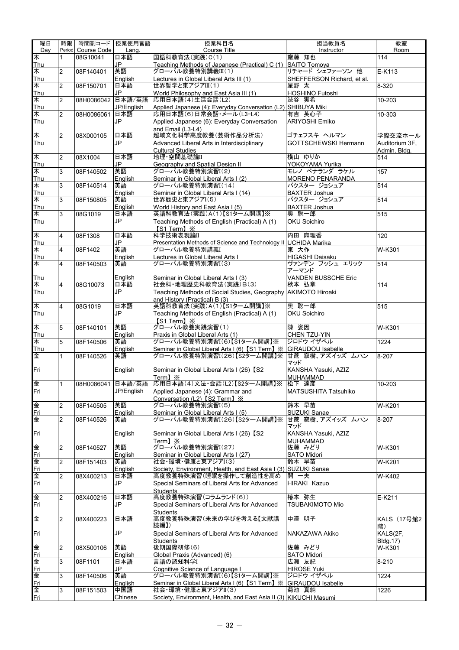| 曜日                    | 時限                      |                    | 時間割コード   授業使用言語 | 授業科目名                                                                               | 担当教員名                            | 教室                        |
|-----------------------|-------------------------|--------------------|-----------------|-------------------------------------------------------------------------------------|----------------------------------|---------------------------|
| Day                   |                         | Period Course Code | Lang.           | Course Title                                                                        | Instructor                       | Room                      |
| ¥                     | 1                       | 08G10041           | 日本語             | 国語科教育法(実践)C(1)                                                                      | 齋藤 知也                            | 114                       |
| Thu                   |                         |                    | JP.             | Teaching Methods of Japanese (Practical) C (1)                                      | <b>SAITO Tomova</b>              |                           |
| ¥                     | 2                       | 08F140401          | 英語              | グローバル教養特別講義III(1)                                                                   | リチャード シェファーソン 他                  | E-K113                    |
| Thu                   |                         |                    | English         | Lectures in Global Liberal Arts III (1)                                             | SHEFFERSON Richard, et al.       |                           |
| ¥                     | $\overline{c}$          | 08F150701          | 日本語             | 世界哲学と東アジアIII(1)                                                                     | 星野 太                             | 8-320                     |
| <b>Thu</b>            |                         |                    | JP              | World Philosophy and East Asia III (1)                                              | <b>HOSHINO Futoshi</b>           |                           |
| $\overline{\ast}$     | $\overline{2}$          | 08H0086042         | 日本語/英語          | 応用日本語(4)生活会話(L2)                                                                    | 渋谷 実希                            | 10-203                    |
| <b>Thu</b>            |                         |                    | JP/English      | Applied Japanese (4): Everyday Conversation (L2) SHIBUYA Miki                       |                                  |                           |
| ¥                     | $\overline{2}$          | 08H0086061         | 日本語             | 応用日本語(6)日常会話・メール(L3-L4)                                                             | 有吉 英心子                           | $10 - 303$                |
| Thu                   |                         |                    | JP              | Applied Japanese (6): Everyday Conversation                                         | <b>ARIYOSHI Emiko</b>            |                           |
|                       |                         |                    |                 | and Email (L3-L4)                                                                   |                                  |                           |
| 木                     | $\overline{2}$          | 08X000105          | 日本語             | 超域文化科学高度教養(芸術作品分析法)                                                                 | ゴチェフスキ ヘルマン                      | 学際交流ホール                   |
| Thu                   |                         |                    | JP              | Advanced Liberal Arts in Interdisciplinary                                          | <b>GOTTSCHEWSKI Hermann</b>      | Auditorium 3F,            |
|                       |                         |                    |                 | <b>Cultural Studies</b>                                                             |                                  | Admin. Bldg.              |
| 末                     | $\overline{2}$          | 08X1004            | 日本語             | 地理·空間基礎論II                                                                          | 横山 ゆりか                           | 514                       |
| Thu                   |                         |                    | JP              | Geography and Spatial Design II                                                     | YOKOYAMA Yurika<br>モレノ ペナランダ ラケル |                           |
| 木                     | 3                       | 08F140502          | 英語              | グローバル教養特別演習I(2)                                                                     |                                  | 157                       |
| Thu                   | 3                       |                    | English         | Seminar in Global Liberal Arts I (2)                                                | MORENO PENARANDA<br>バクスター ジョシュア  | 514                       |
| $\overline{*}$<br>Thu |                         | 08F140514          | 英語              | グローバル教養特別演習I(14)                                                                    | <b>BAXTER Joshua</b>             |                           |
| 木                     | 3                       | 08F150805          | English<br>英語   | Seminar in Global Liberal Arts I (14)<br>世界歴史と東アジアI(5)                              | バクスター ジョシュア                      | 514                       |
| Thu                   |                         |                    | English         | World History and East Asia I (5)                                                   | <b>BAXTER Joshua</b>             |                           |
| 木                     | 3                       | 08G1019            | 日本語             | 英語科教育法(実践)A(1)【S1ターム開講】※                                                            | 奥 聡一郎                            | 515                       |
| Thu                   |                         |                    | JP              | Teaching Methods of English (Practical) A (1)                                       | <b>OKU Soichiro</b>              |                           |
|                       |                         |                    |                 | 【S1 Term】※                                                                          |                                  |                           |
| ¥                     | $\overline{4}$          | 08F1308            | 日本語             | 科学技術表現論II                                                                           | 内田 麻理香                           | 120                       |
| Thu                   |                         |                    | JP              | Presentation Methods of Science and Technology II UCHIDA Marika                     |                                  |                           |
| 木                     | $\overline{\mathbf{4}}$ | 08F1402            | 英語              | グローバル教養特別講義!                                                                        | 東 大作                             | $W-K301$                  |
| Thu                   |                         |                    | English         | Lectures in Global Liberal Arts I                                                   | HIGASHI Daisaku                  |                           |
| 木                     | 4                       | 08F140503          | 英語              | グローバル教養特別演習I(3)                                                                     | ヴァンデン ブッシュ エリック                  | 514                       |
|                       |                         |                    |                 |                                                                                     | アーマンド                            |                           |
| <b>Thu</b>            |                         |                    | English         | Seminar in Global Liberal Arts I (3)                                                | VANDEN BUSSCHE Eric              |                           |
| 木                     | 4                       | 08G10073           | 日本語             | 社会科·地理歴史科教育法(実践)B(3)                                                                | 秋本 弘章                            | 114                       |
| Thu                   |                         |                    | JP              | Teaching Methods of Social Studies, Geography AKIMOTO Hiroaki                       |                                  |                           |
|                       |                         |                    |                 | and History (Practical) B (3)                                                       |                                  |                           |
| 末                     | $\overline{4}$          | 08G1019            | 日本語             | 英語科教育法(実践)A(1)【S1ターム開講】※                                                            | 奥 聡一郎                            | 515                       |
| Thu                   |                         |                    | JP              | Teaching Methods of English (Practical) A (1)                                       | <b>OKU Soichiro</b>              |                           |
|                       |                         |                    |                 | [S1 Term] X                                                                         |                                  |                           |
| ¥                     | 5                       | 08F140101          | 英語              | グローバル教養実践演習(1)                                                                      | 陳 姿因                             | W-K301                    |
| Thu                   |                         |                    | English         | Praxis in Global Liberal Arts (1)                                                   | CHEN TZU-YIN                     |                           |
| ¥                     | 5                       | 08F140506          | 英語              | グローバル教養特別演習I(6)【S1ターム開講】※                                                           | ジロドウ イザベル                        | 1224                      |
| Thu                   |                         |                    | English         |                                                                                     | <b>GIRAUDOU Isabelle</b>         |                           |
| 金                     | $\mathbf{1}$            | 08F140526          | 英語              | <u>Seminar in Global Liberal Arts I (6)【S1 Term】※</u><br>グローバル教養特別演習I(26)【S2ターム開講】※ | 甘蔗 寂樹、アズイッズ ムハン                  | 8-207                     |
|                       |                         |                    |                 |                                                                                     | マッド                              |                           |
| Fri                   |                         |                    | English         | Seminar in Global Liberal Arts I (26) [S2                                           | KANSHA Yasuki, AZIZ              |                           |
|                       |                         |                    |                 | Term】※                                                                              | <b>MUHAMMAD</b>                  |                           |
| 金                     | $\mathbf{1}$            |                    |                 | 08H0086041 日本語/英語 応用日本語(4)文法·会話(L2)【S2ターム開講】※ 松下 達彦                                 |                                  | 10-203                    |
| Fri                   |                         |                    | JP/English      | Applied Japanese (4): Grammar and                                                   | <b>MATSUSHITA Tatsuhiko</b>      |                           |
|                       |                         |                    |                 | Conversation (L2) [S2 Term] X                                                       |                                  |                           |
| 金                     | 2                       | 08F140505          | 英語              | グローバル教養特別演習I(5)                                                                     | 鈴木 早苗                            | W-K201                    |
| <u>Fri</u>            |                         |                    | English         | Seminar in Global Liberal Arts I (5)                                                | SUZUKI Sanae                     |                           |
| 金                     | $\overline{2}$          | 08F140526          | 英語              | グローバル教養特別演習I(26)【S2ターム開講】※                                                          | 甘蔗 寂樹、アズイッズ ムハン                  | 8-207                     |
|                       |                         |                    |                 |                                                                                     | マッド                              |                           |
| Fri                   |                         |                    | English         | Seminar in Global Liberal Arts I (26) 【S2                                           | KANSHA Yasuki, AZIZ              |                           |
|                       |                         |                    |                 | $Term] \times$                                                                      | <b>MUHAMMAD</b>                  |                           |
| 金                     | 2                       | 08F140527          | 英語              | グローバル教養特別演習I(27)                                                                    | 佐藤 みどり                           | W-K301                    |
| <u>Fri</u>            |                         |                    | English         | Seminar in Global Liberal Arts I (27)                                               | SATO Midori                      |                           |
| 金                     | $\overline{2}$          | 08F151403          | 英語              | 社会·環境·健康と東アジアI(3)                                                                   | 鈴木 早苗                            | W-K201                    |
| <u>Fri</u>            |                         |                    | English         | Society, Environment, Health, and East Asia I (3) SUZUKI Sanae                      |                                  |                           |
| 金                     | $\overline{2}$          | 08X400213          | 日本語             | 高度教養特殊演習(睡眠を操作して創造性を高め                                                              | 開 一夫                             | $\overline{W}$ -K402      |
| Fri                   |                         |                    | JP              | Special Seminars of Liberal Arts for Advanced                                       | HIRAKI Kazuo                     |                           |
|                       |                         |                    |                 | <b>Students</b>                                                                     |                                  |                           |
| 金                     | $\overline{2}$          | 08X400216          | 日本語             | 高度教養特殊演習(コラムランド(6))                                                                 | 椿本 弥生                            | E-K211                    |
| Fri                   |                         |                    | JP              | Special Seminars of Liberal Arts for Advanced                                       | <b>TSUBAKIMOTO Mio</b>           |                           |
| 金                     | $\overline{2}$          |                    | 日本語             | <b>Students</b><br>高度教養特殊演習(未来の学びを考える【文献講                                           | 中澤 明子                            | KALS (17号館2               |
|                       |                         | 08X400223          |                 | 読編】)                                                                                |                                  |                           |
| Fri                   |                         |                    | <b>JP</b>       | Special Seminars of Liberal Arts for Advanced                                       |                                  | 階)<br>KALS(2F,            |
|                       |                         |                    |                 |                                                                                     | NAKAZAWA Akiko                   |                           |
| 金                     | $\overline{2}$          | 08X500106          | 英語              | <b>Students</b><br>後期国際研修(6)                                                        | 佐藤 みどり                           | <b>Bldg.17)</b><br>W-K301 |
|                       |                         |                    | English         | Global Praxis (Advanced) (6)                                                        | <b>SATO Midori</b>               |                           |
| <u>Fri</u><br>金       | 3                       | 08F1101            | 日本語             | 言語の認知科学I                                                                            | 広瀬 友紀                            | $8 - 210$                 |
| <u>Fri</u>            |                         |                    | JP              | Cognitive Science of Language I                                                     | <b>HIROSE Yuki</b>               |                           |
| 金                     | 3                       | 08F140506          | 英語              | グローバル教養特別演習I(6)【S1ターム開講】※                                                           | ジロドウ イザベル                        | 1224                      |
| Fri                   |                         |                    | English         | Seminar in Global Liberal Arts I (6) [S1 Term] ※ GIRAUDOU Isabelle                  |                                  |                           |
| 金                     | 3                       | 08F151503          | 中国語             | 社会・環境・健康と東アジアII(3)                                                                  | 菊池 真純                            | 1226                      |
| Fri                   |                         |                    | Chinese         | Society, Environment, Health, and East Asia II (3) KIKUCHI Masumi                   |                                  |                           |
|                       |                         |                    |                 |                                                                                     |                                  |                           |